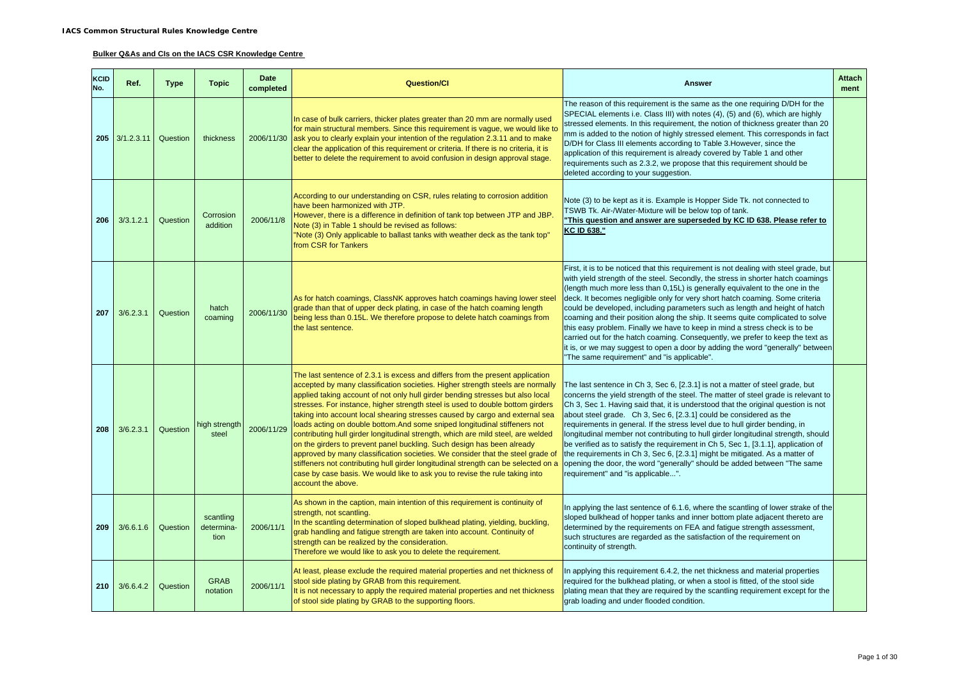#### **Bulker Q&As and CIs on the IACS CSR Knowledge Centre**

| <b>KCID</b><br>No. | Ref.           | <b>Type</b> | <b>Topic</b>                    | <b>Date</b><br>completed | <b>Question/Cl</b>                                                                                                                                                                                                                                                                                                                                                                                                                                                                                                                                                                                                                                                                                                                                                                                                                                                                                                                          | <b>Answer</b>                                                                                                                                                                                                                                                                                                                                                                                                                                                                                                                                                                                                                                                                                                                                                                                               | <b>Attach</b><br>ment |
|--------------------|----------------|-------------|---------------------------------|--------------------------|---------------------------------------------------------------------------------------------------------------------------------------------------------------------------------------------------------------------------------------------------------------------------------------------------------------------------------------------------------------------------------------------------------------------------------------------------------------------------------------------------------------------------------------------------------------------------------------------------------------------------------------------------------------------------------------------------------------------------------------------------------------------------------------------------------------------------------------------------------------------------------------------------------------------------------------------|-------------------------------------------------------------------------------------------------------------------------------------------------------------------------------------------------------------------------------------------------------------------------------------------------------------------------------------------------------------------------------------------------------------------------------------------------------------------------------------------------------------------------------------------------------------------------------------------------------------------------------------------------------------------------------------------------------------------------------------------------------------------------------------------------------------|-----------------------|
|                    | 205 3/1.2.3.11 | Question    | thickness                       |                          | In case of bulk carriers, thicker plates greater than 20 mm are normally used<br>for main structural members. Since this requirement is vague, we would like to<br>2006/11/30 ask you to clearly explain your intention of the regulation 2.3.11 and to make<br>clear the application of this requirement or criteria. If there is no criteria, it is<br>better to delete the requirement to avoid confusion in design approval stage.                                                                                                                                                                                                                                                                                                                                                                                                                                                                                                      | The reason of this requirement is the same as the one requiring D/DH for the<br>SPECIAL elements i.e. Class III) with notes (4), (5) and (6), which are highly<br>stressed elements. In this requirement, the notion of thickness greater than 20<br>mm is added to the notion of highly stressed element. This corresponds in fact<br>D/DH for Class III elements according to Table 3. However, since the<br>application of this requirement is already covered by Table 1 and other<br>requirements such as 2.3.2, we propose that this requirement should be<br>deleted according to your suggestion.                                                                                                                                                                                                   |                       |
| 206                | 3/3.1.2.1      | Question    | Corrosion<br>addition           | 2006/11/8                | According to our understanding on CSR, rules relating to corrosion addition<br>have been harmonized with JTP.<br>However, there is a difference in definition of tank top between JTP and JBP.<br>Note (3) in Table 1 should be revised as follows:<br>"Note (3) Only applicable to ballast tanks with weather deck as the tank top"<br>from CSR for Tankers                                                                                                                                                                                                                                                                                                                                                                                                                                                                                                                                                                                | Note (3) to be kept as it is. Example is Hopper Side Tk. not connected to<br>TSWB Tk. Air-/Water-Mixture will be below top of tank.<br>This question and answer are superseded by KC ID 638. Please refer to<br>KC ID 638."                                                                                                                                                                                                                                                                                                                                                                                                                                                                                                                                                                                 |                       |
| 207                | 3/6.2.3.1      | Question    | hatch<br>coaming                | 2006/11/30               | As for hatch coamings, ClassNK approves hatch coamings having lower steel<br>grade than that of upper deck plating, in case of the hatch coaming length<br>being less than 0.15L. We therefore propose to delete hatch coamings from<br>the last sentence.                                                                                                                                                                                                                                                                                                                                                                                                                                                                                                                                                                                                                                                                                  | First, it is to be noticed that this requirement is not dealing with steel grade, but<br>with yield strength of the steel. Secondly, the stress in shorter hatch coamings<br>(length much more less than 0,15L) is generally equivalent to the one in the<br>deck. It becomes negligible only for very short hatch coaming. Some criteria<br>could be developed, including parameters such as length and height of hatch<br>coaming and their position along the ship. It seems quite complicated to solve<br>this easy problem. Finally we have to keep in mind a stress check is to be<br>carried out for the hatch coaming. Consequently, we prefer to keep the text as<br>it is, or we may suggest to open a door by adding the word "generally" between<br>"The same requirement" and "is applicable". |                       |
| 208                | 3/6.2.3.1      | Question    | high strength<br>steel          | 2006/11/29               | The last sentence of 2.3.1 is excess and differs from the present application<br>accepted by many classification societies. Higher strength steels are normally<br>applied taking account of not only hull girder bending stresses but also local<br>stresses. For instance, higher strength steel is used to double bottom girders<br>taking into account local shearing stresses caused by cargo and external sea<br>loads acting on double bottom.And some sniped longitudinal stiffeners not<br>contributing hull girder longitudinal strength, which are mild steel, are welded<br>on the girders to prevent panel buckling. Such design has been already<br>approved by many classification societies. We consider that the steel grade of<br>stiffeners not contributing hull girder longitudinal strength can be selected on a<br>case by case basis. We would like to ask you to revise the rule taking into<br>account the above. | The last sentence in Ch 3, Sec 6, [2.3.1] is not a matter of steel grade, but<br>concerns the yield strength of the steel. The matter of steel grade is relevant to<br>Ch 3, Sec 1. Having said that, it is understood that the original question is not<br>about steel grade. Ch 3, Sec 6, [2.3.1] could be considered as the<br>requirements in general. If the stress level due to hull girder bending, in<br>longitudinal member not contributing to hull girder longitudinal strength, should<br>be verified as to satisfy the requirement in Ch 5, Sec 1, [3.1.1], application of<br>the requirements in Ch 3, Sec 6, [2.3.1] might be mitigated. As a matter of<br>opening the door, the word "generally" should be added between "The same<br>requirement" and "is applicable".                     |                       |
| 209                | 3/6.6.1.6      | Question    | scantling<br>determina-<br>tion | 2006/11/1                | As shown in the caption, main intention of this requirement is continuity of<br>strength, not scantling.<br>In the scantling determination of sloped bulkhead plating, yielding, buckling,<br>grab handling and fatigue strength are taken into account. Continuity of<br>strength can be realized by the consideration.<br>Therefore we would like to ask you to delete the requirement.                                                                                                                                                                                                                                                                                                                                                                                                                                                                                                                                                   | In applying the last sentence of 6.1.6, where the scantling of lower strake of the<br>sloped bulkhead of hopper tanks and inner bottom plate adjacent thereto are<br>determined by the requirements on FEA and fatigue strength assessment,<br>such structures are regarded as the satisfaction of the requirement on<br>continuity of strength.                                                                                                                                                                                                                                                                                                                                                                                                                                                            |                       |
| 210                | 3/6.6.4.2      | Question    | <b>GRAB</b><br>notation         | 2006/11/1                | At least, please exclude the required material properties and net thickness of<br>stool side plating by GRAB from this requirement.<br>It is not necessary to apply the required material properties and net thickness<br>of stool side plating by GRAB to the supporting floors.                                                                                                                                                                                                                                                                                                                                                                                                                                                                                                                                                                                                                                                           | In applying this requirement 6.4.2, the net thickness and material properties<br>required for the bulkhead plating, or when a stool is fitted, of the stool side<br>plating mean that they are required by the scantling requirement except for the<br>grab loading and under flooded condition.                                                                                                                                                                                                                                                                                                                                                                                                                                                                                                            |                       |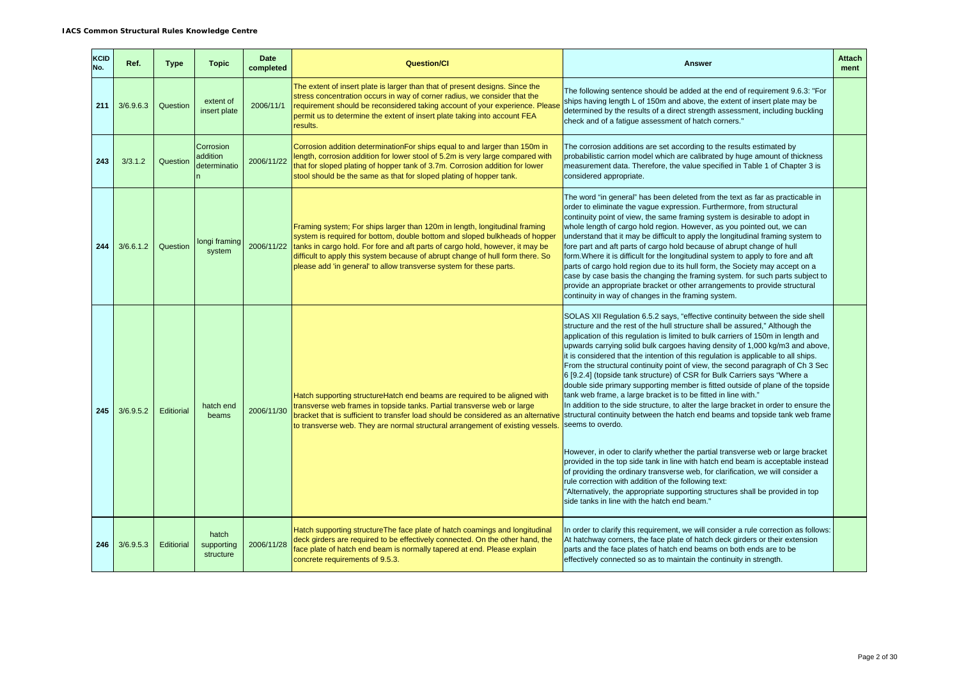| <b>KCID</b><br>No. | Ref.      | <b>Type</b> | <b>Topic</b>                          | <b>Date</b><br>completed | <b>Question/Cl</b>                                                                                                                                                                                                                                                                                                                                                                                             | <b>Answer</b>                                                                                                                                                                                                                                                                                                                                                                                                                                                                                                                                                                                                                                                                                                                                                                                                                                                                                                                                                                                                                                                                                                                                                                                                                                                                                                                                                                              | <b>Attach</b><br>ment |
|--------------------|-----------|-------------|---------------------------------------|--------------------------|----------------------------------------------------------------------------------------------------------------------------------------------------------------------------------------------------------------------------------------------------------------------------------------------------------------------------------------------------------------------------------------------------------------|--------------------------------------------------------------------------------------------------------------------------------------------------------------------------------------------------------------------------------------------------------------------------------------------------------------------------------------------------------------------------------------------------------------------------------------------------------------------------------------------------------------------------------------------------------------------------------------------------------------------------------------------------------------------------------------------------------------------------------------------------------------------------------------------------------------------------------------------------------------------------------------------------------------------------------------------------------------------------------------------------------------------------------------------------------------------------------------------------------------------------------------------------------------------------------------------------------------------------------------------------------------------------------------------------------------------------------------------------------------------------------------------|-----------------------|
| 211                | 3/6.9.6.3 | Question    | extent of<br>insert plate             | 2006/11/1                | The extent of insert plate is larger than that of present designs. Since the<br>stress concentration occurs in way of corner radius, we consider that the<br>requirement should be reconsidered taking account of your experience. Please<br>permit us to determine the extent of insert plate taking into account FEA<br>results.                                                                             | The following sentence should be added at the end of requirement 9.6.3: "For<br>ships having length L of 150m and above, the extent of insert plate may be<br>determined by the results of a direct strength assessment, including buckling<br>check and of a fatigue assessment of hatch corners."                                                                                                                                                                                                                                                                                                                                                                                                                                                                                                                                                                                                                                                                                                                                                                                                                                                                                                                                                                                                                                                                                        |                       |
| 243                | 3/3.1.2   | Question    | Corrosion<br>addition<br>determinatio | 2006/11/22               | Corrosion addition determination For ships equal to and larger than 150m in<br>length, corrosion addition for lower stool of 5.2m is very large compared with<br>that for sloped plating of hopper tank of 3.7m. Corrosion addition for lower<br>stool should be the same as that for sloped plating of hopper tank.                                                                                           | The corrosion additions are set according to the results estimated by<br>probabilistic carrion model which are calibrated by huge amount of thickness<br>measurement data. Therefore, the value specified in Table 1 of Chapter 3 is<br>considered appropriate.                                                                                                                                                                                                                                                                                                                                                                                                                                                                                                                                                                                                                                                                                                                                                                                                                                                                                                                                                                                                                                                                                                                            |                       |
| 244                | 3/6.6.1.2 | Question    | longi framing<br>system               |                          | Framing system; For ships larger than 120m in length, longitudinal framing<br>system is required for bottom, double bottom and sloped bulkheads of hopper<br>2006/11/22 tanks in cargo hold. For fore and aft parts of cargo hold, however, it may be<br>difficult to apply this system because of abrupt change of hull form there. So<br>please add 'in general' to allow transverse system for these parts. | The word "in general" has been deleted from the text as far as practicable in<br>order to eliminate the vague expression. Furthermore, from structural<br>continuity point of view, the same framing system is desirable to adopt in<br>whole length of cargo hold region. However, as you pointed out, we can<br>understand that it may be difficult to apply the longitudinal framing system to<br>fore part and aft parts of cargo hold because of abrupt change of hull<br>form. Where it is difficult for the longitudinal system to apply to fore and aft<br>parts of cargo hold region due to its hull form, the Society may accept on a<br>case by case basis the changing the framing system. for such parts subject to<br>provide an appropriate bracket or other arrangements to provide structural<br>continuity in way of changes in the framing system.                                                                                                                                                                                                                                                                                                                                                                                                                                                                                                                      |                       |
| 245                | 3/6.9.5.2 | Editiorial  | hatch end<br>beams                    | 2006/11/30               | Hatch supporting structure Hatch end beams are required to be aligned with<br>transverse web frames in topside tanks. Partial transverse web or large<br>bracket that is sufficient to transfer load should be considered as an alternative<br>to transverse web. They are normal structural arrangement of existing vessels.                                                                                  | SOLAS XII Regulation 6.5.2 says, "effective continuity between the side shell<br>structure and the rest of the hull structure shall be assured," Although the<br>application of this regulation is limited to bulk carriers of 150m in length and<br>upwards carrying solid bulk cargoes having density of 1,000 kg/m3 and above,<br>it is considered that the intention of this regulation is applicable to all ships.<br>From the structural continuity point of view, the second paragraph of Ch 3 Sec<br>6 [9.2.4] (topside tank structure) of CSR for Bulk Carriers says "Where a<br>double side primary supporting member is fitted outside of plane of the topside<br>tank web frame, a large bracket is to be fitted in line with."<br>In addition to the side structure, to alter the large bracket in order to ensure the<br>structural continuity between the hatch end beams and topside tank web frame<br>seems to overdo.<br>However, in oder to clarify whether the partial transverse web or large bracket<br>provided in the top side tank in line with hatch end beam is acceptable instead<br>of providing the ordinary transverse web, for clarification, we will consider a<br>rule correction with addition of the following text:<br>"Alternatively, the appropriate supporting structures shall be provided in top<br>side tanks in line with the hatch end beam." |                       |
| 246                | 3/6.9.5.3 | Editiorial  | hatch<br>supporting<br>structure      | 2006/11/28               | Hatch supporting structure The face plate of hatch coamings and longitudinal<br>deck girders are required to be effectively connected. On the other hand, the<br>face plate of hatch end beam is normally tapered at end. Please explain<br>concrete requirements of 9.5.3.                                                                                                                                    | In order to clarify this requirement, we will consider a rule correction as follows:<br>At hatchway corners, the face plate of hatch deck girders or their extension<br>parts and the face plates of hatch end beams on both ends are to be<br>effectively connected so as to maintain the continuity in strength.                                                                                                                                                                                                                                                                                                                                                                                                                                                                                                                                                                                                                                                                                                                                                                                                                                                                                                                                                                                                                                                                         |                       |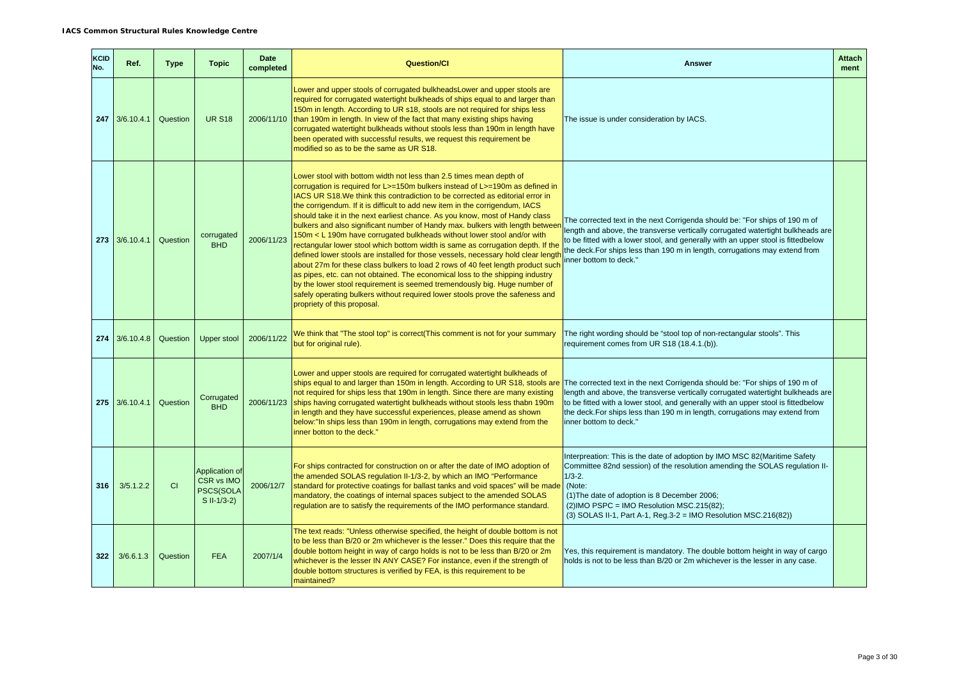| KCID<br>No. | Ref.                       | <b>Type</b> | <b>Topic</b>                                                     | <b>Date</b><br>completed | <b>Question/Cl</b>                                                                                                                                                                                                                                                                                                                                                                                                                                                                                                                                                                                                                                                                                                                                                                                                                                                                                                                                                                                                                                                                                         | <b>Answer</b>                                                                                                                                                                                                                                                                                                                                                | <b>Attach</b><br>ment |
|-------------|----------------------------|-------------|------------------------------------------------------------------|--------------------------|------------------------------------------------------------------------------------------------------------------------------------------------------------------------------------------------------------------------------------------------------------------------------------------------------------------------------------------------------------------------------------------------------------------------------------------------------------------------------------------------------------------------------------------------------------------------------------------------------------------------------------------------------------------------------------------------------------------------------------------------------------------------------------------------------------------------------------------------------------------------------------------------------------------------------------------------------------------------------------------------------------------------------------------------------------------------------------------------------------|--------------------------------------------------------------------------------------------------------------------------------------------------------------------------------------------------------------------------------------------------------------------------------------------------------------------------------------------------------------|-----------------------|
|             | $247 \mid 3/6.10.4.1 \mid$ | Question    | <b>UR S18</b>                                                    |                          | Lower and upper stools of corrugated bulkheads Lower and upper stools are<br>required for corrugated watertight bulkheads of ships equal to and larger than<br>150m in length. According to UR s18, stools are not required for ships less<br>2006/11/10 than 190m in length. In view of the fact that many existing ships having<br>corrugated watertight bulkheads without stools less than 190m in length have<br>been operated with successful results, we request this requirement be<br>modified so as to be the same as UR S18.                                                                                                                                                                                                                                                                                                                                                                                                                                                                                                                                                                     | The issue is under consideration by IACS.                                                                                                                                                                                                                                                                                                                    |                       |
| 273         | 3/6.10.4.1                 | Question    | corrugated<br><b>BHD</b>                                         | 2006/11/23               | Lower stool with bottom width not less than 2.5 times mean depth of<br>corrugation is required for L>=150m bulkers instead of L>=190m as defined in<br>IACS UR S18. We think this contradiction to be corrected as editorial error in<br>the corrigendum. If it is difficult to add new item in the corrigendum, IACS<br>should take it in the next earliest chance. As you know, most of Handy class<br>bulkers and also significant number of Handy max. bulkers with length betweer<br>150m < L 190m have corrugated bulkheads without lower stool and/or with<br>rectangular lower stool which bottom width is same as corrugation depth. If the<br>defined lower stools are installed for those vessels, necessary hold clear lengtl<br>about 27m for these class bulkers to load 2 rows of 40 feet length product such<br>as pipes, etc. can not obtained. The economical loss to the shipping industry<br>by the lower stool requirement is seemed tremendously big. Huge number of<br>safely operating bulkers without required lower stools prove the safeness and<br>propriety of this proposal. | The corrected text in the next Corrigenda should be: "For ships of 190 m of<br>length and above, the transverse vertically corrugated watertight bulkheads are<br>to be fitted with a lower stool, and generally with an upper stool is fittedbelow<br>the deck. For ships less than 190 m in length, corrugations may extend from<br>inner bottom to deck." |                       |
| 274         | 3/6.10.4.8                 | Question    | <b>Upper stool</b>                                               | 2006/11/22               | We think that "The stool top" is correct(This comment is not for your summary<br>but for original rule).                                                                                                                                                                                                                                                                                                                                                                                                                                                                                                                                                                                                                                                                                                                                                                                                                                                                                                                                                                                                   | The right wording should be "stool top of non-rectangular stools". This<br>requirement comes from UR S18 (18.4.1.(b)).                                                                                                                                                                                                                                       |                       |
| 275         | 3/6.10.4.1                 | Question    | Corrugated<br><b>BHD</b>                                         |                          | Lower and upper stools are required for corrugated watertight bulkheads of<br>ships equal to and larger than 150m in length. According to UR S18, stools are<br>not required for ships less that 190m in length. Since there are many existing<br>2006/11/23 ships having corrugated watertight bulkheads without stools less thabn 190m<br>in length and they have successful experiences, please amend as shown<br>below:"In ships less than 190m in length, corrugations may extend from the<br>inner botton to the deck."                                                                                                                                                                                                                                                                                                                                                                                                                                                                                                                                                                              | The corrected text in the next Corrigenda should be: "For ships of 190 m of<br>length and above, the transverse vertically corrugated watertight bulkheads are<br>to be fitted with a lower stool, and generally with an upper stool is fittedbelow<br>the deck. For ships less than 190 m in length, corrugations may extend from<br>inner bottom to deck." |                       |
| 316         | 3/5.1.2.2                  | CI          | Application of<br><b>CSR vs IMO</b><br>PSCS(SOLA<br>$S II-1/3-2$ | 2006/12/7                | For ships contracted for construction on or after the date of IMO adoption of<br>the amended SOLAS regulation II-1/3-2, by which an IMO "Performance<br>standard for protective coatings for ballast tanks and void spaces" will be made<br>mandatory, the coatings of internal spaces subject to the amended SOLAS<br>regulation are to satisfy the requirements of the IMO performance standard.                                                                                                                                                                                                                                                                                                                                                                                                                                                                                                                                                                                                                                                                                                         | Interpreation: This is the date of adoption by IMO MSC 82(Maritime Safety<br>Committee 82nd session) of the resolution amending the SOLAS regulation II-<br>$1/3 - 2$ .<br>(Note:<br>(1) The date of adoption is 8 December 2006;<br>$(2)$ IMO PSPC = IMO Resolution MSC.215 $(82)$ ;<br>$(3)$ SOLAS II-1, Part A-1, Reg.3-2 = IMO Resolution MSC.216(82))   |                       |
| 322         | 3/6.6.1.3                  | Question    | <b>FEA</b>                                                       | 2007/1/4                 | The text reads: "Unless otherwise specified, the height of double bottom is not<br>to be less than B/20 or 2m whichever is the lesser." Does this require that the<br>double bottom height in way of cargo holds is not to be less than B/20 or 2m<br>whichever is the lesser IN ANY CASE? For instance, even if the strength of<br>double bottom structures is verified by FEA, is this requirement to be<br>maintained?                                                                                                                                                                                                                                                                                                                                                                                                                                                                                                                                                                                                                                                                                  | Yes, this requirement is mandatory. The double bottom height in way of cargo<br>holds is not to be less than B/20 or 2m whichever is the lesser in any case.                                                                                                                                                                                                 |                       |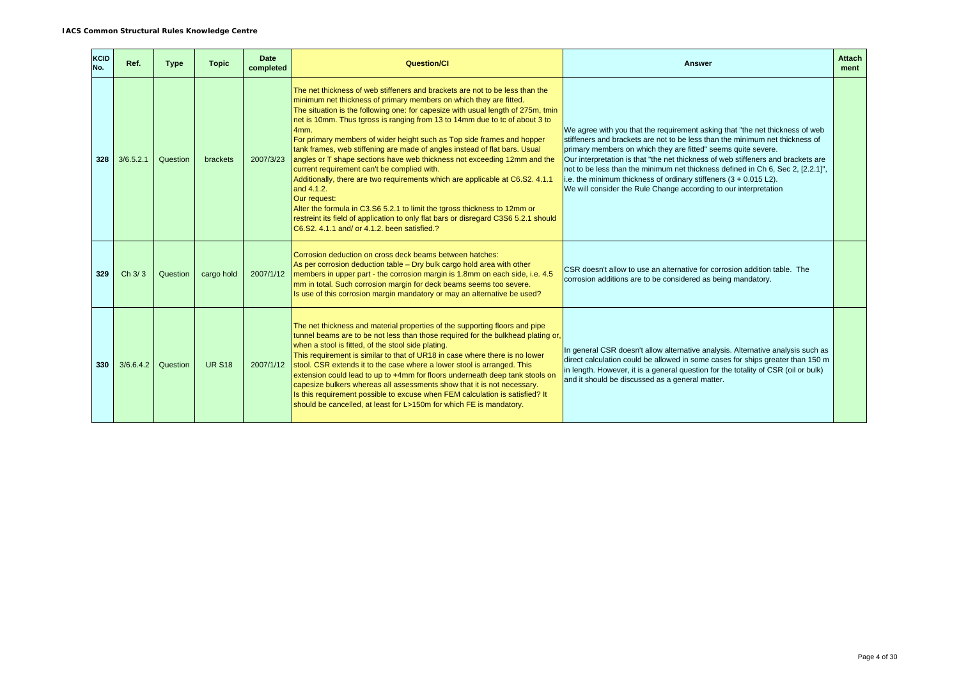| <b>KCID</b><br>No. | Ref.      | <b>Type</b> | <b>Topic</b>  | Date<br>completed | <b>Question/Cl</b>                                                                                                                                                                                                                                                                                                                                                                                                                                                                                                                                                                                                                                                                                                                                                                                                                                                                                                                                  | <b>Answer</b>                                                                                                                                                                                                                                                                                                                                                                                                                                                                                                                                 | <b>Attach</b><br>ment |
|--------------------|-----------|-------------|---------------|-------------------|-----------------------------------------------------------------------------------------------------------------------------------------------------------------------------------------------------------------------------------------------------------------------------------------------------------------------------------------------------------------------------------------------------------------------------------------------------------------------------------------------------------------------------------------------------------------------------------------------------------------------------------------------------------------------------------------------------------------------------------------------------------------------------------------------------------------------------------------------------------------------------------------------------------------------------------------------------|-----------------------------------------------------------------------------------------------------------------------------------------------------------------------------------------------------------------------------------------------------------------------------------------------------------------------------------------------------------------------------------------------------------------------------------------------------------------------------------------------------------------------------------------------|-----------------------|
| 328                | 3/6.5.2.1 | Question    | brackets      | 2007/3/23         | The net thickness of web stiffeners and brackets are not to be less than the<br>minimum net thickness of primary members on which they are fitted.<br>The situation is the following one: for capesize with usual length of 275m, tmin<br>net is 10mm. Thus tgross is ranging from 13 to 14mm due to tc of about 3 to<br>4mm.<br>For primary members of wider height such as Top side frames and hopper<br>tank frames, web stiffening are made of angles instead of flat bars. Usual<br>angles or T shape sections have web thickness not exceeding 12mm and the<br>current requirement can't be complied with.<br>Additionally, there are two requirements which are applicable at C6.S2. 4.1.1<br>and 4.1.2.<br>Our request:<br>Alter the formula in C3.S6 5.2.1 to limit the tgross thickness to 12mm or<br>restreint its field of application to only flat bars or disregard C3S6 5.2.1 should<br>C6.S2, 4.1.1 and/ or 4.1.2, been satisfied.? | We agree with you that the requirement asking that "the net thickness of web<br>stiffeners and brackets are not to be less than the minimum net thickness of<br>primary members on which they are fitted" seems quite severe.<br>Our interpretation is that "the net thickness of web stiffeners and brackets are<br>not to be less than the minimum net thickness defined in Ch 6, Sec 2, [2.2.1]",<br>i.e. the minimum thickness of ordinary stiffeners (3 + 0.015 L2).<br>We will consider the Rule Change according to our interpretation |                       |
| 329                | Ch 3/3    | Question    | cargo hold    | 2007/1/12         | Corrosion deduction on cross deck beams between hatches:<br>As per corrosion deduction table - Dry bulk cargo hold area with other<br>members in upper part - the corrosion margin is 1.8mm on each side, i.e. 4.5<br>mm in total. Such corrosion margin for deck beams seems too severe.<br>Is use of this corrosion margin mandatory or may an alternative be used?                                                                                                                                                                                                                                                                                                                                                                                                                                                                                                                                                                               | CSR doesn't allow to use an alternative for corrosion addition table. The<br>corrosion additions are to be considered as being mandatory.                                                                                                                                                                                                                                                                                                                                                                                                     |                       |
| 330                | 3/6.6.4.2 | Question    | <b>UR S18</b> | 2007/1/12         | The net thickness and material properties of the supporting floors and pipe<br>tunnel beams are to be not less than those required for the bulkhead plating or,<br>when a stool is fitted, of the stool side plating.<br>This requirement is similar to that of UR18 in case where there is no lower<br>stool. CSR extends it to the case where a lower stool is arranged. This<br>extension could lead to up to +4mm for floors underneath deep tank stools on<br>capesize bulkers whereas all assessments show that it is not necessary.<br>Is this requirement possible to excuse when FEM calculation is satisfied? It<br>should be cancelled, at least for L>150m for which FE is mandatory.                                                                                                                                                                                                                                                   | In general CSR doesn't allow alternative analysis. Alternative analysis such as<br>direct calculation could be allowed in some cases for ships greater than 150 m<br>in length. However, it is a general question for the totality of CSR (oil or bulk)<br>and it should be discussed as a general matter.                                                                                                                                                                                                                                    |                       |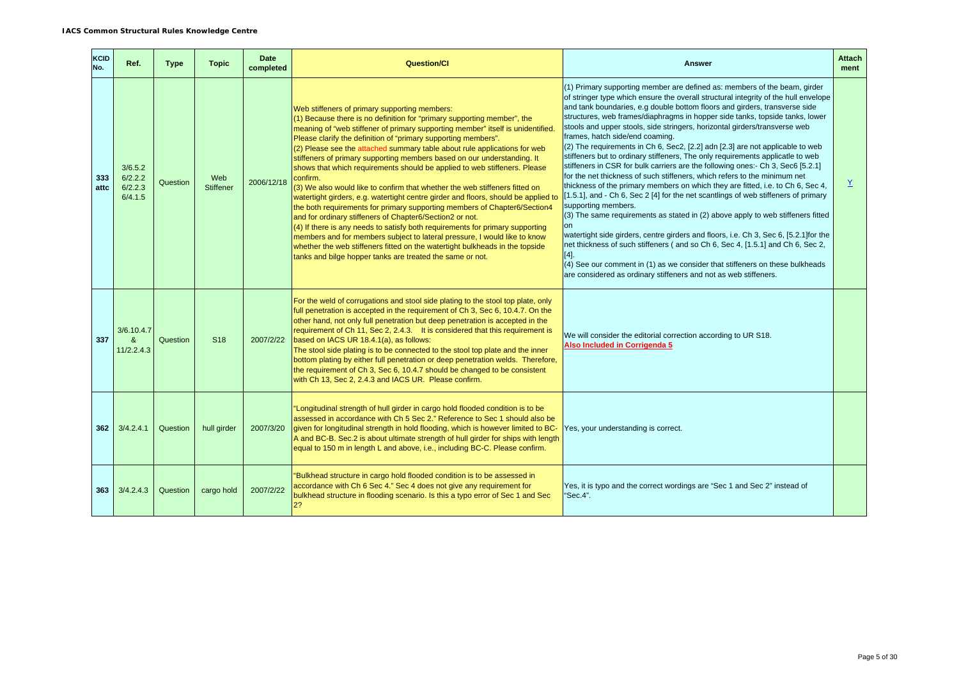| <b>KCID</b><br>No. | Ref.                                     | <b>Type</b> | <b>Topic</b>            | <b>Date</b><br>completed | <b>Question/CI</b>                                                                                                                                                                                                                                                                                                                                                                                                                                                                                                                                                                                                                                                                                                                                                                                                                                                                                                                                                                                                                                                                                                                                            | <b>Answer</b>                                                                                                                                                                                                                                                                                                                                                                                                                                                                                                                                                                                                                                                                                                                                                                                                                                                                                                                                                                                                                                                                                                                                                                                                                                                                                                                                                                                                             | <b>Attach</b><br>ment |
|--------------------|------------------------------------------|-------------|-------------------------|--------------------------|---------------------------------------------------------------------------------------------------------------------------------------------------------------------------------------------------------------------------------------------------------------------------------------------------------------------------------------------------------------------------------------------------------------------------------------------------------------------------------------------------------------------------------------------------------------------------------------------------------------------------------------------------------------------------------------------------------------------------------------------------------------------------------------------------------------------------------------------------------------------------------------------------------------------------------------------------------------------------------------------------------------------------------------------------------------------------------------------------------------------------------------------------------------|---------------------------------------------------------------------------------------------------------------------------------------------------------------------------------------------------------------------------------------------------------------------------------------------------------------------------------------------------------------------------------------------------------------------------------------------------------------------------------------------------------------------------------------------------------------------------------------------------------------------------------------------------------------------------------------------------------------------------------------------------------------------------------------------------------------------------------------------------------------------------------------------------------------------------------------------------------------------------------------------------------------------------------------------------------------------------------------------------------------------------------------------------------------------------------------------------------------------------------------------------------------------------------------------------------------------------------------------------------------------------------------------------------------------------|-----------------------|
| 333<br>attc        | 3/6.5.2<br>6/2.2.2<br>6/2.2.3<br>6/4.1.5 | Question    | Web<br><b>Stiffener</b> | 2006/12/18               | Web stiffeners of primary supporting members:<br>$(1)$ Because there is no definition for "primary supporting member", the<br>meaning of "web stiffener of primary supporting member" itself is unidentified.<br>Please clarify the definition of "primary supporting members".<br>$(2)$ Please see the attached summary table about rule applications for web<br>stiffeners of primary supporting members based on our understanding. It<br>shows that which requirements should be applied to web stiffeners. Please<br>confirm.<br>(3) We also would like to confirm that whether the web stiffeners fitted on<br>watertight girders, e.g. watertight centre girder and floors, should be applied to<br>the both requirements for primary supporting members of Chapter6/Section4<br>and for ordinary stiffeners of Chapter6/Section2 or not.<br>$(4)$ If there is any needs to satisfy both requirements for primary supporting<br>members and for members subject to lateral pressure, I would like to know<br>whether the web stiffeners fitted on the watertight bulkheads in the topside<br>tanks and bilge hopper tanks are treated the same or not. | (1) Primary supporting member are defined as: members of the beam, girder<br>of stringer type which ensure the overall structural integrity of the hull envelope<br>and tank boundaries, e.g double bottom floors and girders, transverse side<br>structures, web frames/diaphragms in hopper side tanks, topside tanks, lower<br>stools and upper stools, side stringers, horizontal girders/transverse web<br>frames, hatch side/end coaming.<br>(2) The requirements in Ch 6, Sec2, [2.2] adn [2.3] are not applicable to web<br>stiffeners but to ordinary stiffeners, The only requirements applicatle to web<br>stiffeners in CSR for bulk carriers are the following ones:- Ch 3, Sec6 [5.2.1]<br>for the net thickness of such stiffeners, which refers to the minimum net<br>thickness of the primary members on which they are fitted, i.e. to Ch 6, Sec 4,<br>[1.5.1], and - Ch 6, Sec 2 [4] for the net scantlings of web stiffeners of primary<br>supporting members.<br>(3) The same requirements as stated in (2) above apply to web stiffeners fitted<br><b>on</b><br>watertight side girders, centre girders and floors, i.e. Ch 3, Sec 6, [5.2.1] for the<br>net thickness of such stiffeners (and so Ch 6, Sec 4, [1.5.1] and Ch 6, Sec 2,<br>[4].<br>(4) See our comment in (1) as we consider that stiffeners on these bulkheads<br>are considered as ordinary stiffeners and not as web stiffeners. | Y                     |
| 337                | 3/6.10.4.7<br>$\mathbf{g}$<br>11/2.2.4.3 | Question    | S <sub>18</sub>         | 2007/2/22                | For the weld of corrugations and stool side plating to the stool top plate, only<br>full penetration is accepted in the requirement of Ch 3, Sec 6, 10.4.7. On the<br>other hand, not only full penetration but deep penetration is accepted in the<br>requirement of Ch 11, Sec 2, 2.4.3. It is considered that this requirement is<br>based on IACS UR 18.4.1(a), as follows:<br>The stool side plating is to be connected to the stool top plate and the inner<br>bottom plating by either full penetration or deep penetration welds. Therefore,<br>the requirement of Ch 3, Sec 6, 10.4.7 should be changed to be consistent<br>with Ch 13, Sec 2, 2.4.3 and IACS UR. Please confirm.                                                                                                                                                                                                                                                                                                                                                                                                                                                                    | We will consider the editorial correction according to UR S18.<br>Also Included in Corrigenda 5                                                                                                                                                                                                                                                                                                                                                                                                                                                                                                                                                                                                                                                                                                                                                                                                                                                                                                                                                                                                                                                                                                                                                                                                                                                                                                                           |                       |
| 362                | 3/4.2.4.1                                | Question    | hull girder             | 2007/3/20                | "Longitudinal strength of hull girder in cargo hold flooded condition is to be<br>assessed in accordance with Ch 5 Sec 2." Reference to Sec 1 should also be<br>given for longitudinal strength in hold flooding, which is however limited to BC-<br>A and BC-B. Sec.2 is about ultimate strength of hull girder for ships with length<br>equal to 150 m in length L and above, i.e., including BC-C. Please confirm.                                                                                                                                                                                                                                                                                                                                                                                                                                                                                                                                                                                                                                                                                                                                         | Yes, your understanding is correct.                                                                                                                                                                                                                                                                                                                                                                                                                                                                                                                                                                                                                                                                                                                                                                                                                                                                                                                                                                                                                                                                                                                                                                                                                                                                                                                                                                                       |                       |
| 363                | 3/4.2.4.3                                | Question    | cargo hold              | 2007/2/22                | "Bulkhead structure in cargo hold flooded condition is to be assessed in<br>accordance with Ch 6 Sec 4." Sec 4 does not give any requirement for<br>bulkhead structure in flooding scenario. Is this a typo error of Sec 1 and Sec<br>2?                                                                                                                                                                                                                                                                                                                                                                                                                                                                                                                                                                                                                                                                                                                                                                                                                                                                                                                      | Yes, it is typo and the correct wordings are "Sec 1 and Sec 2" instead of<br>"Sec.4".                                                                                                                                                                                                                                                                                                                                                                                                                                                                                                                                                                                                                                                                                                                                                                                                                                                                                                                                                                                                                                                                                                                                                                                                                                                                                                                                     |                       |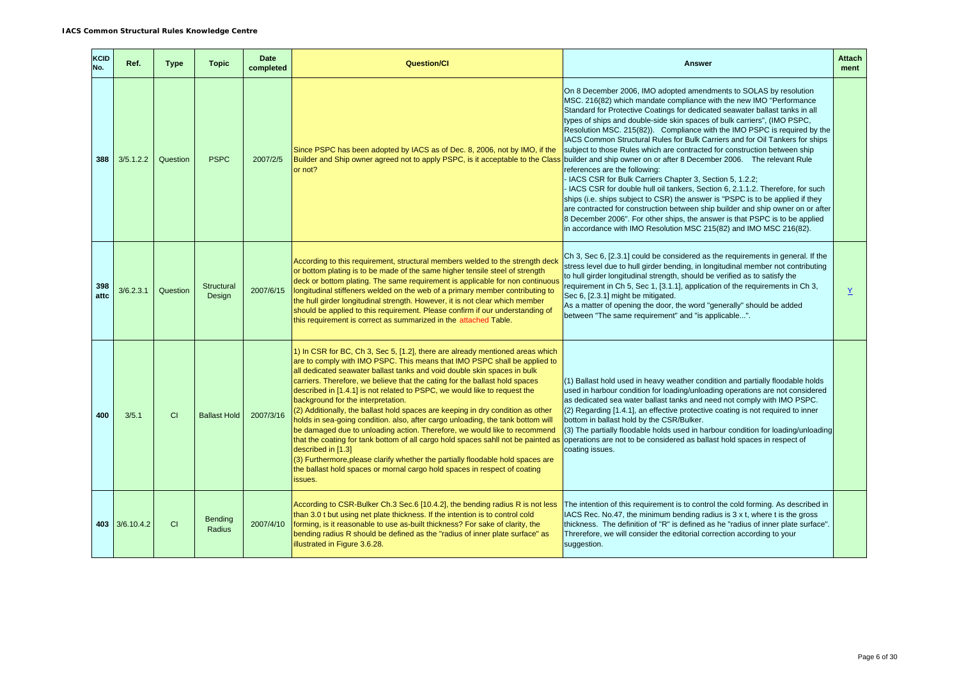| KCID<br>No. | Ref.           | <b>Type</b> | <b>Topic</b>             | <b>Date</b><br>completed | <b>Question/Cl</b>                                                                                                                                                                                                                                                                                                                                                                                                                                                                                                                                                                                                                                                                                                                                                                                                                                                                                                                                                                | <b>Answer</b>                                                                                                                                                                                                                                                                                                                                                                                                                                                                                                                                                                                                                                                                                                                                                                                                                                                                                                                                                                                                                                                                                                                   | <b>Attach</b><br>ment |
|-------------|----------------|-------------|--------------------------|--------------------------|-----------------------------------------------------------------------------------------------------------------------------------------------------------------------------------------------------------------------------------------------------------------------------------------------------------------------------------------------------------------------------------------------------------------------------------------------------------------------------------------------------------------------------------------------------------------------------------------------------------------------------------------------------------------------------------------------------------------------------------------------------------------------------------------------------------------------------------------------------------------------------------------------------------------------------------------------------------------------------------|---------------------------------------------------------------------------------------------------------------------------------------------------------------------------------------------------------------------------------------------------------------------------------------------------------------------------------------------------------------------------------------------------------------------------------------------------------------------------------------------------------------------------------------------------------------------------------------------------------------------------------------------------------------------------------------------------------------------------------------------------------------------------------------------------------------------------------------------------------------------------------------------------------------------------------------------------------------------------------------------------------------------------------------------------------------------------------------------------------------------------------|-----------------------|
| 388         | 3/5.1.2.2      | Question    | <b>PSPC</b>              | 2007/2/5                 | Since PSPC has been adopted by IACS as of Dec. 8, 2006, not by IMO, if the<br>Builder and Ship owner agreed not to apply PSPC, is it acceptable to the Class<br>or not?                                                                                                                                                                                                                                                                                                                                                                                                                                                                                                                                                                                                                                                                                                                                                                                                           | On 8 December 2006, IMO adopted amendments to SOLAS by resolution<br>MSC. 216(82) which mandate compliance with the new IMO "Performance<br>Standard for Protective Coatings for dedicated seawater ballast tanks in all<br>types of ships and double-side skin spaces of bulk carriers", (IMO PSPC,<br>Resolution MSC. 215(82)). Compliance with the IMO PSPC is required by the<br>IACS Common Structural Rules for Bulk Carriers and for Oil Tankers for ships<br>subject to those Rules which are contracted for construction between ship<br>builder and ship owner on or after 8 December 2006.  The relevant Rule<br>references are the following:<br>IACS CSR for Bulk Carriers Chapter 3, Section 5, 1.2.2;<br>IACS CSR for double hull oil tankers, Section 6, 2.1.1.2. Therefore, for such<br>ships (i.e. ships subject to CSR) the answer is "PSPC is to be applied if they<br>are contracted for construction between ship builder and ship owner on or after<br>8 December 2006". For other ships, the answer is that PSPC is to be applied<br>in accordance with IMO Resolution MSC 215(82) and IMO MSC 216(82). |                       |
| 398<br>attc | 3/6.2.3.1      | Question    | Structural<br>Design     | 2007/6/15                | According to this requirement, structural members welded to the strength deck<br>or bottom plating is to be made of the same higher tensile steel of strength<br>deck or bottom plating. The same requirement is applicable for non continuous<br>longitudinal stiffeners welded on the web of a primary member contributing to<br>the hull girder longitudinal strength. However, it is not clear which member<br>should be applied to this requirement. Please confirm if our understanding of<br>this requirement is correct as summarized in the attached Table.                                                                                                                                                                                                                                                                                                                                                                                                              | Ch 3, Sec 6, [2.3.1] could be considered as the requirements in general. If the<br>stress level due to hull girder bending, in longitudinal member not contributing<br>to hull girder longitudinal strength, should be verified as to satisfy the<br>requirement in Ch 5, Sec 1, [3.1.1], application of the requirements in Ch 3,<br>Sec 6, [2.3.1] might be mitigated.<br>As a matter of opening the door, the word "generally" should be added<br>between "The same requirement" and "is applicable".                                                                                                                                                                                                                                                                                                                                                                                                                                                                                                                                                                                                                        | $\underline{Y}$       |
| 400         | 3/5.1          | <b>CI</b>   | <b>Ballast Hold</b>      | 2007/3/16                | 1) In CSR for BC, Ch 3, Sec 5, [1.2], there are already mentioned areas which<br>are to comply with IMO PSPC. This means that IMO PSPC shall be applied to<br>all dedicated seawater ballast tanks and void double skin spaces in bulk<br>carriers. Therefore, we believe that the cating for the ballast hold spaces<br>described in [1.4.1] is not related to PSPC, we would like to request the<br>background for the interpretation.<br>(2) Additionally, the ballast hold spaces are keeping in dry condition as other<br>holds in sea-going condition. also, after cargo unloading, the tank bottom will<br>be damaged due to unloading action. Therefore, we would like to recommend<br>that the coating for tank bottom of all cargo hold spaces sahll not be painted as<br>described in [1.3]<br>(3) Furthermore, please clarify whether the partially floodable hold spaces are<br>the ballast hold spaces or mornal cargo hold spaces in respect of coating<br>issues. | (1) Ballast hold used in heavy weather condition and partially floodable holds<br>used in harbour condition for loading/unloading operations are not considered<br>as dedicated sea water ballast tanks and need not comply with IMO PSPC.<br>(2) Regarding [1.4.1], an effective protective coating is not required to inner<br>bottom in ballast hold by the CSR/Bulker.<br>(3) The partially floodable holds used in harbour condition for loading/unloading<br>operations are not to be considered as ballast hold spaces in respect of<br>coating issues.                                                                                                                                                                                                                                                                                                                                                                                                                                                                                                                                                                  |                       |
|             | 403 3/6.10.4.2 | CI          | <b>Bending</b><br>Radius | 2007/4/10                | According to CSR-Bulker Ch.3 Sec.6 [10.4.2], the bending radius R is not less<br>than 3.0 t but using net plate thickness. If the intention is to control cold<br>forming, is it reasonable to use as-built thickness? For sake of clarity, the<br>bending radius R should be defined as the "radius of inner plate surface" as<br>illustrated in Figure 3.6.28.                                                                                                                                                                                                                                                                                                                                                                                                                                                                                                                                                                                                                  | The intention of this requirement is to control the cold forming. As described in<br>IACS Rec. No.47, the minimum bending radius is 3 x t, where t is the gross<br>thickness. The definition of "R" is defined as he "radius of inner plate surface".<br>Threrefore, we will consider the editorial correction according to your<br>suggestion.                                                                                                                                                                                                                                                                                                                                                                                                                                                                                                                                                                                                                                                                                                                                                                                 |                       |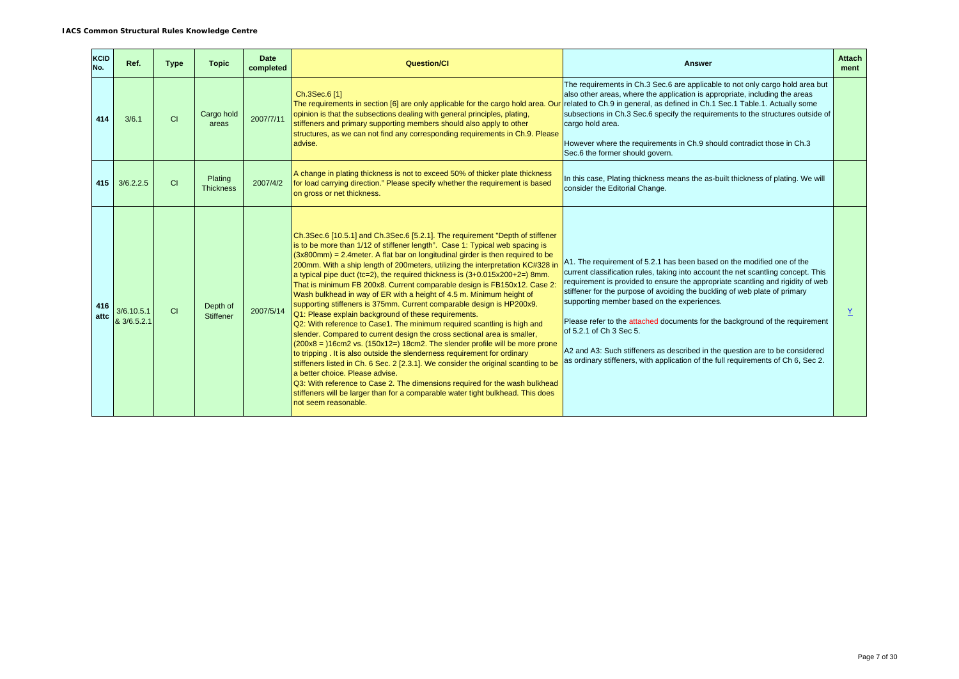| <b>KCID</b><br>No. | Ref.                      | <b>Type</b> | <b>Topic</b>                 | <b>Date</b><br>completed | <b>Question/CI</b>                                                                                                                                                                                                                                                                                                                                                                                                                                                                                                                                                                                                                                                                                                                                                                                                                                                                                                                                                                                                                                                                                                                                                                                                                                                                                                                                           | <b>Answer</b>                                                                                                                                                                                                                                                                                                                                                                                                                                                                                                                                                                                                                                               | <b>Attach</b><br>ment |
|--------------------|---------------------------|-------------|------------------------------|--------------------------|--------------------------------------------------------------------------------------------------------------------------------------------------------------------------------------------------------------------------------------------------------------------------------------------------------------------------------------------------------------------------------------------------------------------------------------------------------------------------------------------------------------------------------------------------------------------------------------------------------------------------------------------------------------------------------------------------------------------------------------------------------------------------------------------------------------------------------------------------------------------------------------------------------------------------------------------------------------------------------------------------------------------------------------------------------------------------------------------------------------------------------------------------------------------------------------------------------------------------------------------------------------------------------------------------------------------------------------------------------------|-------------------------------------------------------------------------------------------------------------------------------------------------------------------------------------------------------------------------------------------------------------------------------------------------------------------------------------------------------------------------------------------------------------------------------------------------------------------------------------------------------------------------------------------------------------------------------------------------------------------------------------------------------------|-----------------------|
| 414                | 3/6.1                     | CI          | Cargo hold<br>areas          | 2007/7/11                | Ch.3Sec.6 [1]<br>The requirements in section [6] are only applicable for the cargo hold area. Our<br>opinion is that the subsections dealing with general principles, plating,<br>stiffeners and primary supporting members should also apply to other<br>structures, as we can not find any corresponding requirements in Ch.9. Please<br>advise.                                                                                                                                                                                                                                                                                                                                                                                                                                                                                                                                                                                                                                                                                                                                                                                                                                                                                                                                                                                                           | The requirements in Ch.3 Sec.6 are applicable to not only cargo hold area but<br>also other areas, where the application is appropriate, including the areas<br>related to Ch.9 in general, as defined in Ch.1 Sec.1 Table.1. Actually some<br>subsections in Ch.3 Sec.6 specify the requirements to the structures outside of<br>cargo hold area.<br>However where the requirements in Ch.9 should contradict those in Ch.3<br>Sec.6 the former should govern.                                                                                                                                                                                             |                       |
| 415                | 3/6.2.2.5                 | <b>CI</b>   | Plating<br><b>Thickness</b>  | 2007/4/2                 | A change in plating thickness is not to exceed 50% of thicker plate thickness<br>for load carrying direction." Please specify whether the requirement is based<br>on gross or net thickness.                                                                                                                                                                                                                                                                                                                                                                                                                                                                                                                                                                                                                                                                                                                                                                                                                                                                                                                                                                                                                                                                                                                                                                 | In this case, Plating thickness means the as-built thickness of plating. We will<br>consider the Editorial Change.                                                                                                                                                                                                                                                                                                                                                                                                                                                                                                                                          |                       |
| 416<br>attc        | 3/6.10.5.1<br>& 3/6.5.2.1 | <b>CI</b>   | Depth of<br><b>Stiffener</b> | 2007/5/14                | Ch.3Sec.6 [10.5.1] and Ch.3Sec.6 [5.2.1]. The requirement "Depth of stiffener<br>is to be more than 1/12 of stiffener length". Case 1: Typical web spacing is<br>$(3x800$ mm) = 2.4 meter. A flat bar on longitudinal girder is then required to be<br>200mm. With a ship length of 200meters, utilizing the interpretation KC#328 in<br>a typical pipe duct (tc=2), the required thickness is $(3+0.015x200+2=)$ 8mm.<br>That is minimum FB 200x8. Current comparable design is FB150x12. Case 2:<br>Wash bulkhead in way of ER with a height of 4.5 m. Minimum height of<br>supporting stiffeners is 375mm. Current comparable design is HP200x9.<br>Q1: Please explain background of these requirements.<br>Q2: With reference to Case1. The minimum required scantling is high and<br>slender. Compared to current design the cross sectional area is smaller,<br>$(200x8 = 16cm2 \text{ vs. } (150x12=) 18cm2$ . The slender profile will be more prone<br>to tripping. It is also outside the slenderness requirement for ordinary<br>stiffeners listed in Ch. 6 Sec. 2 [2.3.1]. We consider the original scantling to be<br>a better choice. Please advise.<br>Q3: With reference to Case 2. The dimensions required for the wash bulkhead<br>stiffeners will be larger than for a comparable water tight bulkhead. This does<br>not seem reasonable. | A1. The requirement of 5.2.1 has been based on the modified one of the<br>current classification rules, taking into account the net scantling concept. This<br>requirement is provided to ensure the appropriate scantling and rigidity of web<br>stiffener for the purpose of avoiding the buckling of web plate of primary<br>supporting member based on the experiences.<br>Please refer to the attached documents for the background of the requirement<br>of 5.2.1 of Ch 3 Sec 5.<br>A2 and A3: Such stiffeners as described in the question are to be considered<br>as ordinary stiffeners, with application of the full requirements of Ch 6, Sec 2. | Y                     |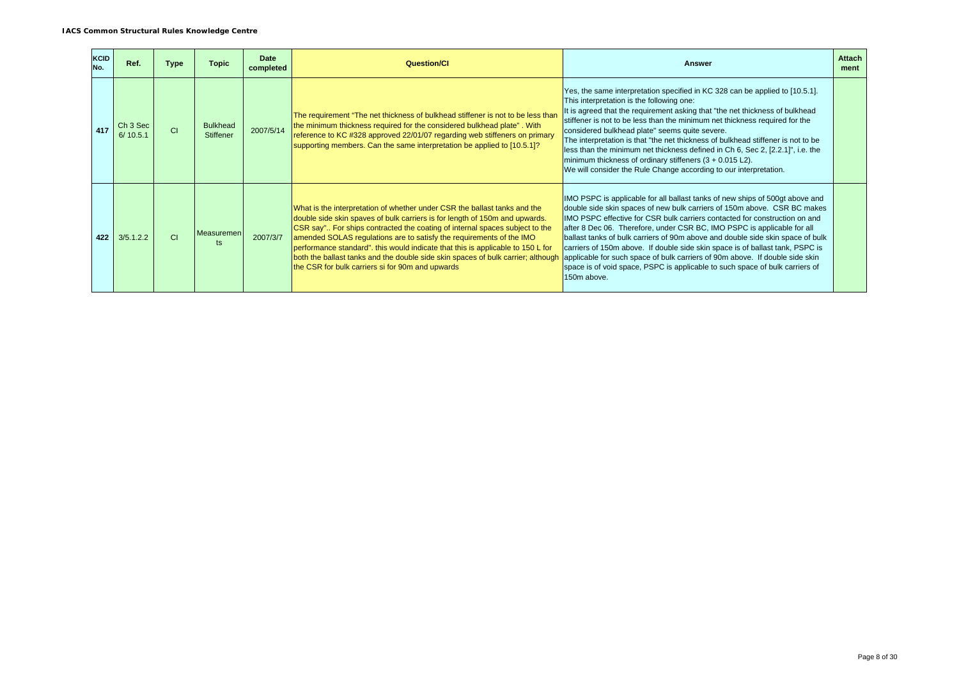| <b>KCID</b><br>No. | Ref.                            | <b>Type</b>    | Topic                        | <b>Date</b><br>completed | <b>Question/CI</b>                                                                                                                                                                                                                                                                                                                                                                                                                                                                                                                         | <b>Answer</b>                                                                                                                                                                                                                                                                                                                                                                                                                                                                                                                                                                                                                                                       | <b>Attach</b><br>ment |
|--------------------|---------------------------------|----------------|------------------------------|--------------------------|--------------------------------------------------------------------------------------------------------------------------------------------------------------------------------------------------------------------------------------------------------------------------------------------------------------------------------------------------------------------------------------------------------------------------------------------------------------------------------------------------------------------------------------------|---------------------------------------------------------------------------------------------------------------------------------------------------------------------------------------------------------------------------------------------------------------------------------------------------------------------------------------------------------------------------------------------------------------------------------------------------------------------------------------------------------------------------------------------------------------------------------------------------------------------------------------------------------------------|-----------------------|
| 417                | Ch <sub>3</sub> Sec<br>6/10.5.1 | C1             | <b>Bulkhead</b><br>Stiffener | 2007/5/14                | The requirement "The net thickness of bulkhead stiffener is not to be less than<br>the minimum thickness required for the considered bulkhead plate". With<br>reference to KC #328 approved 22/01/07 regarding web stiffeners on primary<br>supporting members. Can the same interpretation be applied to [10.5.1]?                                                                                                                                                                                                                        | Yes, the same interpretation specified in KC 328 can be applied to [10.5.1].<br>This interpretation is the following one:<br>It is agreed that the requirement asking that "the net thickness of bulkhead<br>stiffener is not to be less than the minimum net thickness required for the<br>considered bulkhead plate" seems quite severe.<br>The interpretation is that "the net thickness of bulkhead stiffener is not to be<br>less than the minimum net thickness defined in Ch 6, Sec 2, [2.2.1]", i.e. the<br>minimum thickness of ordinary stiffeners $(3 + 0.015 \text{ L2})$ .<br>We will consider the Rule Change according to our interpretation.        |                       |
| 422                | 3/5.1.2.2                       | C <sub>1</sub> | <b>Measuremen</b><br>ts      | 2007/3/7                 | What is the interpretation of whether under CSR the ballast tanks and the<br>double side skin spaves of bulk carriers is for length of 150m and upwards.<br>CSR say" For ships contracted the coating of internal spaces subject to the<br>amended SOLAS regulations are to satisfy the requirements of the IMO<br>performance standard". this would indicate that this is applicable to 150 L for<br>both the ballast tanks and the double side skin spaces of bulk carrier; although<br>the CSR for bulk carriers si for 90m and upwards | IMO PSPC is applicable for all ballast tanks of new ships of 500gt above and<br>double side skin spaces of new bulk carriers of 150m above. CSR BC makes<br>IMO PSPC effective for CSR bulk carriers contacted for construction on and<br>after 8 Dec 06. Therefore, under CSR BC, IMO PSPC is applicable for all<br>ballast tanks of bulk carriers of 90m above and double side skin space of bulk<br>carriers of 150m above. If double side skin space is of ballast tank, PSPC is<br>applicable for such space of bulk carriers of 90m above. If double side skin<br>space is of void space, PSPC is applicable to such space of bulk carriers of<br>150m above. |                       |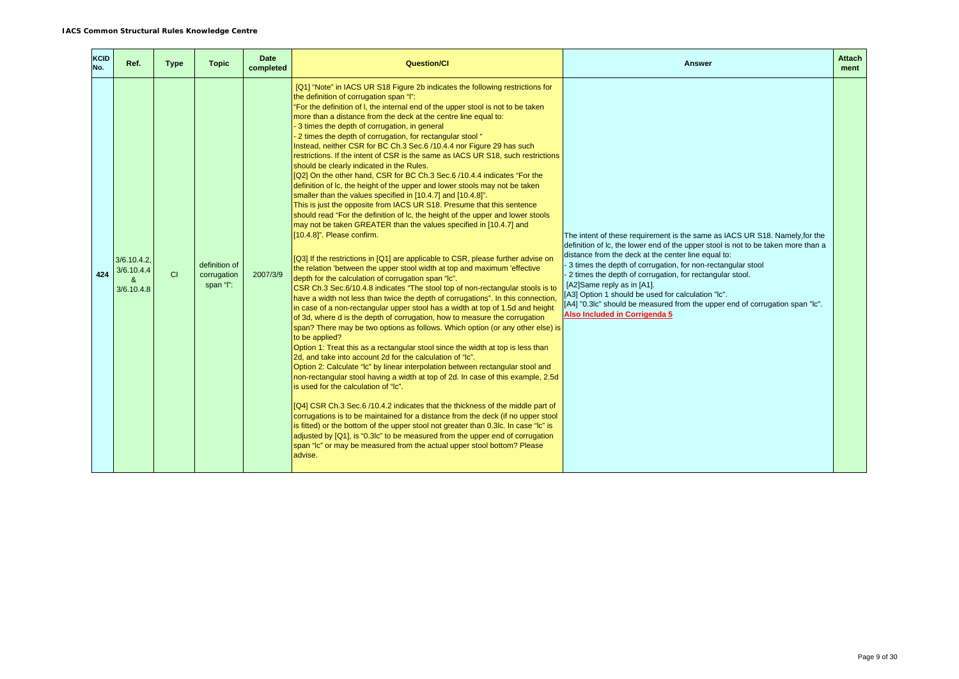| <b>KCID</b><br>No. | Ref.                                       | <b>Type</b> | <b>Topic</b>                              | <b>Date</b><br>completed | <b>Question/CI</b>                                                                                                                                                                                                                                                                                                                                                                                                                                                                                                                                                                                                                                                                                                                                                                                                                                                                                                                                                                                                                                                                                                                                                                                                                                                                                                                                                                                                                                                                                                                                                                                                                                                                                                                                                                                                                                                                                                                                                                                                                                                                                                                                                                                                                                                                                                                                                                                                                                                                                                                                                         | <b>Answer</b>                                                                                                                                                                                                                                                                                                                                                                                                                                                                                                                                             | <b>Attach</b><br>ment |
|--------------------|--------------------------------------------|-------------|-------------------------------------------|--------------------------|----------------------------------------------------------------------------------------------------------------------------------------------------------------------------------------------------------------------------------------------------------------------------------------------------------------------------------------------------------------------------------------------------------------------------------------------------------------------------------------------------------------------------------------------------------------------------------------------------------------------------------------------------------------------------------------------------------------------------------------------------------------------------------------------------------------------------------------------------------------------------------------------------------------------------------------------------------------------------------------------------------------------------------------------------------------------------------------------------------------------------------------------------------------------------------------------------------------------------------------------------------------------------------------------------------------------------------------------------------------------------------------------------------------------------------------------------------------------------------------------------------------------------------------------------------------------------------------------------------------------------------------------------------------------------------------------------------------------------------------------------------------------------------------------------------------------------------------------------------------------------------------------------------------------------------------------------------------------------------------------------------------------------------------------------------------------------------------------------------------------------------------------------------------------------------------------------------------------------------------------------------------------------------------------------------------------------------------------------------------------------------------------------------------------------------------------------------------------------------------------------------------------------------------------------------------------------|-----------------------------------------------------------------------------------------------------------------------------------------------------------------------------------------------------------------------------------------------------------------------------------------------------------------------------------------------------------------------------------------------------------------------------------------------------------------------------------------------------------------------------------------------------------|-----------------------|
| 424                | $3/6.10.4.2$ .<br>3/6.10.4.4<br>3/6.10.4.8 | <b>CI</b>   | definition of<br>corrugation<br>span "l": | 2007/3/9                 | [Q1] "Note" in IACS UR S18 Figure 2b indicates the following restrictions for<br>the definition of corrugation span "I":<br>"For the definition of I, the internal end of the upper stool is not to be taken<br>more than a distance from the deck at the centre line equal to:<br>- 3 times the depth of corrugation, in general<br>- 2 times the depth of corrugation, for rectangular stool "<br>Instead, neither CSR for BC Ch.3 Sec.6 /10.4.4 nor Figure 29 has such<br>restrictions. If the intent of CSR is the same as IACS UR S18, such restrictions<br>should be clearly indicated in the Rules.<br>[Q2] On the other hand, CSR for BC Ch.3 Sec.6 /10.4.4 indicates "For the<br>definition of Ic, the height of the upper and lower stools may not be taken<br>smaller than the values specified in [10.4.7] and [10.4.8]".<br>This is just the opposite from IACS UR S18. Presume that this sentence<br>should read "For the definition of Ic, the height of the upper and lower stools<br>may not be taken GREATER than the values specified in [10.4.7] and<br>[10.4.8]". Please confirm.<br>[Q3] If the restrictions in [Q1] are applicable to CSR, please further advise on<br>the relation 'between the upper stool width at top and maximum 'effective<br>depth for the calculation of corrugation span "Ic".<br>CSR Ch.3 Sec.6/10.4.8 indicates "The stool top of non-rectangular stools is to<br>have a width not less than twice the depth of corrugations". In this connection,<br>in case of a non-rectangular upper stool has a width at top of 1.5d and height<br>of 3d, where d is the depth of corrugation, how to measure the corrugation<br>span? There may be two options as follows. Which option (or any other else) is<br>to be applied?<br>Option 1: Treat this as a rectangular stool since the width at top is less than<br>2d, and take into account 2d for the calculation of "Ic".<br>Option 2: Calculate "Ic" by linear interpolation between rectangular stool and<br>non-rectangular stool having a width at top of 2d. In case of this example, 2.5d<br>is used for the calculation of "Ic".<br>[Q4] CSR Ch.3 Sec.6 /10.4.2 indicates that the thickness of the middle part of<br>corrugations is to be maintained for a distance from the deck (if no upper stool<br>is fitted) or the bottom of the upper stool not greater than 0.3lc. In case "Ic" is<br>adjusted by [Q1], is "0.3lc" to be measured from the upper end of corrugation<br>span "Ic" or may be measured from the actual upper stool bottom? Please<br>advise. | The intent of these requirement is the same as IACS UR S18. Namely, for the<br>definition of Ic, the lower end of the upper stool is not to be taken more than a<br>distance from the deck at the center line equal to:<br>3 times the depth of corrugation, for non-rectangular stool<br>- 2 times the depth of corrugation, for rectangular stool.<br>[A2]Same reply as in [A1].<br>[A3] Option 1 should be used for calculation "Ic".<br>[A4] "0.3lc" should be measured from the upper end of corrugation span "lc".<br>Also Included in Corrigenda 5 |                       |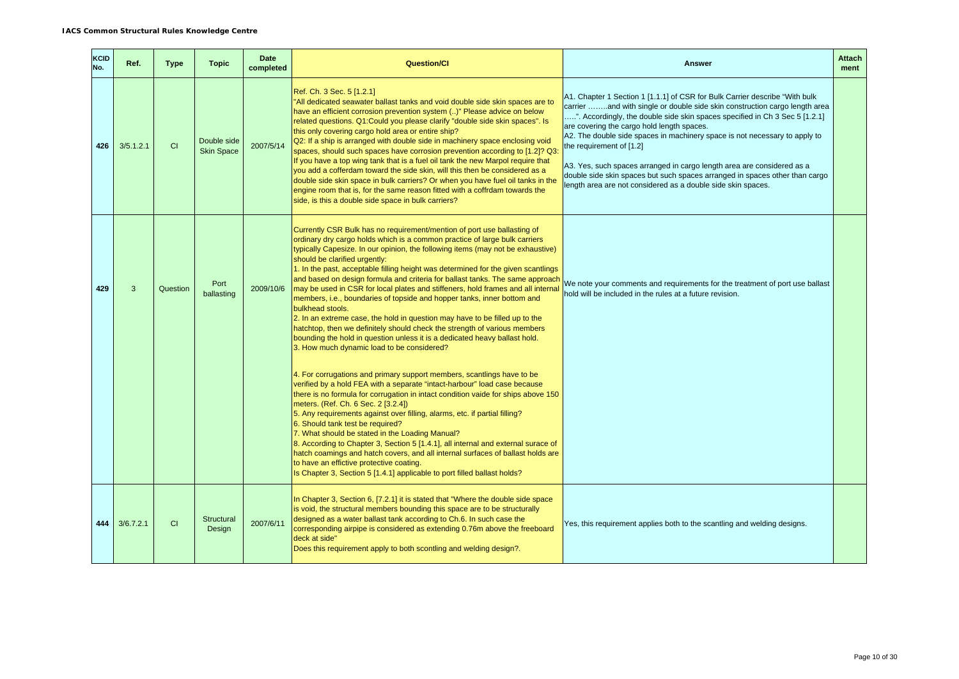| KCID<br>No. | Ref.         | <b>Type</b> | <b>Topic</b>                     | <b>Date</b><br>completed | <b>Question/CI</b>                                                                                                                                                                                                                                                                                                                                                                                                                                                                                                                                                                                                                                                                                                                                                                                                                                                                                                         | <b>Answer</b>                                                                                                                                                                                                                                                                                                                                                                                                                                                                                                                                                                                                            | <b>Attach</b><br>ment |
|-------------|--------------|-------------|----------------------------------|--------------------------|----------------------------------------------------------------------------------------------------------------------------------------------------------------------------------------------------------------------------------------------------------------------------------------------------------------------------------------------------------------------------------------------------------------------------------------------------------------------------------------------------------------------------------------------------------------------------------------------------------------------------------------------------------------------------------------------------------------------------------------------------------------------------------------------------------------------------------------------------------------------------------------------------------------------------|--------------------------------------------------------------------------------------------------------------------------------------------------------------------------------------------------------------------------------------------------------------------------------------------------------------------------------------------------------------------------------------------------------------------------------------------------------------------------------------------------------------------------------------------------------------------------------------------------------------------------|-----------------------|
| 426         | 3/5.1.2.1    | CI          | Double side<br><b>Skin Space</b> | 2007/5/14                | Ref. Ch. 3 Sec. 5 [1.2.1]<br>"All dedicated seawater ballast tanks and void double side skin spaces are to<br>have an efficient corrosion prevention system ()" Please advice on below<br>related questions. Q1: Could you please clarify "double side skin spaces". Is<br>this only covering cargo hold area or entire ship?<br>Q2: If a ship is arranged with double side in machinery space enclosing void<br>spaces, should such spaces have corrosion prevention according to [1.2]? Q3:<br>If you have a top wing tank that is a fuel oil tank the new Marpol require that<br>you add a cofferdam toward the side skin, will this then be considered as a<br>double side skin space in bulk carriers? Or when you have fuel oil tanks in the<br>engine room that is, for the same reason fitted with a coffrdam towards the<br>side, is this a double side space in bulk carriers?                                   | A1. Chapter 1 Section 1 [1.1.1] of CSR for Bulk Carrier describe "With bulk<br>carrier and with single or double side skin construction cargo length area<br>". Accordingly, the double side skin spaces specified in Ch 3 Sec 5 [1.2.1]<br>are covering the cargo hold length spaces.<br>A2. The double side spaces in machinery space is not necessary to apply to<br>the requirement of [1.2]<br>A3. Yes, such spaces arranged in cargo length area are considered as a<br>double side skin spaces but such spaces arranged in spaces other than cargo<br>ength area are not considered as a double side skin spaces. |                       |
| 429         | $\mathbf{3}$ | Question    | Port<br>ballasting               | 2009/10/6                | Currently CSR Bulk has no requirement/mention of port use ballasting of<br>ordinary dry cargo holds which is a common practice of large bulk carriers<br>typically Capesize. In our opinion, the following items (may not be exhaustive)<br>should be clarified urgently:<br>1. In the past, acceptable filling height was determined for the given scantlings<br>and based on design formula and criteria for ballast tanks. The same approach<br>may be used in CSR for local plates and stiffeners, hold frames and all internal<br>members, i.e., boundaries of topside and hopper tanks, inner bottom and<br>bulkhead stools.<br>2. In an extreme case, the hold in question may have to be filled up to the<br>hatchtop, then we definitely should check the strength of various members<br>bounding the hold in question unless it is a dedicated heavy ballast hold.<br>3. How much dynamic load to be considered? | We note your comments and requirements for the treatment of port use ballast<br>hold will be included in the rules at a future revision.                                                                                                                                                                                                                                                                                                                                                                                                                                                                                 |                       |
|             |              |             |                                  |                          | 4. For corrugations and primary support members, scantlings have to be<br>verified by a hold FEA with a separate "intact-harbour" load case because<br>there is no formula for corrugation in intact condition vaide for ships above 150<br>meters. (Ref. Ch. 6 Sec. 2 [3.2.4])<br>5. Any requirements against over filling, alarms, etc. if partial filling?<br>6. Should tank test be required?<br>7. What should be stated in the Loading Manual?<br>8. According to Chapter 3, Section 5 [1.4.1], all internal and external surace of<br>hatch coamings and hatch covers, and all internal surfaces of ballast holds are<br>to have an effictive protective coating.<br>Is Chapter 3, Section 5 [1.4.1] applicable to port filled ballast holds?                                                                                                                                                                       |                                                                                                                                                                                                                                                                                                                                                                                                                                                                                                                                                                                                                          |                       |
| 444         | 3/6.7.2.1    | <b>CI</b>   | Structural<br>Design             | 2007/6/11                | In Chapter 3, Section 6, [7.2.1] it is stated that "Where the double side space<br>is void, the structural members bounding this space are to be structurally<br>designed as a water ballast tank according to Ch.6. In such case the<br>corresponding airpipe is considered as extending 0.76m above the freeboard<br>deck at side"<br>Does this requirement apply to both scontling and welding design?.                                                                                                                                                                                                                                                                                                                                                                                                                                                                                                                 | Yes, this requirement applies both to the scantling and welding designs.                                                                                                                                                                                                                                                                                                                                                                                                                                                                                                                                                 |                       |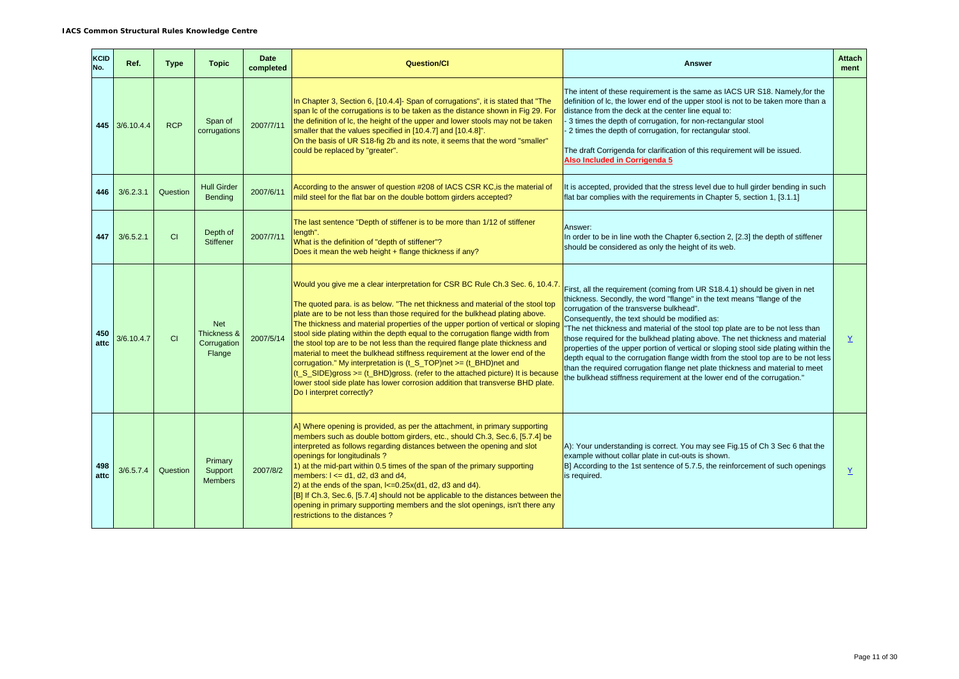| <b>KCID</b><br>No. | Ref.           | <b>Type</b> | <b>Topic</b>                                       | <b>Date</b><br>completed | <b>Question/Cl</b>                                                                                                                                                                                                                                                                                                                                                                                                                                                                                                                                                                                                                                                                                                                                                                                                                                           | Answer                                                                                                                                                                                                                                                                                                                                                                                                                                                                                                                                                                                                                                                                                                                                                         | <b>Attach</b><br>ment |
|--------------------|----------------|-------------|----------------------------------------------------|--------------------------|--------------------------------------------------------------------------------------------------------------------------------------------------------------------------------------------------------------------------------------------------------------------------------------------------------------------------------------------------------------------------------------------------------------------------------------------------------------------------------------------------------------------------------------------------------------------------------------------------------------------------------------------------------------------------------------------------------------------------------------------------------------------------------------------------------------------------------------------------------------|----------------------------------------------------------------------------------------------------------------------------------------------------------------------------------------------------------------------------------------------------------------------------------------------------------------------------------------------------------------------------------------------------------------------------------------------------------------------------------------------------------------------------------------------------------------------------------------------------------------------------------------------------------------------------------------------------------------------------------------------------------------|-----------------------|
|                    | 445 3/6.10.4.4 | <b>RCP</b>  | Span of<br>corrugations                            | 2007/7/11                | In Chapter 3, Section 6, [10.4.4]- Span of corrugations", it is stated that "The<br>span Ic of the corrugations is to be taken as the distance shown in Fig 29. For<br>the definition of Ic, the height of the upper and lower stools may not be taken<br>smaller that the values specified in [10.4.7] and [10.4.8]".<br>On the basis of UR S18-fig 2b and its note, it seems that the word "smaller"<br>could be replaced by "greater".                                                                                                                                                                                                                                                                                                                                                                                                                    | The intent of these requirement is the same as IACS UR S18. Namely, for the<br>definition of Ic, the lower end of the upper stool is not to be taken more than a<br>distance from the deck at the center line equal to:<br>3 times the depth of corrugation, for non-rectangular stool<br>2 times the depth of corrugation, for rectangular stool.<br>The draft Corrigenda for clarification of this requirement will be issued.<br>Also Included in Corrigenda 5                                                                                                                                                                                                                                                                                              |                       |
| 446                | 3/6.2.3.1      | Question    | <b>Hull Girder</b><br><b>Bending</b>               | 2007/6/11                | According to the answer of question #208 of IACS CSR KC, is the material of<br>mild steel for the flat bar on the double bottom girders accepted?                                                                                                                                                                                                                                                                                                                                                                                                                                                                                                                                                                                                                                                                                                            | It is accepted, provided that the stress level due to hull girder bending in such<br>flat bar complies with the requirements in Chapter 5, section 1, [3.1.1]                                                                                                                                                                                                                                                                                                                                                                                                                                                                                                                                                                                                  |                       |
| 447                | 3/6.5.2.1      | CI          | Depth of<br><b>Stiffener</b>                       | 2007/7/11                | The last sentence "Depth of stiffener is to be more than 1/12 of stiffener<br>length".<br>What is the definition of "depth of stiffener"?<br>Does it mean the web height + flange thickness if any?                                                                                                                                                                                                                                                                                                                                                                                                                                                                                                                                                                                                                                                          | Answer:<br>In order to be in line woth the Chapter 6, section 2, [2.3] the depth of stiffener<br>should be considered as only the height of its web.                                                                                                                                                                                                                                                                                                                                                                                                                                                                                                                                                                                                           |                       |
| 450<br>attc        | 3/6.10.4.7     | CI          | <b>Net</b><br>Thickness &<br>Corrugation<br>Flange | 2007/5/14                | Would you give me a clear interpretation for CSR BC Rule Ch.3 Sec. 6, 10.4.7.<br>The quoted para. is as below. "The net thickness and material of the stool top<br>plate are to be not less than those required for the bulkhead plating above.<br>The thickness and material properties of the upper portion of vertical or sloping<br>stool side plating within the depth equal to the corrugation flange width from<br>the stool top are to be not less than the required flange plate thickness and<br>material to meet the bulkhead stiffness requirement at the lower end of the<br>corrugation." My interpretation is (t_S_TOP)net >= (t_BHD)net and<br>(t_S_SIDE)gross >= (t_BHD)gross. (refer to the attached picture) It is because<br>lower stool side plate has lower corrosion addition that transverse BHD plate.<br>Do I interpret correctly? | First, all the requirement (coming from UR S18.4.1) should be given in net<br>thickness. Secondly, the word "flange" in the text means "flange of the<br>corrugation of the transverse bulkhead".<br>Consequently, the text should be modified as:<br>The net thickness and material of the stool top plate are to be not less than<br>those required for the bulkhead plating above. The net thickness and material<br>properties of the upper portion of vertical or sloping stool side plating within the<br>depth equal to the corrugation flange width from the stool top are to be not less<br>than the required corrugation flange net plate thickness and material to meet<br>the bulkhead stiffness requirement at the lower end of the corrugation." | $\underline{Y}$       |
| 498<br>attc        | 3/6.5.7.4      | Question    | Primary<br>Support<br><b>Members</b>               | 2007/8/2                 | A] Where opening is provided, as per the attachment, in primary supporting<br>members such as double bottom girders, etc., should Ch.3, Sec.6, [5.7.4] be<br>interpreted as follows regarding distances between the opening and slot<br>openings for longitudinals?<br>1) at the mid-part within 0.5 times of the span of the primary supporting<br>members: $I \le d1$ , $d2$ , $d3$ and $d4$ ,<br>2) at the ends of the span, $k=0.25x(d1, d2, d3$ and $d4)$ .<br>[B] If Ch.3, Sec.6, [5.7.4] should not be applicable to the distances between the<br>opening in primary supporting members and the slot openings, isn't there any<br>restrictions to the distances?                                                                                                                                                                                      | A): Your understanding is correct. You may see Fig. 15 of Ch 3 Sec 6 that the<br>example without collar plate in cut-outs is shown.<br>B] According to the 1st sentence of 5.7.5, the reinforcement of such openings<br>is required.                                                                                                                                                                                                                                                                                                                                                                                                                                                                                                                           | $\underline{Y}$       |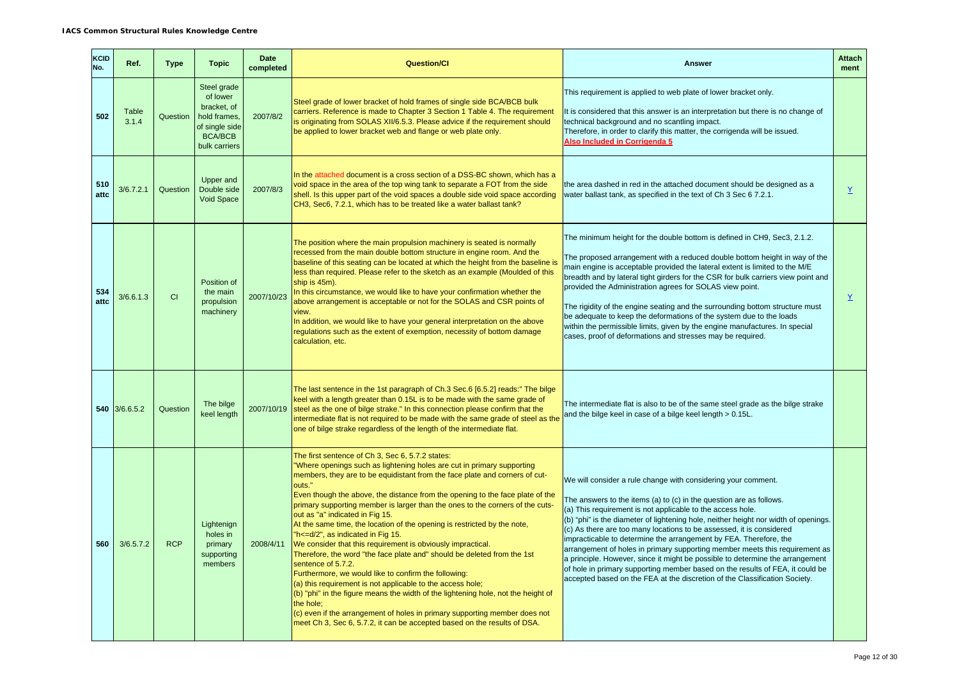| KCID<br>No. | Ref.           | <b>Type</b> | <b>Topic</b>                                                                                                | <b>Date</b><br>completed | <b>Question/Cl</b>                                                                                                                                                                                                                                                                                                                                                                                                                                                                                                                                                                                                                                                                                                                                                                                                                                                                                                                                                                                                                                                                            | <b>Answer</b>                                                                                                                                                                                                                                                                                                                                                                                                                                                                                                                                                                                                                                                                                                                                                         | <b>Attach</b><br>ment    |
|-------------|----------------|-------------|-------------------------------------------------------------------------------------------------------------|--------------------------|-----------------------------------------------------------------------------------------------------------------------------------------------------------------------------------------------------------------------------------------------------------------------------------------------------------------------------------------------------------------------------------------------------------------------------------------------------------------------------------------------------------------------------------------------------------------------------------------------------------------------------------------------------------------------------------------------------------------------------------------------------------------------------------------------------------------------------------------------------------------------------------------------------------------------------------------------------------------------------------------------------------------------------------------------------------------------------------------------|-----------------------------------------------------------------------------------------------------------------------------------------------------------------------------------------------------------------------------------------------------------------------------------------------------------------------------------------------------------------------------------------------------------------------------------------------------------------------------------------------------------------------------------------------------------------------------------------------------------------------------------------------------------------------------------------------------------------------------------------------------------------------|--------------------------|
| 502         | Table<br>3.1.4 | Question    | Steel grade<br>of lower<br>bracket. of<br>hold frames.<br>of single side<br><b>BCA/BCB</b><br>bulk carriers | 2007/8/2                 | Steel grade of lower bracket of hold frames of single side BCA/BCB bulk<br>carriers. Reference is made to Chapter 3 Section 1 Table 4. The requirement<br>is originating from SOLAS XII/6.5.3. Please advice if the requirement should<br>be applied to lower bracket web and flange or web plate only.                                                                                                                                                                                                                                                                                                                                                                                                                                                                                                                                                                                                                                                                                                                                                                                       | This requirement is applied to web plate of lower bracket only.<br>It is considered that this answer is an interpretation but there is no change of<br>technical background and no scantling impact.<br>Therefore, in order to clarify this matter, the corrigenda will be issued.<br>Also Included in Corrigenda 5                                                                                                                                                                                                                                                                                                                                                                                                                                                   |                          |
| 510<br>attc | 3/6.7.2.1      | Question    | <b>Upper and</b><br>Double side<br>Void Space                                                               | 2007/8/3                 | In the attached document is a cross section of a DSS-BC shown, which has a<br>void space in the area of the top wing tank to separate a FOT from the side<br>shell. Is this upper part of the void spaces a double side void space according<br>CH3, Sec6, 7.2.1, which has to be treated like a water ballast tank?                                                                                                                                                                                                                                                                                                                                                                                                                                                                                                                                                                                                                                                                                                                                                                          | the area dashed in red in the attached document should be designed as a<br>water ballast tank, as specified in the text of Ch 3 Sec 6 7.2.1.                                                                                                                                                                                                                                                                                                                                                                                                                                                                                                                                                                                                                          | Y                        |
| 534<br>attc | 3/6.6.1.3      | <b>CI</b>   | Position of<br>the main<br>propulsion<br>machinery                                                          | 2007/10/23               | The position where the main propulsion machinery is seated is normally<br>recessed from the main double bottom structure in engine room. And the<br>baseline of this seating can be located at which the height from the baseline is<br>less than required. Please refer to the sketch as an example (Moulded of this<br>ship is 45m).<br>In this circumstance, we would like to have your confirmation whether the<br>above arrangement is acceptable or not for the SOLAS and CSR points of<br>view.<br>In addition, we would like to have your general interpretation on the above<br>regulations such as the extent of exemption, necessity of bottom damage<br>calculation, etc.                                                                                                                                                                                                                                                                                                                                                                                                         | The minimum height for the double bottom is defined in CH9, Sec3, 2.1.2.<br>The proposed arrangement with a reduced double bottom height in way of the<br>main engine is acceptable provided the lateral extent is limited to the M/E<br>breadth and by lateral tight girders for the CSR for bulk carriers view point and<br>provided the Administration agrees for SOLAS view point.<br>The rigidity of the engine seating and the surrounding bottom structure must<br>be adequate to keep the deformations of the system due to the loads<br>within the permissible limits, given by the engine manufactures. In special<br>cases, proof of deformations and stresses may be required.                                                                            | $\underline{\mathsf{Y}}$ |
|             | 540 3/6.6.5.2  | Question    | The bilge<br>keel length                                                                                    | 2007/10/19               | The last sentence in the 1st paragraph of Ch.3 Sec.6 [6.5.2] reads:" The bilge<br>keel with a length greater than 0.15L is to be made with the same grade of<br>steel as the one of bilge strake." In this connection please confirm that the<br>intermediate flat is not required to be made with the same grade of steel as the<br>one of bilge strake regardless of the length of the intermediate flat.                                                                                                                                                                                                                                                                                                                                                                                                                                                                                                                                                                                                                                                                                   | The intermediate flat is also to be of the same steel grade as the bilge strake<br>and the bilge keel in case of a bilge keel length > 0.15L.                                                                                                                                                                                                                                                                                                                                                                                                                                                                                                                                                                                                                         |                          |
| 560         | 3/6.5.7.2      | <b>RCP</b>  | Lightenign<br>holes in<br>primary<br>supporting<br>members                                                  | 2008/4/11                | The first sentence of Ch 3, Sec 6, 5.7.2 states:<br>"Where openings such as lightening holes are cut in primary supporting<br>members, they are to be equidistant from the face plate and corners of cut-<br>outs."<br>Even though the above, the distance from the opening to the face plate of the<br>primary supporting member is larger than the ones to the corners of the cuts-<br>out as "a" indicated in Fig 15.<br>At the same time, the location of the opening is restricted by the note,<br>"h<=d/2", as indicated in Fig 15.<br>We consider that this requirement is obviously impractical.<br>Therefore, the word "the face plate and" should be deleted from the 1st<br>sentence of 5.7.2.<br>Furthermore, we would like to confirm the following:<br>(a) this requirement is not applicable to the access hole;<br>(b) "phi" in the figure means the width of the lightening hole, not the height of<br>the hole:<br>$(c)$ even if the arrangement of holes in primary supporting member does not<br>meet Ch 3, Sec 6, 5.7.2, it can be accepted based on the results of DSA. | We will consider a rule change with considering your comment.<br>The answers to the items (a) to (c) in the question are as follows.<br>(a) This requirement is not applicable to the access hole.<br>(b) "phi" is the diameter of lightening hole, neither height nor width of openings.<br>(c) As there are too many locations to be assessed, it is considered<br>impracticable to determine the arrangement by FEA. Therefore, the<br>arrangement of holes in primary supporting member meets this requirement as<br>a principle. However, since it might be possible to determine the arrangement<br>of hole in primary supporting member based on the results of FEA, it could be<br>accepted based on the FEA at the discretion of the Classification Society. |                          |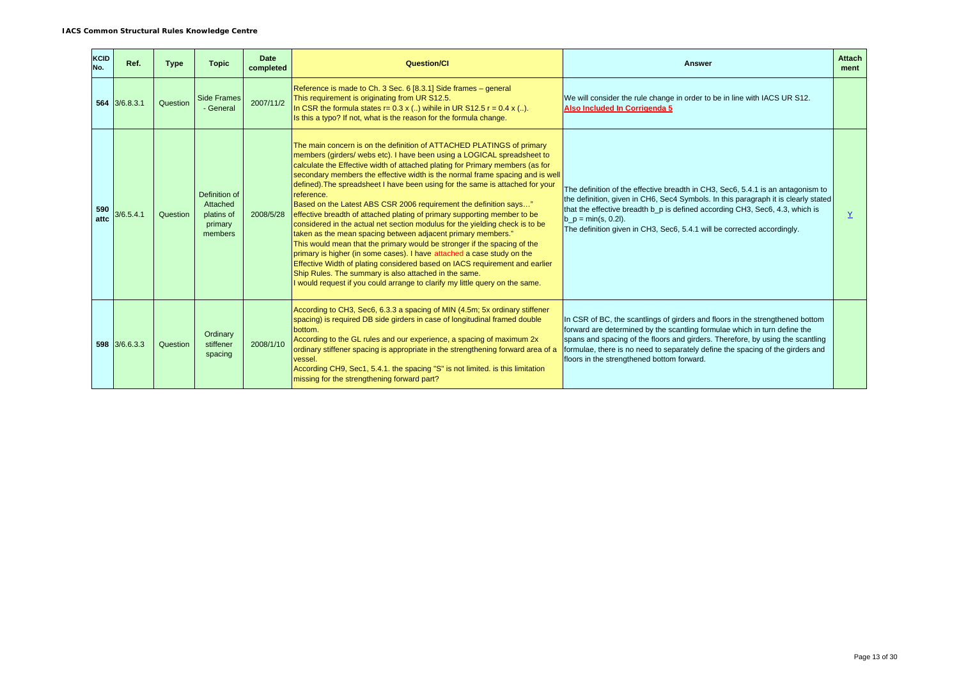| <b>KCID</b><br>No. | Ref.            | <b>Type</b> | <b>Topic</b>                                                  | Date<br>completed | <b>Question/CI</b>                                                                                                                                                                                                                                                                                                                                                                                                                                                                                                                                                                                                                                                                                                                                                                                                                                                                                                                                                                                                                                                                               | <b>Answer</b>                                                                                                                                                                                                                                                                                                                                                                | <b>Attach</b><br>ment |
|--------------------|-----------------|-------------|---------------------------------------------------------------|-------------------|--------------------------------------------------------------------------------------------------------------------------------------------------------------------------------------------------------------------------------------------------------------------------------------------------------------------------------------------------------------------------------------------------------------------------------------------------------------------------------------------------------------------------------------------------------------------------------------------------------------------------------------------------------------------------------------------------------------------------------------------------------------------------------------------------------------------------------------------------------------------------------------------------------------------------------------------------------------------------------------------------------------------------------------------------------------------------------------------------|------------------------------------------------------------------------------------------------------------------------------------------------------------------------------------------------------------------------------------------------------------------------------------------------------------------------------------------------------------------------------|-----------------------|
|                    | $564$ 3/6.8.3.1 | Question    | <b>Side Frames</b><br>- General                               | 2007/11/2         | Reference is made to Ch. 3 Sec. 6 [8.3.1] Side frames - general<br>This requirement is originating from UR S12.5.<br>In CSR the formula states $r = 0.3$ x () wihile in UR S12.5 $r = 0.4$ x ().<br>Is this a typo? If not, what is the reason for the formula change.                                                                                                                                                                                                                                                                                                                                                                                                                                                                                                                                                                                                                                                                                                                                                                                                                           | We will consider the rule change in order to be in line with IACS UR S12.<br>Also Included In Corrigenda 5                                                                                                                                                                                                                                                                   |                       |
| 590<br>attc        | 3/6.5.4.1       | Question    | Definition of<br>Attached<br>platins of<br>primary<br>members | 2008/5/28         | The main concern is on the definition of ATTACHED PLATINGS of primary<br>members (girders/ webs etc). I have been using a LOGICAL spreadsheet to<br>calculate the Effective width of attached plating for Primary members (as for<br>secondary members the effective width is the normal frame spacing and is well<br>defined). The spreadsheet I have been using for the same is attached for your<br>reference.<br>Based on the Latest ABS CSR 2006 requirement the definition says"<br>effective breadth of attached plating of primary supporting member to be<br>considered in the actual net section modulus for the yielding check is to be<br>taken as the mean spacing between adjacent primary members."<br>This would mean that the primary would be stronger if the spacing of the<br>primary is higher (in some cases). I have attached a case study on the<br>Effective Width of plating considered based on IACS requirement and earlier<br>Ship Rules. The summary is also attached in the same.<br>I would request if you could arrange to clarify my little query on the same. | The definition of the effective breadth in CH3, Sec6, 5.4.1 is an antagonism to<br>the definition, given in CH6, Sec4 Symbols. In this paragraph it is clearly stated<br>that the effective breadth b_p is defined according CH3, Sec6, 4.3, which is<br>$b_p = min(s, 0.2l)$ .<br>The definition given in CH3, Sec6, 5.4.1 will be corrected accordingly.                   | Y                     |
|                    | 598 3/6.6.3.3   | Question    | Ordinary<br>stiffener<br>spacing                              | 2008/1/10         | According to CH3, Sec6, 6.3.3 a spacing of MIN (4.5m; 5x ordinary stiffener<br>spacing) is required DB side girders in case of longitudinal framed double<br>bottom.<br>According to the GL rules and our experience, a spacing of maximum 2x<br>ordinary stiffener spacing is appropriate in the strengthening forward area of a<br>vessel.<br>According CH9, Sec1, 5.4.1. the spacing "S" is not limited. is this limitation<br>missing for the strengthening forward part?                                                                                                                                                                                                                                                                                                                                                                                                                                                                                                                                                                                                                    | In CSR of BC, the scantlings of girders and floors in the strengthened bottom<br>forward are determined by the scantling formulae which in turn define the<br>spans and spacing of the floors and girders. Therefore, by using the scantling<br>formulae, there is no need to separately define the spacing of the girders and<br>floors in the strengthened bottom forward. |                       |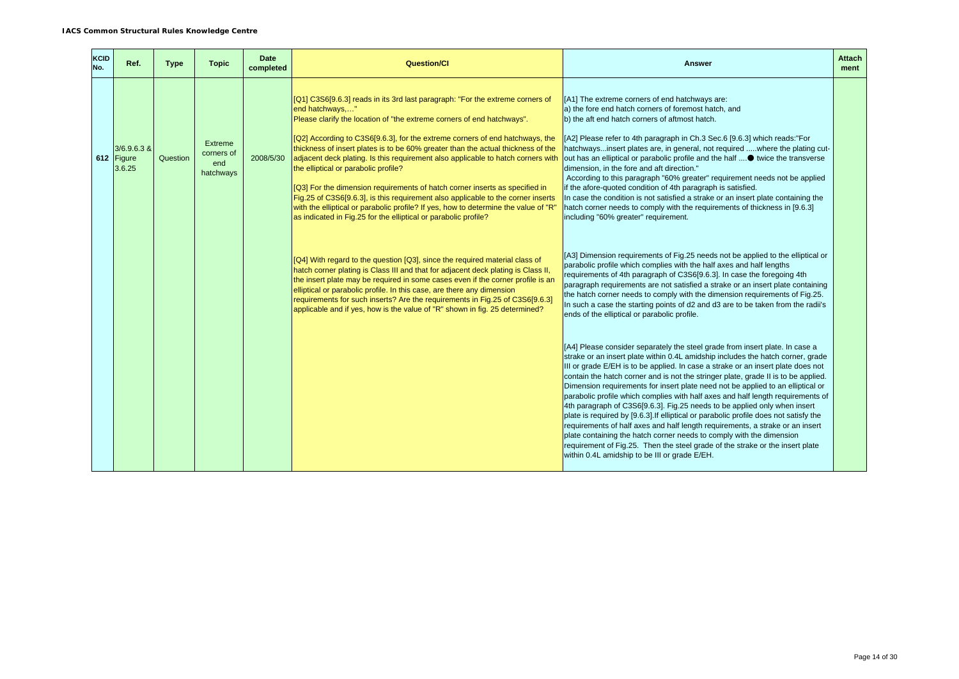| KCID<br>No. | Ref.                                  | <b>Type</b> | <b>Topic</b>                                     | Date<br>completed | <b>Question/CI</b>                                                                                                                                                                                                                                                                                                                                                                                                                                                                                                                                                                                                                                                                                                                                                                                      | <b>Answer</b>                                                                                                                                                                                                                                                                                                                                                                                                                                                                                                                                                                                                                                                                                                                                                                                                                                                                                                                                                                    | <b>Attach</b><br>ment |
|-------------|---------------------------------------|-------------|--------------------------------------------------|-------------------|---------------------------------------------------------------------------------------------------------------------------------------------------------------------------------------------------------------------------------------------------------------------------------------------------------------------------------------------------------------------------------------------------------------------------------------------------------------------------------------------------------------------------------------------------------------------------------------------------------------------------------------------------------------------------------------------------------------------------------------------------------------------------------------------------------|----------------------------------------------------------------------------------------------------------------------------------------------------------------------------------------------------------------------------------------------------------------------------------------------------------------------------------------------------------------------------------------------------------------------------------------------------------------------------------------------------------------------------------------------------------------------------------------------------------------------------------------------------------------------------------------------------------------------------------------------------------------------------------------------------------------------------------------------------------------------------------------------------------------------------------------------------------------------------------|-----------------------|
|             | $3/6.9.6.3$ &<br>612 Figure<br>3.6.25 | Question    | <b>Extreme</b><br>corners of<br>end<br>hatchways | 2008/5/30         | [Q1] C3S6[9.6.3] reads in its 3rd last paragraph: "For the extreme corners of<br>end hatchways,"<br>Please clarify the location of "the extreme corners of end hatchways".<br>[Q2] According to C3S6[9.6.3], for the extreme corners of end hatchways, the<br>thickness of insert plates is to be 60% greater than the actual thickness of the<br>adjacent deck plating. Is this requirement also applicable to hatch corners with<br>the elliptical or parabolic profile?<br>[Q3] For the dimension requirements of hatch corner inserts as specified in<br>Fig.25 of C3S6[9.6.3], is this requirement also applicable to the corner inserts<br>with the elliptical or parabolic profile? If yes, how to determine the value of "R"<br>as indicated in Fig.25 for the elliptical or parabolic profile? | [A1] The extreme corners of end hatchways are:<br>a) the fore end hatch corners of foremost hatch, and<br>b) the aft end hatch corners of aftmost hatch.<br>[A2] Please refer to 4th paragraph in Ch.3 Sec.6 [9.6.3] which reads:"For<br>hatchwaysinsert plates are, in general, not required where the plating cut-<br>out has an elliptical or parabolic profile and the half  twice the transverse<br>dimension, in the fore and aft direction."<br>According to this paragraph "60% greater" requirement needs not be applied<br>if the afore-quoted condition of 4th paragraph is satisfied.<br>In case the condition is not satisfied a strake or an insert plate containing the<br>hatch corner needs to comply with the requirements of thickness in [9.6.3]<br>including "60% greater" requirement.                                                                                                                                                                     |                       |
|             |                                       |             |                                                  |                   | [Q4] With regard to the question [Q3], since the required material class of<br>hatch corner plating is Class III and that for adjacent deck plating is Class II,<br>the insert plate may be required in some cases even if the corner profile is an<br>elliptical or parabolic profile. In this case, are there any dimension<br>requirements for such inserts? Are the requirements in Fig.25 of C3S6[9.6.3]<br>applicable and if yes, how is the value of "R" shown in fig. 25 determined?                                                                                                                                                                                                                                                                                                            | [A3] Dimension requirements of Fig.25 needs not be applied to the elliptical or<br>parabolic profile which complies with the half axes and half lengths<br>requirements of 4th paragraph of C3S6[9.6.3]. In case the foregoing 4th<br>paragraph requirements are not satisfied a strake or an insert plate containing<br>the hatch corner needs to comply with the dimension requirements of Fig.25.<br>In such a case the starting points of d2 and d3 are to be taken from the radii's<br>ends of the elliptical or parabolic profile.                                                                                                                                                                                                                                                                                                                                                                                                                                         |                       |
|             |                                       |             |                                                  |                   |                                                                                                                                                                                                                                                                                                                                                                                                                                                                                                                                                                                                                                                                                                                                                                                                         | [A4] Please consider separately the steel grade from insert plate. In case a<br>strake or an insert plate within 0.4L amidship includes the hatch corner, grade<br>III or grade E/EH is to be applied. In case a strake or an insert plate does not<br>contain the hatch corner and is not the stringer plate, grade II is to be applied.<br>Dimension requirements for insert plate need not be applied to an elliptical or<br>parabolic profile which complies with half axes and half length requirements of<br>4th paragraph of C3S6[9.6.3]. Fig.25 needs to be applied only when insert<br>plate is required by [9.6.3]. If elliptical or parabolic profile does not satisfy the<br>requirements of half axes and half length requirements, a strake or an insert<br>plate containing the hatch corner needs to comply with the dimension<br>requirement of Fig.25. Then the steel grade of the strake or the insert plate<br>within 0.4L amidship to be III or grade E/EH. |                       |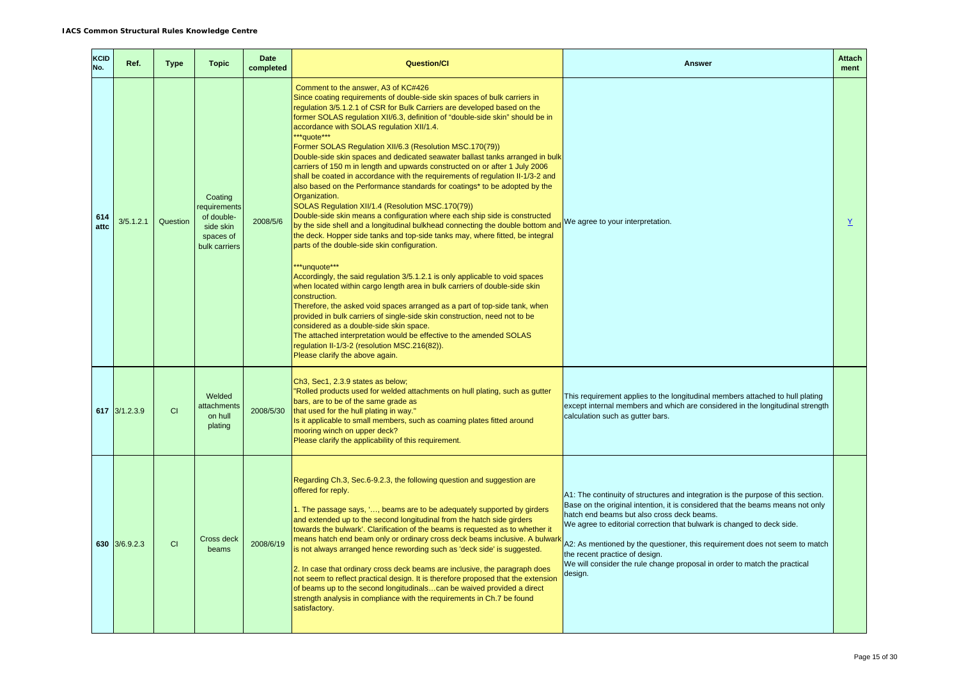| KCID<br>No. | Ref.          | <b>Type</b> | <b>Topic</b>                                                                    | <b>Date</b><br>completed | <b>Question/CI</b>                                                                                                                                                                                                                                                                                                                                                                                                                                                                                                                                                                                                                                                                                                                                                                                                                                                                                                                                                                                                                                                                                                                                                                                                                                                                                                                                                                                                                                                                                                                                                                                                                                                             | <b>Answer</b>                                                                                                                                                                                                                                                                                                                                                                                                                                                                                       | <b>Attach</b><br>ment |
|-------------|---------------|-------------|---------------------------------------------------------------------------------|--------------------------|--------------------------------------------------------------------------------------------------------------------------------------------------------------------------------------------------------------------------------------------------------------------------------------------------------------------------------------------------------------------------------------------------------------------------------------------------------------------------------------------------------------------------------------------------------------------------------------------------------------------------------------------------------------------------------------------------------------------------------------------------------------------------------------------------------------------------------------------------------------------------------------------------------------------------------------------------------------------------------------------------------------------------------------------------------------------------------------------------------------------------------------------------------------------------------------------------------------------------------------------------------------------------------------------------------------------------------------------------------------------------------------------------------------------------------------------------------------------------------------------------------------------------------------------------------------------------------------------------------------------------------------------------------------------------------|-----------------------------------------------------------------------------------------------------------------------------------------------------------------------------------------------------------------------------------------------------------------------------------------------------------------------------------------------------------------------------------------------------------------------------------------------------------------------------------------------------|-----------------------|
| 614<br>attc | 3/5.1.2.1     | Question    | Coating<br>equirements<br>of double-<br>side skin<br>spaces of<br>bulk carriers | 2008/5/6                 | Comment to the answer. A3 of KC#426<br>Since coating requirements of double-side skin spaces of bulk carriers in<br>regulation 3/5.1.2.1 of CSR for Bulk Carriers are developed based on the<br>former SOLAS regulation XII/6.3, definition of "double-side skin" should be in<br>accordance with SOLAS regulation XII/1.4.<br>**quote***<br>Former SOLAS Regulation XII/6.3 (Resolution MSC.170(79))<br>Double-side skin spaces and dedicated seawater ballast tanks arranged in bulk<br>carriers of 150 m in length and upwards constructed on or after 1 July 2006<br>shall be coated in accordance with the requirements of regulation II-1/3-2 and<br>also based on the Performance standards for coatings* to be adopted by the<br>Organization.<br>SOLAS Regulation XII/1.4 (Resolution MSC.170(79))<br>Double-side skin means a configuration where each ship side is constructed<br>by the side shell and a longitudinal bulkhead connecting the double bottom and<br>the deck. Hopper side tanks and top-side tanks may, where fitted, be integral<br>parts of the double-side skin configuration.<br>***unquote***<br>Accordingly, the said regulation 3/5.1.2.1 is only applicable to void spaces<br>when located within cargo length area in bulk carriers of double-side skin<br>construction.<br>Therefore, the asked void spaces arranged as a part of top-side tank, when<br>provided in bulk carriers of single-side skin construction, need not to be<br>considered as a double-side skin space.<br>The attached interpretation would be effective to the amended SOLAS<br>regulation II-1/3-2 (resolution MSC.216(82)).<br>Please clarify the above again. | We agree to your interpretation.                                                                                                                                                                                                                                                                                                                                                                                                                                                                    | $\underline{Y}$       |
|             | 617 3/1.2.3.9 | <b>CI</b>   | Welded<br>attachments<br>on hull<br>plating                                     | 2008/5/30                | Ch3, Sec1, 2.3.9 states as below;<br>"Rolled products used for welded attachments on hull plating, such as gutter<br>bars, are to be of the same grade as<br>that used for the hull plating in way."<br>Is it applicable to small members, such as coaming plates fitted around<br>mooring winch on upper deck?<br>Please clarify the applicability of this requirement.                                                                                                                                                                                                                                                                                                                                                                                                                                                                                                                                                                                                                                                                                                                                                                                                                                                                                                                                                                                                                                                                                                                                                                                                                                                                                                       | This requirement applies to the longitudinal members attached to hull plating<br>except internal members and which are considered in the longitudinal strength<br>calculation such as gutter bars.                                                                                                                                                                                                                                                                                                  |                       |
|             | 630 3/6.9.2.3 | CI          | Cross deck<br>beams                                                             | 2008/6/19                | Regarding Ch.3, Sec.6-9.2.3, the following question and suggestion are<br>offered for reply.<br>1. The passage says, ', beams are to be adequately supported by girders<br>and extended up to the second longitudinal from the hatch side girders<br>towards the bulwark'. Clarification of the beams is requested as to whether it<br>means hatch end beam only or ordinary cross deck beams inclusive. A bulwark<br>is not always arranged hence rewording such as 'deck side' is suggested.<br>2. In case that ordinary cross deck beams are inclusive, the paragraph does<br>not seem to reflect practical design. It is therefore proposed that the extension<br>of beams up to the second longitudinalscan be waived provided a direct<br>strength analysis in compliance with the requirements in Ch.7 be found<br>satisfactory.                                                                                                                                                                                                                                                                                                                                                                                                                                                                                                                                                                                                                                                                                                                                                                                                                                        | A1: The continuity of structures and integration is the purpose of this section.<br>Base on the original intention, it is considered that the beams means not only<br>hatch end beams but also cross deck beams.<br>We agree to editorial correction that bulwark is changed to deck side.<br>A2: As mentioned by the questioner, this requirement does not seem to match<br>the recent practice of design.<br>We will consider the rule change proposal in order to match the practical<br>design. |                       |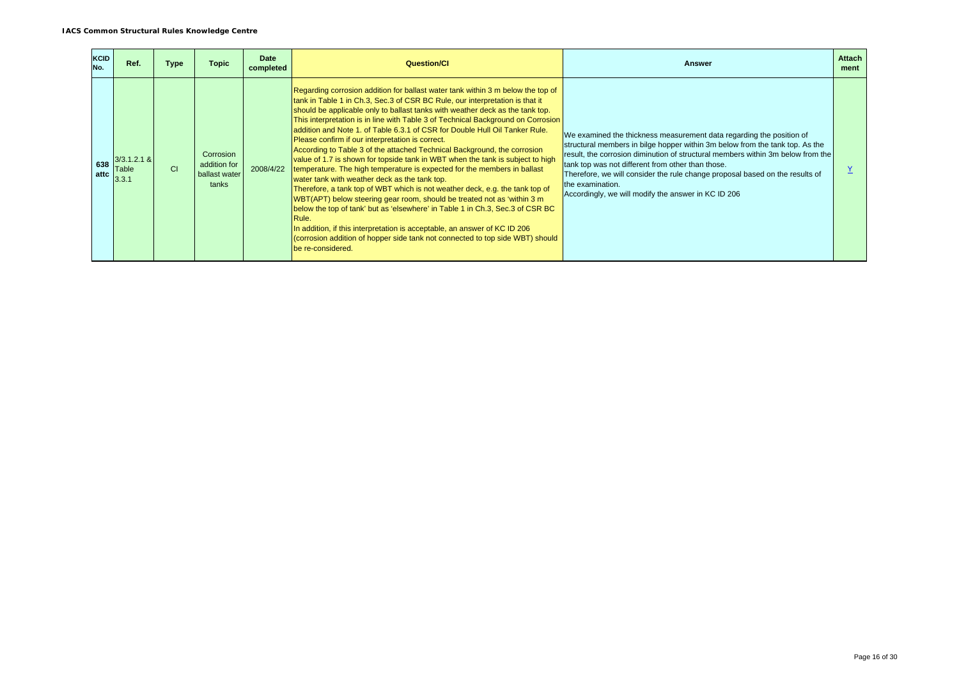| <b>KCID</b><br>No. | Ref.                            | Type          | <b>Topic</b>                                        | Date<br>completed | <b>Question/CI</b>                                                                                                                                                                                                                                                                                                                                                                                                                                                                                                                                                                                                                                                                                                                                                                                                                                                                                                                                                                                                                                                                                                                                                                                         | <b>Answer</b>                                                                                                                                                                                                                                                                                                                                                                                                                                           | <b>Attach</b><br>ment |
|--------------------|---------------------------------|---------------|-----------------------------------------------------|-------------------|------------------------------------------------------------------------------------------------------------------------------------------------------------------------------------------------------------------------------------------------------------------------------------------------------------------------------------------------------------------------------------------------------------------------------------------------------------------------------------------------------------------------------------------------------------------------------------------------------------------------------------------------------------------------------------------------------------------------------------------------------------------------------------------------------------------------------------------------------------------------------------------------------------------------------------------------------------------------------------------------------------------------------------------------------------------------------------------------------------------------------------------------------------------------------------------------------------|---------------------------------------------------------------------------------------------------------------------------------------------------------------------------------------------------------------------------------------------------------------------------------------------------------------------------------------------------------------------------------------------------------------------------------------------------------|-----------------------|
| 638<br>attc        | $3/3.1.2.1$ &<br>Table<br>3.3.1 | <sub>CI</sub> | Corrosion<br>addition for<br>ballast water<br>tanks | 2008/4/22         | Regarding corrosion addition for ballast water tank within 3 m below the top of<br>tank in Table 1 in Ch.3, Sec.3 of CSR BC Rule, our interpretation is that it<br>should be applicable only to ballast tanks with weather deck as the tank top.<br>This interpretation is in line with Table 3 of Technical Background on Corrosion<br>addition and Note 1, of Table 6.3.1 of CSR for Double Hull Oil Tanker Rule.<br>Please confirm if our interpretation is correct.<br>According to Table 3 of the attached Technical Background, the corrosion<br>value of 1.7 is shown for topside tank in WBT when the tank is subject to high<br>temperature. The high temperature is expected for the members in ballast<br>water tank with weather deck as the tank top.<br>Therefore, a tank top of WBT which is not weather deck, e.g. the tank top of<br>WBT(APT) below steering gear room, should be treated not as 'within 3 m<br>below the top of tank' but as 'elsewhere' in Table 1 in Ch.3, Sec.3 of CSR BC<br>Rule.<br>In addition, if this interpretation is acceptable, an answer of KC ID 206<br>(corrosion addition of hopper side tank not connected to top side WBT) should<br>be re-considered. | We examined the thickness measurement data regarding the position of<br>structural members in bilge hopper within 3m below from the tank top. As the<br>result, the corrosion diminution of structural members within 3m below from the<br>tank top was not different from other than those.<br>Therefore, we will consider the rule change proposal based on the results of<br>the examination.<br>Accordingly, we will modify the answer in KC ID 206 |                       |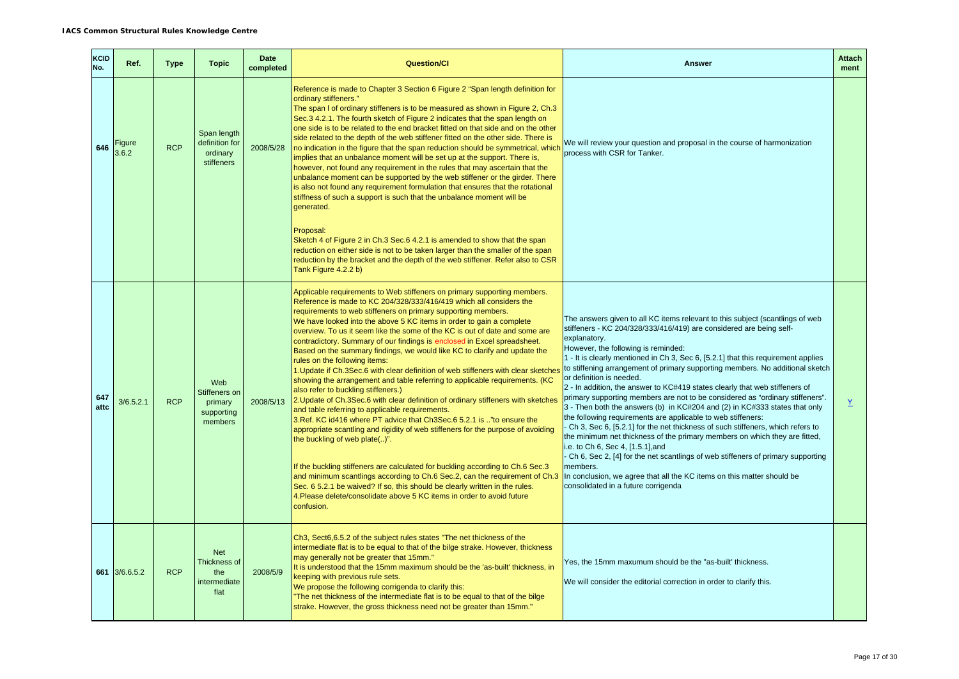| KCID<br>No. | Ref.            | <b>Type</b> | <b>Topic</b>                                              | <b>Date</b><br>completed | <b>Question/Cl</b>                                                                                                                                                                                                                                                                                                                                                                                                                                                                                                                                                                                                                                                                                                                                                                                                                                                                                                                                                                                                                                                                                                                                                                                                                                                                                                                                                                                                                                            | <b>Answer</b>                                                                                                                                                                                                                                                                                                                                                                                                                                                                                                                                                                                                                                                                                                                                                                                                                                                                                                                                                                                                                                                                                                                                    | <b>Attach</b><br>ment |
|-------------|-----------------|-------------|-----------------------------------------------------------|--------------------------|---------------------------------------------------------------------------------------------------------------------------------------------------------------------------------------------------------------------------------------------------------------------------------------------------------------------------------------------------------------------------------------------------------------------------------------------------------------------------------------------------------------------------------------------------------------------------------------------------------------------------------------------------------------------------------------------------------------------------------------------------------------------------------------------------------------------------------------------------------------------------------------------------------------------------------------------------------------------------------------------------------------------------------------------------------------------------------------------------------------------------------------------------------------------------------------------------------------------------------------------------------------------------------------------------------------------------------------------------------------------------------------------------------------------------------------------------------------|--------------------------------------------------------------------------------------------------------------------------------------------------------------------------------------------------------------------------------------------------------------------------------------------------------------------------------------------------------------------------------------------------------------------------------------------------------------------------------------------------------------------------------------------------------------------------------------------------------------------------------------------------------------------------------------------------------------------------------------------------------------------------------------------------------------------------------------------------------------------------------------------------------------------------------------------------------------------------------------------------------------------------------------------------------------------------------------------------------------------------------------------------|-----------------------|
| 646         | Figure<br>3.6.2 | <b>RCP</b>  | Span length<br>definition for<br>ordinary<br>stiffeners   | 2008/5/28                | Reference is made to Chapter 3 Section 6 Figure 2 "Span length definition for<br>ordinary stiffeners."<br>The span I of ordinary stiffeners is to be measured as shown in Figure 2, Ch.3<br>Sec. 34.2.1. The fourth sketch of Figure 2 indicates that the span length on<br>one side is to be related to the end bracket fitted on that side and on the other<br>side related to the depth of the web stiffener fitted on the other side. There is<br>no indication in the figure that the span reduction should be symmetrical, which<br>implies that an unbalance moment will be set up at the support. There is,<br>however, not found any requirement in the rules that may ascertain that the<br>unbalance moment can be supported by the web stiffener or the girder. There<br>is also not found any requirement formulation that ensures that the rotational<br>stiffness of such a support is such that the unbalance moment will be<br>generated.                                                                                                                                                                                                                                                                                                                                                                                                                                                                                                    | We will review your question and proposal in the course of harmonization<br>process with CSR for Tanker.                                                                                                                                                                                                                                                                                                                                                                                                                                                                                                                                                                                                                                                                                                                                                                                                                                                                                                                                                                                                                                         |                       |
|             |                 |             |                                                           |                          | Proposal:<br>Sketch 4 of Figure 2 in Ch.3 Sec.6 4.2.1 is amended to show that the span<br>reduction on either side is not to be taken larger than the smaller of the span<br>reduction by the bracket and the depth of the web stiffener. Refer also to CSR<br>Tank Figure 4.2.2 b)                                                                                                                                                                                                                                                                                                                                                                                                                                                                                                                                                                                                                                                                                                                                                                                                                                                                                                                                                                                                                                                                                                                                                                           |                                                                                                                                                                                                                                                                                                                                                                                                                                                                                                                                                                                                                                                                                                                                                                                                                                                                                                                                                                                                                                                                                                                                                  |                       |
| 647<br>attc | 3/6.5.2.1       | <b>RCP</b>  | Web<br>Stiffeners on<br>primary<br>supporting<br>members  | 2008/5/13                | Applicable requirements to Web stiffeners on primary supporting members.<br>Reference is made to KC 204/328/333/416/419 which all considers the<br>requirements to web stiffeners on primary supporting members.<br>We have looked into the above 5 KC items in order to gain a complete<br>overview. To us it seem like the some of the KC is out of date and some are<br>contradictory. Summary of our findings is enclosed in Excel spreadsheet.<br>Based on the summary findings, we would like KC to clarify and update the<br>rules on the following items:<br>1. Update if Ch.3Sec.6 with clear definition of web stiffeners with clear sketches<br>showing the arrangement and table referring to applicable requirements. (KC<br>also refer to buckling stiffeners.)<br>2. Update of Ch.3Sec.6 with clear definition of ordinary stiffeners with sketches<br>and table referring to applicable requirements.<br>3. Ref. KC id416 where PT advice that Ch3Sec.6 5.2.1 is  "to ensure the<br>appropriate scantling and rigidity of web stiffeners for the purpose of avoiding<br>the buckling of web plate()".<br>If the buckling stiffeners are calculated for buckling according to Ch.6 Sec.3<br>and minimum scantlings according to Ch.6 Sec.2, can the requirement of Ch.3<br>Sec. 6 5.2.1 be waived? If so, this should be clearly written in the rules.<br>4. Please delete/consolidate above 5 KC items in order to avoid future<br>confusion. | The answers given to all KC items relevant to this subject (scantlings of web<br>stiffeners - KC 204/328/333/416/419) are considered are being self-<br>explanatory.<br>However, the following is reminded:<br>1 - It is clearly mentioned in Ch 3, Sec 6, [5.2.1] that this requirement applies<br>to stiffening arrangement of primary supporting members. No additional sketch<br>or definition is needed.<br>2 - In addition, the answer to KC#419 states clearly that web stiffeners of<br>primary supporting members are not to be considered as "ordinary stiffeners".<br>3 - Then both the answers (b) in KC#204 and (2) in KC#333 states that only<br>the following requirements are applicable to web stiffeners:<br>Ch 3, Sec 6, [5.2.1] for the net thickness of such stiffeners, which refers to<br>the minimum net thickness of the primary members on which they are fitted,<br>i.e. to Ch 6, Sec 4, [1.5.1], and<br>Ch 6, Sec 2, [4] for the net scantlings of web stiffeners of primary supporting<br>members.<br>In conclusion, we agree that all the KC items on this matter should be<br>consolidated in a future corrigenda | Y                     |
|             | 661 3/6.6.5.2   | <b>RCP</b>  | <b>Net</b><br>Thickness of<br>the<br>intermediate<br>flat | 2008/5/9                 | Ch3, Sect6,6.5.2 of the subject rules states "The net thickness of the<br>intermediate flat is to be equal to that of the bilge strake. However, thickness<br>may generally not be greater that 15mm."<br>It is understood that the 15mm maximum should be the 'as-built' thickness, in<br>keeping with previous rule sets.<br>We propose the following corrigenda to clarify this:<br>The net thickness of the intermediate flat is to be equal to that of the bilge<br>strake. However, the gross thickness need not be greater than 15mm."                                                                                                                                                                                                                                                                                                                                                                                                                                                                                                                                                                                                                                                                                                                                                                                                                                                                                                                 | Yes, the 15mm maxumum should be the "as-built' thickness.<br>We will consider the editorial correction in order to clarify this.                                                                                                                                                                                                                                                                                                                                                                                                                                                                                                                                                                                                                                                                                                                                                                                                                                                                                                                                                                                                                 |                       |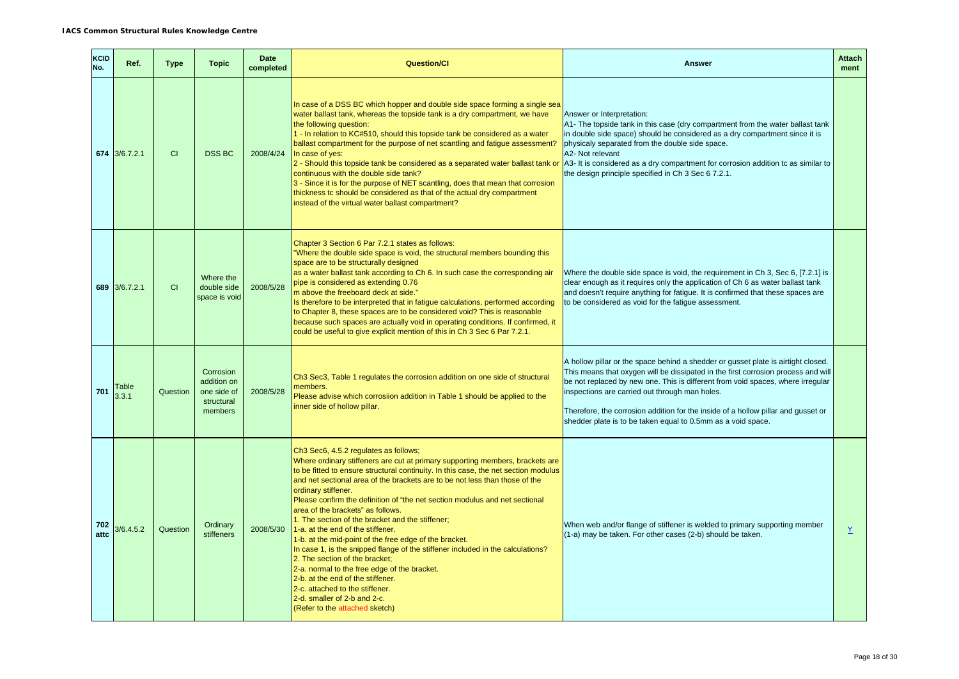| <b>KCID</b><br>No. | Ref.           | Type     | <b>Topic</b>                                                     | <b>Date</b><br>completed | <b>Question/CI</b>                                                                                                                                                                                                                                                                                                                                                                                                                                                                                                                                                                                                                                                                                                                                                                                                                                                                                        | <b>Answer</b>                                                                                                                                                                                                                                                                                                                                                                                                                                                    | <b>Attach</b><br>ment |
|--------------------|----------------|----------|------------------------------------------------------------------|--------------------------|-----------------------------------------------------------------------------------------------------------------------------------------------------------------------------------------------------------------------------------------------------------------------------------------------------------------------------------------------------------------------------------------------------------------------------------------------------------------------------------------------------------------------------------------------------------------------------------------------------------------------------------------------------------------------------------------------------------------------------------------------------------------------------------------------------------------------------------------------------------------------------------------------------------|------------------------------------------------------------------------------------------------------------------------------------------------------------------------------------------------------------------------------------------------------------------------------------------------------------------------------------------------------------------------------------------------------------------------------------------------------------------|-----------------------|
|                    | 674 3/6.7.2.1  | CI       | <b>DSS BC</b>                                                    | 2008/4/24                | In case of a DSS BC which hopper and double side space forming a single sea<br>water ballast tank, whereas the topside tank is a dry compartment, we have<br>the following question:<br>1 - In relation to KC#510, should this topside tank be considered as a water<br>ballast compartment for the purpose of net scantling and fatigue assessment?<br>In case of yes:<br>2 - Should this topside tank be considered as a separated water ballast tank or A3- It is considered as a dry compartment for corrosion addition tc as similar to<br>continuous with the double side tank?<br>3 - Since it is for the purpose of NET scantling, does that mean that corrosion<br>thickness tc should be considered as that of the actual dry compartment<br>instead of the virtual water ballast compartment?                                                                                                  | Answer or Interpretation:<br>A1- The topside tank in this case (dry compartment from the water ballast tank<br>in double side space) should be considered as a dry compartment since it is<br>physicaly separated from the double side space.<br>A2- Not relevant<br>the design principle specified in Ch 3 Sec 6 7.2.1.                                                                                                                                         |                       |
|                    | 689 3/6.7.2.1  | CI.      | Where the<br>double side<br>space is void                        | 2008/5/28                | Chapter 3 Section 6 Par 7.2.1 states as follows:<br>Where the double side space is void, the structural members bounding this<br>space are to be structurally designed<br>as a water ballast tank according to Ch 6. In such case the corresponding air<br>pipe is considered as extending 0.76<br>m above the freeboard deck at side."<br>Is therefore to be interpreted that in fatigue calculations, performed according<br>to Chapter 8, these spaces are to be considered void? This is reasonable<br>because such spaces are actually void in operating conditions. If confirmed, it<br>could be useful to give explicit mention of this in Ch 3 Sec 6 Par 7.2.1.                                                                                                                                                                                                                                   | Where the double side space is void, the requirement in Ch 3, Sec 6, [7.2.1] is<br>clear enough as it requires only the application of Ch 6 as water ballast tank<br>and doesn't require anything for fatigue. It is confirmed that these spaces are<br>to be considered as void for the fatique assessment.                                                                                                                                                     |                       |
| 701                | Table<br>3.3.1 | Question | Corrosion<br>addition on<br>one side of<br>structural<br>members | 2008/5/28                | Ch3 Sec3, Table 1 regulates the corrosion addition on one side of structural<br>members.<br>Please advise which corrosiion addition in Table 1 should be applied to the<br>inner side of hollow pillar.                                                                                                                                                                                                                                                                                                                                                                                                                                                                                                                                                                                                                                                                                                   | A hollow pillar or the space behind a shedder or gusset plate is airtight closed.<br>This means that oxygen will be dissipated in the first corrosion process and will<br>be not replaced by new one. This is different from void spaces, where irregular<br>inspections are carried out through man holes.<br>Therefore, the corrosion addition for the inside of a hollow pillar and gusset or<br>shedder plate is to be taken equal to 0.5mm as a void space. |                       |
| 702<br>attc        | 3/6.4.5.2      | Question | Ordinary<br>stiffeners                                           | 2008/5/30                | Ch3 Sec6, 4.5.2 regulates as follows;<br>Where ordinary stiffeners are cut at primary supporting members, brackets are<br>to be fitted to ensure structural continuity. In this case, the net section modulus<br>and net sectional area of the brackets are to be not less than those of the<br>ordinary stiffener.<br>Please confirm the definition of "the net section modulus and net sectional<br>area of the brackets" as follows.<br>1. The section of the bracket and the stiffener;<br>1-a. at the end of the stiffener.<br>1-b. at the mid-point of the free edge of the bracket.<br>In case 1, is the snipped flange of the stiffener included in the calculations?<br>2. The section of the bracket;<br>2-a. normal to the free edge of the bracket.<br>2-b. at the end of the stiffener.<br>2-c. attached to the stiffener.<br>2-d. smaller of 2-b and 2-c.<br>(Refer to the attached sketch) | When web and/or flange of stiffener is welded to primary supporting member<br>(1-a) may be taken. For other cases (2-b) should be taken.                                                                                                                                                                                                                                                                                                                         | $\underline{Y}$       |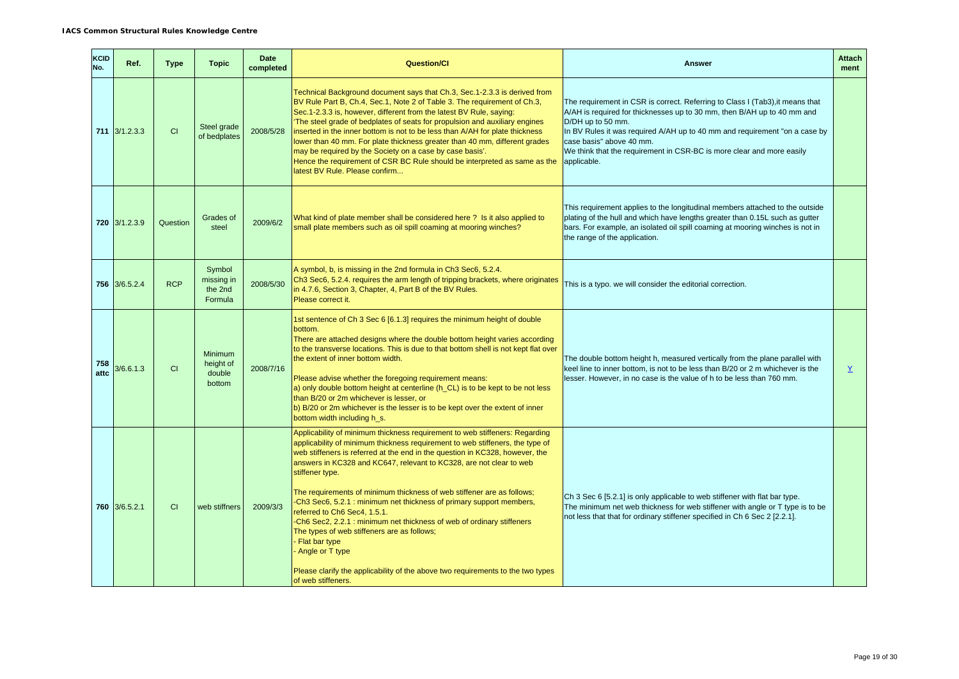| KCID<br>No. | Ref.                       | <b>Type</b> | <b>Topic</b>                               | <b>Date</b><br>completed | <b>Question/Cl</b>                                                                                                                                                                                                                                                                                                                                                                                                                                                                                                                                                                                                                                                                                                                                                                            | <b>Answer</b>                                                                                                                                                                                                                                                                                                                                                                   | <b>Attach</b><br>ment |
|-------------|----------------------------|-------------|--------------------------------------------|--------------------------|-----------------------------------------------------------------------------------------------------------------------------------------------------------------------------------------------------------------------------------------------------------------------------------------------------------------------------------------------------------------------------------------------------------------------------------------------------------------------------------------------------------------------------------------------------------------------------------------------------------------------------------------------------------------------------------------------------------------------------------------------------------------------------------------------|---------------------------------------------------------------------------------------------------------------------------------------------------------------------------------------------------------------------------------------------------------------------------------------------------------------------------------------------------------------------------------|-----------------------|
|             | $711 \overline{3/1.2.3.3}$ | CI          | Steel grade<br>of bedplates                | 2008/5/28                | Technical Background document says that Ch.3, Sec.1-2.3.3 is derived from<br>BV Rule Part B, Ch.4, Sec.1, Note 2 of Table 3. The requirement of Ch.3,<br>Sec.1-2.3.3 is, however, different from the latest BV Rule, saying:<br>'The steel grade of bedplates of seats for propulsion and auxiliary engines<br>inserted in the inner bottom is not to be less than A/AH for plate thickness<br>lower than 40 mm. For plate thickness greater than 40 mm, different grades<br>may be required by the Society on a case by case basis'.<br>Hence the requirement of CSR BC Rule should be interpreted as same as the<br>latest BV Rule. Please confirm                                                                                                                                          | The requirement in CSR is correct. Referring to Class I (Tab3), it means that<br>A/AH is required for thicknesses up to 30 mm, then B/AH up to 40 mm and<br>D/DH up to 50 mm.<br>In BV Rules it was required A/AH up to 40 mm and requirement "on a case by<br>case basis" above 40 mm.<br>We think that the requirement in CSR-BC is more clear and more easily<br>applicable. |                       |
|             | 720 3/1.2.3.9              | Question    | Grades of<br>steel                         | 2009/6/2                 | What kind of plate member shall be considered here? Is it also applied to<br>small plate members such as oil spill coaming at mooring winches?                                                                                                                                                                                                                                                                                                                                                                                                                                                                                                                                                                                                                                                | This requirement applies to the longitudinal members attached to the outside<br>plating of the hull and which have lengths greater than 0.15L such as gutter<br>bars. For example, an isolated oil spill coaming at mooring winches is not in<br>the range of the application.                                                                                                  |                       |
|             | 756 3/6.5.2.4              | <b>RCP</b>  | Symbol<br>missing in<br>the 2nd<br>Formula | 2008/5/30                | A symbol, b, is missing in the 2nd formula in Ch3 Sec6, 5.2.4.<br>Ch3 Sec6, 5.2.4. requires the arm length of tripping brackets, where originates<br>in 4.7.6, Section 3, Chapter, 4, Part B of the BV Rules.<br>Please correct it.                                                                                                                                                                                                                                                                                                                                                                                                                                                                                                                                                           | This is a typo. we will consider the editorial correction.                                                                                                                                                                                                                                                                                                                      |                       |
| 758<br>attc | 3/6.6.1.3                  | CI          | Minimum<br>height of<br>double<br>bottom   | 2008/7/16                | 1st sentence of Ch 3 Sec 6 [6.1.3] requires the minimum height of double<br>bottom.<br>There are attached designs where the double bottom height varies according<br>to the transverse locations. This is due to that bottom shell is not kept flat over<br>the extent of inner bottom width.<br>Please advise whether the foregoing requirement means:<br>a) only double bottom height at centerline (h_CL) is to be kept to be not less<br>than B/20 or 2m whichever is lesser, or<br>b) B/20 or 2m whichever is the lesser is to be kept over the extent of inner<br>bottom width including h_s.                                                                                                                                                                                           | The double bottom height h, measured vertically from the plane parallel with<br>keel line to inner bottom, is not to be less than B/20 or 2 m whichever is the<br>lesser. However, in no case is the value of h to be less than 760 mm.                                                                                                                                         | $\underline{Y}$       |
|             | 760 3/6.5.2.1              | <b>CI</b>   | web stiffners                              | 2009/3/3                 | Applicability of minimum thickness requirement to web stiffeners: Regarding<br>applicability of minimum thickness requirement to web stiffeners, the type of<br>web stiffeners is referred at the end in the question in KC328, however, the<br>answers in KC328 and KC647, relevant to KC328, are not clear to web<br>stiffener type.<br>The requirements of minimum thickness of web stiffener are as follows;<br>-Ch3 Sec6, 5.2.1: minimum net thickness of primary support members,<br>referred to Ch6 Sec4, 1.5.1.<br>-Ch6 Sec2, 2.2.1 : minimum net thickness of web of ordinary stiffeners<br>The types of web stiffeners are as follows;<br>Flat bar type<br>Angle or T type<br>Please clarify the applicability of the above two requirements to the two types<br>of web stiffeners. | Ch 3 Sec 6 [5.2.1] is only applicable to web stiffener with flat bar type.<br>The minimum net web thickness for web stiffener with angle or T type is to be<br>not less that that for ordinary stiffener specified in Ch 6 Sec 2 [2.2.1].                                                                                                                                       |                       |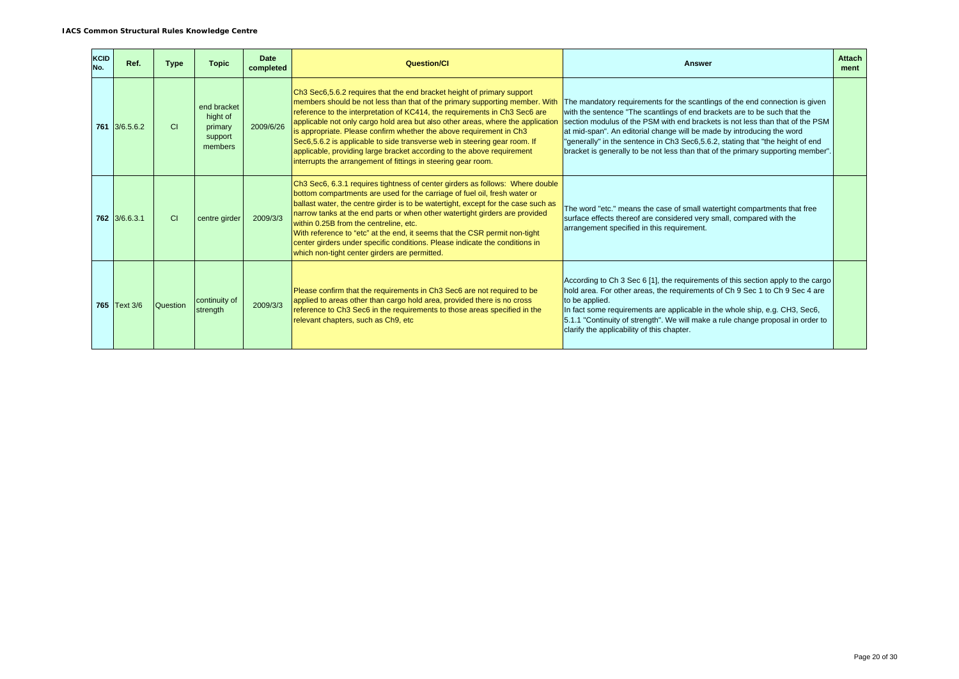| <b>KCID</b><br>No. | Ref.          | <b>Type</b>   | <b>Topic</b>                                             | Date<br>completed | Question/Cl                                                                                                                                                                                                                                                                                                                                                                                                                                                                                                                                                                                                           | <b>Answer</b>                                                                                                                                                                                                                                                                                                                                                                                                                                                                              | <b>Attach</b><br>ment |
|--------------------|---------------|---------------|----------------------------------------------------------|-------------------|-----------------------------------------------------------------------------------------------------------------------------------------------------------------------------------------------------------------------------------------------------------------------------------------------------------------------------------------------------------------------------------------------------------------------------------------------------------------------------------------------------------------------------------------------------------------------------------------------------------------------|--------------------------------------------------------------------------------------------------------------------------------------------------------------------------------------------------------------------------------------------------------------------------------------------------------------------------------------------------------------------------------------------------------------------------------------------------------------------------------------------|-----------------------|
|                    | 761 3/6.5.6.2 | <sub>CI</sub> | end bracket<br>hight of<br>primary<br>support<br>members | 2009/6/26         | Ch3 Sec6,5.6.2 requires that the end bracket height of primary support<br>members should be not less than that of the primary supporting member. With<br>reference to the interpretation of KC414, the requirements in Ch3 Sec6 are<br>applicable not only cargo hold area but also other areas, where the application<br>is appropriate. Please confirm whether the above requirement in Ch3<br>Sec6,5.6.2 is applicable to side transverse web in steering gear room. If<br>applicable, providing large bracket according to the above requirement<br>interrupts the arrangement of fittings in steering gear room. | The mandatory requirements for the scantlings of the end connection is given<br>with the sentence "The scantlings of end brackets are to be such that the<br>section modulus of the PSM with end brackets is not less than that of the PSM<br>at mid-span". An editorial change will be made by introducing the word<br>"generally" in the sentence in Ch3 Sec6,5.6.2, stating that "the height of end<br>bracket is generally to be not less than that of the primary supporting member". |                       |
|                    | 762 3/6.6.3.1 | <b>CI</b>     | centre girder                                            | 2009/3/3          | Ch3 Sec6, 6.3.1 requires tightness of center girders as follows: Where double<br>bottom compartments are used for the carriage of fuel oil, fresh water or<br>ballast water, the centre girder is to be watertight, except for the case such as<br>narrow tanks at the end parts or when other watertight girders are provided<br>within 0.25B from the centreline, etc.<br>With reference to "etc" at the end, it seems that the CSR permit non-tight<br>center girders under specific conditions. Please indicate the conditions in<br>which non-tight center girders are permitted.                                | The word "etc." means the case of small watertight compartments that free<br>surface effects thereof are considered very small, compared with the<br>arrangement specified in this requirement.                                                                                                                                                                                                                                                                                            |                       |
|                    | 765 Text 3/6  | Question      | continuity of<br>strength                                | 2009/3/3          | Please confirm that the requirements in Ch <sub>3</sub> Sec <sub>6</sub> are not required to be<br>applied to areas other than cargo hold area, provided there is no cross<br>reference to Ch3 Sec6 in the requirements to those areas specified in the<br>relevant chapters, such as Ch9, etc                                                                                                                                                                                                                                                                                                                        | According to Ch 3 Sec 6 [1], the requirements of this section apply to the cargo<br>hold area. For other areas, the requirements of Ch 9 Sec 1 to Ch 9 Sec 4 are<br>to be applied.<br>In fact some requirements are applicable in the whole ship, e.g. CH3, Sec6,<br>5.1.1 "Continuity of strength". We will make a rule change proposal in order to<br>clarify the applicability of this chapter.                                                                                         |                       |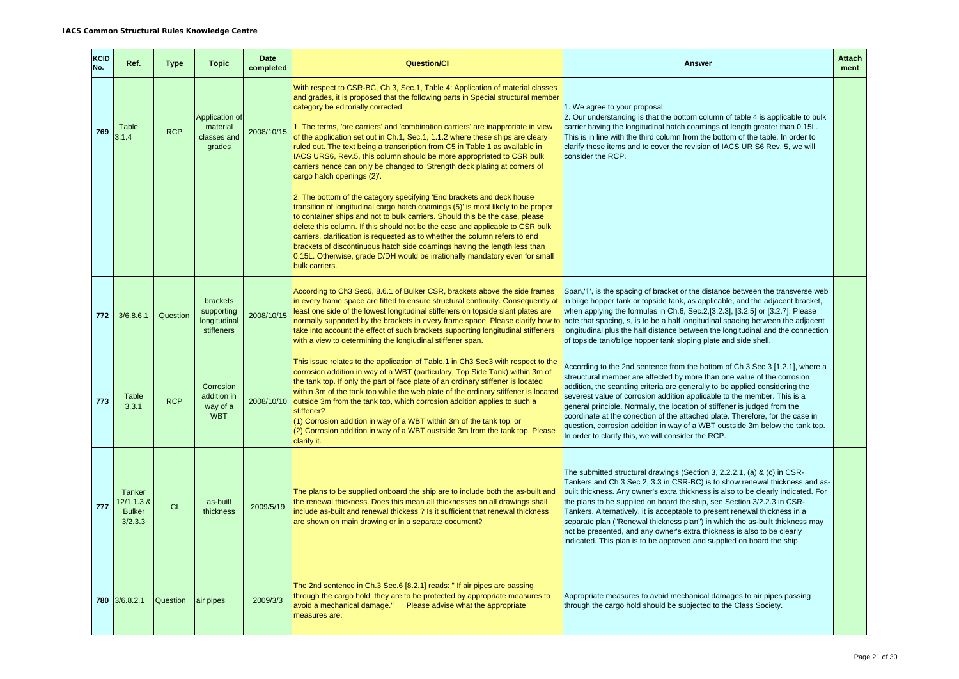| KCID<br>No. | Ref.                                             | <b>Type</b> | <b>Topic</b>                                         | <b>Date</b><br>completed | <b>Question/Cl</b>                                                                                                                                                                                                                                                                                                                                                                                                                                                                                                                                                                                                                                | <b>Answer</b>                                                                                                                                                                                                                                                                                                                                                                                                                                                                                                                                                                                                                              | <b>Attach</b><br>ment |
|-------------|--------------------------------------------------|-------------|------------------------------------------------------|--------------------------|---------------------------------------------------------------------------------------------------------------------------------------------------------------------------------------------------------------------------------------------------------------------------------------------------------------------------------------------------------------------------------------------------------------------------------------------------------------------------------------------------------------------------------------------------------------------------------------------------------------------------------------------------|--------------------------------------------------------------------------------------------------------------------------------------------------------------------------------------------------------------------------------------------------------------------------------------------------------------------------------------------------------------------------------------------------------------------------------------------------------------------------------------------------------------------------------------------------------------------------------------------------------------------------------------------|-----------------------|
| 769         | Table<br>3.1.4                                   | <b>RCP</b>  | Application of<br>material<br>classes and<br>grades  | 2008/10/15               | With respect to CSR-BC, Ch.3, Sec.1, Table 4: Application of material classes<br>and grades, it is proposed that the following parts in Special structural member<br>category be editorially corrected.<br>1. The terms, 'ore carriers' and 'combination carriers' are inapproriate in view<br>of the application set out in Ch.1, Sec.1, 1.1.2 where these ships are cleary<br>ruled out. The text being a transcription from C5 in Table 1 as available in<br>IACS URS6, Rev.5, this column should be more appropriated to CSR bulk<br>carriers hence can only be changed to 'Strength deck plating at corners of<br>cargo hatch openings (2)'. | 1. We agree to your proposal.<br>2. Our understanding is that the bottom column of table 4 is applicable to bulk<br>carrier having the longitudinal hatch coamings of length greater than 0.15L.<br>This is in line with the third column from the bottom of the table. In order to<br>clarify these items and to cover the revision of IACS UR S6 Rev. 5, we will<br>consider the RCP.                                                                                                                                                                                                                                                    |                       |
|             |                                                  |             |                                                      |                          | 2. The bottom of the category specifying 'End brackets and deck house<br>transition of longitudinal cargo hatch coamings (5)' is most likely to be proper<br>to container ships and not to bulk carriers. Should this be the case, please<br>delete this column. If this should not be the case and applicable to CSR bulk<br>carriers, clarification is requested as to whether the column refers to end<br>brackets of discontinuous hatch side coamings having the length less than<br>0.15L. Otherwise, grade D/DH would be irrationally mandatory even for small<br>bulk carriers.                                                           |                                                                                                                                                                                                                                                                                                                                                                                                                                                                                                                                                                                                                                            |                       |
| 772         | 3/6.8.6.1                                        | Question    | brackets<br>supporting<br>longitudinal<br>stiffeners | 2008/10/15               | According to Ch3 Sec6, 8.6.1 of Bulker CSR, brackets above the side frames<br>in every frame space are fitted to ensure structural continuity. Consequently at<br>east one side of the lowest longitudinal stiffeners on topside slant plates are<br>normally supported by the brackets in every frame space. Please clarify how to note that spacing, s, is to be a half longitudinal spacing between the adjacent<br>take into account the effect of such brackets supporting longitudinal stiffeners<br>with a view to determining the longiudinal stiffener span.                                                                             | Span, "I", is the spacing of bracket or the distance between the transverse web<br>in bilge hopper tank or topside tank, as applicable, and the adjacent bracket,<br>when applying the formulas in Ch.6, Sec.2,[3.2.3], [3.2.5] or [3.2.7]. Please<br>longitudinal plus the half distance between the longitudinal and the connection<br>of topside tank/bilge hopper tank sloping plate and side shell.                                                                                                                                                                                                                                   |                       |
| 773         | <b>Table</b><br>3.3.1                            | <b>RCP</b>  | Corrosion<br>addition in<br>way of a<br><b>WBT</b>   | 2008/10/10               | This issue relates to the application of Table.1 in Ch3 Sec3 with respect to the<br>corrosion addition in way of a WBT (particulary, Top Side Tank) within 3m of<br>the tank top. If only the part of face plate of an ordinary stiffener is located<br>within 3m of the tank top while the web plate of the ordinary stiffener is located<br>outside 3m from the tank top, which corrosion addition applies to such a<br>stiffener?<br>(1) Corrosion addition in way of a WBT within 3m of the tank top, or<br>(2) Corrosion addition in way of a WBT oustside 3m from the tank top. Please<br>clarify it.                                       | According to the 2nd sentence from the bottom of Ch 3 Sec 3 [1.2.1], where a<br>streuctural member are affected by more than one value of the corrosion<br>addition, the scantling criteria are generally to be applied considering the<br>severest value of corrosion addition applicable to the member. This is a<br>general principle. Normally, the location of stiffener is judged from the<br>coordinate at the conection of the attached plate. Therefore, for the case in<br>question, corrosion addition in way of a WBT oustside 3m below the tank top.<br>In order to clarify this, we will consider the RCP.                   |                       |
| 777         | Tanker<br>12/1.1.3 &<br><b>Bulker</b><br>3/2.3.3 | CI          | as-built<br>thickness                                | 2009/5/19                | The plans to be supplied onboard the ship are to include both the as-built and<br>the renewal thickness. Does this mean all thicknesses on all drawings shall<br>nclude as-built and renewal thickess ? Is it sufficient that renewal thickness<br>are shown on main drawing or in a separate document?                                                                                                                                                                                                                                                                                                                                           | The submitted structural drawings (Section 3, 2.2.2.1, (a) & (c) in CSR-<br>Tankers and Ch 3 Sec 2, 3.3 in CSR-BC) is to show renewal thickness and as-<br>built thickness. Any owner's extra thickness is also to be clearly indicated. For<br>the plans to be supplied on board the ship, see Section 3/2.2.3 in CSR-<br>Tankers. Alternatively, it is acceptable to present renewal thickness in a<br>separate plan ("Renewal thickness plan") in which the as-built thickness may<br>not be presented, and any owner's extra thickness is also to be clearly<br>indicated. This plan is to be approved and supplied on board the ship. |                       |
|             | 780 3/6.8.2.1                                    | Question    | air pipes                                            | 2009/3/3                 | The 2nd sentence in Ch.3 Sec.6 [8.2.1] reads: "If air pipes are passing<br>through the cargo hold, they are to be protected by appropriate measures to<br>avoid a mechanical damage." Please advise what the appropriate<br>measures are.                                                                                                                                                                                                                                                                                                                                                                                                         | Appropriate measures to avoid mechanical damages to air pipes passing<br>through the cargo hold should be subjected to the Class Society.                                                                                                                                                                                                                                                                                                                                                                                                                                                                                                  |                       |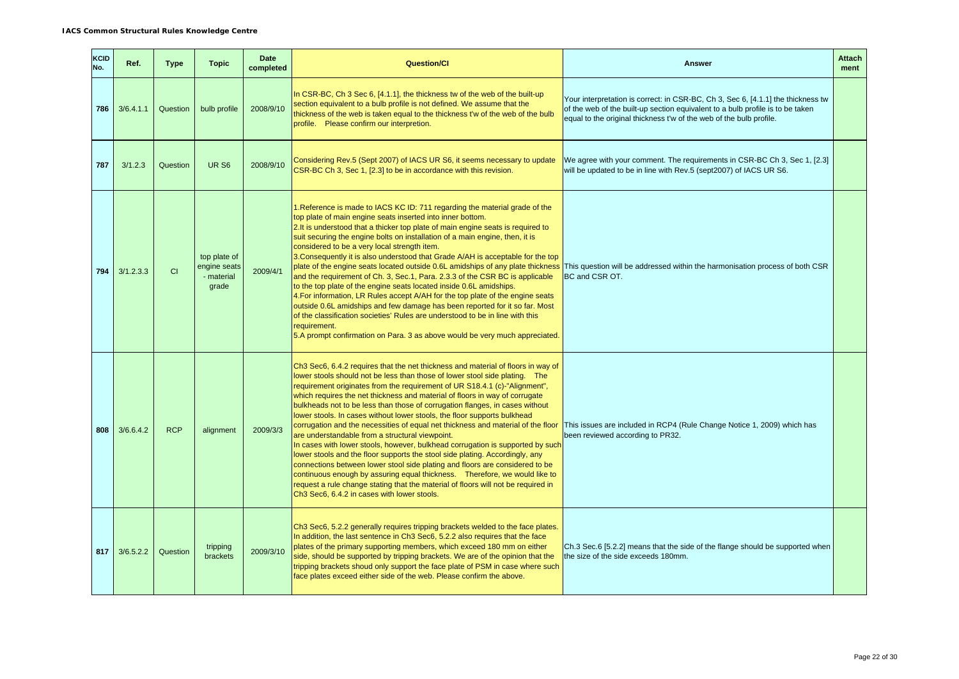| KCID<br>No. | Ref.      | <b>Type</b> | <b>Topic</b>                                        | <b>Date</b><br>completed | <b>Question/CI</b>                                                                                                                                                                                                                                                                                                                                                                                                                                                                                                                                                                                                                                                                                                                                                                                                                                                                                                                                                                                                                                                                                  | <b>Answer</b>                                                                                                                                                                                                                             | <b>Attach</b><br>ment |
|-------------|-----------|-------------|-----------------------------------------------------|--------------------------|-----------------------------------------------------------------------------------------------------------------------------------------------------------------------------------------------------------------------------------------------------------------------------------------------------------------------------------------------------------------------------------------------------------------------------------------------------------------------------------------------------------------------------------------------------------------------------------------------------------------------------------------------------------------------------------------------------------------------------------------------------------------------------------------------------------------------------------------------------------------------------------------------------------------------------------------------------------------------------------------------------------------------------------------------------------------------------------------------------|-------------------------------------------------------------------------------------------------------------------------------------------------------------------------------------------------------------------------------------------|-----------------------|
| 786         | 3/6.4.1.1 | Question    | bulb profile                                        | 2008/9/10                | In CSR-BC, Ch 3 Sec 6, [4.1.1], the thickness tw of the web of the built-up<br>section equivalent to a bulb profile is not defined. We assume that the<br>thickness of the web is taken equal to the thickness t'w of the web of the bulb<br>profile. Please confirm our interpretion.                                                                                                                                                                                                                                                                                                                                                                                                                                                                                                                                                                                                                                                                                                                                                                                                              | Your interpretation is correct: in CSR-BC, Ch 3, Sec 6, [4.1.1] the thickness tw<br>of the web of the built-up section equivalent to a bulb profile is to be taken<br>equal to the original thickness t'w of the web of the bulb profile. |                       |
| 787         | 3/1.2.3   | Question    | <b>UR S6</b>                                        | 2008/9/10                | Considering Rev.5 (Sept 2007) of IACS UR S6, it seems necessary to update<br>CSR-BC Ch 3, Sec 1, [2.3] to be in accordance with this revision.                                                                                                                                                                                                                                                                                                                                                                                                                                                                                                                                                                                                                                                                                                                                                                                                                                                                                                                                                      | We agree with your comment. The requirements in CSR-BC Ch 3, Sec 1, [2.3]<br>will be updated to be in line with Rev.5 (sept2007) of IACS UR S6.                                                                                           |                       |
| 794         | 3/1.2.3.3 | CI          | top plate of<br>engine seats<br>- material<br>grade | 2009/4/1                 | 1. Reference is made to IACS KC ID: 711 regarding the material grade of the<br>top plate of main engine seats inserted into inner bottom.<br>2. It is understood that a thicker top plate of main engine seats is required to<br>suit securing the engine bolts on installation of a main engine, then, it is<br>considered to be a very local strength item.<br>3. Consequently it is also understood that Grade A/AH is acceptable for the top<br>plate of the engine seats located outside 0.6L amidships of any plate thickness<br>and the requirement of Ch. 3, Sec.1, Para. 2.3.3 of the CSR BC is applicable<br>to the top plate of the engine seats located inside 0.6L amidships.<br>4. For information, LR Rules accept A/AH for the top plate of the engine seats<br>outside 0.6L amidships and few damage has been reported for it so far. Most<br>of the classification societies' Rules are understood to be in line with this<br>requirement.<br>5.A prompt confirmation on Para. 3 as above would be very much appreciated.                                                         | This question will be addressed within the harmonisation process of both CSR<br>BC and CSR OT.                                                                                                                                            |                       |
| 808         | 3/6.6.4.2 | <b>RCP</b>  | alignment                                           | 2009/3/3                 | Ch3 Sec6, 6.4.2 requires that the net thickness and material of floors in way of<br>lower stools should not be less than those of lower stool side plating. The<br>requirement originates from the requirement of UR S18.4.1 (c)-"Alignment",<br>which requires the net thickness and material of floors in way of corrugate<br>bulkheads not to be less than those of corrugation flanges, in cases without<br>lower stools. In cases without lower stools, the floor supports bulkhead<br>corrugation and the necessities of equal net thickness and material of the floor<br>are understandable from a structural viewpoint.<br>In cases with lower stools, however, bulkhead corrugation is supported by such<br>lower stools and the floor supports the stool side plating. Accordingly, any<br>connections between lower stool side plating and floors are considered to be<br>continuous enough by assuring equal thickness. Therefore, we would like to<br>request a rule change stating that the material of floors will not be required in<br>Ch3 Sec6, 6.4.2 in cases with lower stools. | This issues are included in RCP4 (Rule Change Notice 1, 2009) which has<br>been reviewed according to PR32.                                                                                                                               |                       |
| 817         | 3/6.5.2.2 | Question    | tripping<br>brackets                                | 2009/3/10                | Ch3 Sec6, 5.2.2 generally requires tripping brackets welded to the face plates.<br>In addition, the last sentence in Ch3 Sec6, 5.2.2 also requires that the face<br>plates of the primary supporting members, which exceed 180 mm on either<br>side, should be supported by tripping brackets. We are of the opinion that the<br>tripping brackets shoud only support the face plate of PSM in case where such<br>face plates exceed either side of the web. Please confirm the above.                                                                                                                                                                                                                                                                                                                                                                                                                                                                                                                                                                                                              | Ch.3 Sec.6 [5.2.2] means that the side of the flange should be supported when<br>the size of the side exceeds 180mm.                                                                                                                      |                       |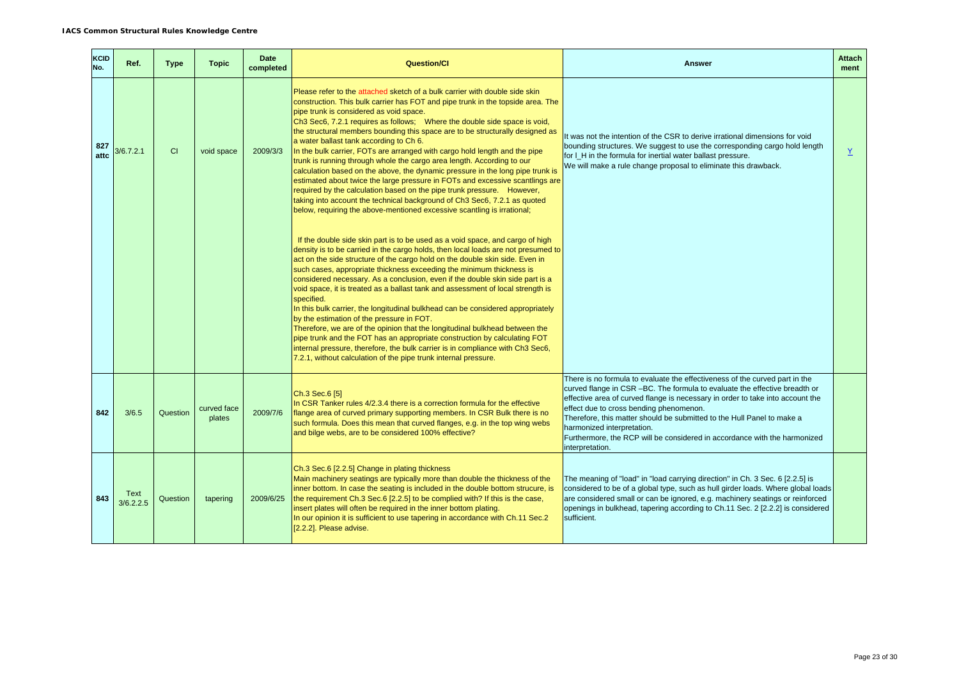| <b>KCID</b><br>No. | Ref.              | <b>Type</b> | <b>Topic</b>          | <b>Date</b><br>completed | <b>Question/Cl</b>                                                                                                                                                                                                                                                                                                                                                                                                                                                                                                                                                                                                                                                                                                                                                                                                                                                                                                                                                              | <b>Answer</b>                                                                                                                                                                                                                                                                                                                                                                                                                                                                                 | <b>Attach</b><br>ment |
|--------------------|-------------------|-------------|-----------------------|--------------------------|---------------------------------------------------------------------------------------------------------------------------------------------------------------------------------------------------------------------------------------------------------------------------------------------------------------------------------------------------------------------------------------------------------------------------------------------------------------------------------------------------------------------------------------------------------------------------------------------------------------------------------------------------------------------------------------------------------------------------------------------------------------------------------------------------------------------------------------------------------------------------------------------------------------------------------------------------------------------------------|-----------------------------------------------------------------------------------------------------------------------------------------------------------------------------------------------------------------------------------------------------------------------------------------------------------------------------------------------------------------------------------------------------------------------------------------------------------------------------------------------|-----------------------|
| 827<br>attc        | 3/6.7.2.1         | <b>CI</b>   | void space            | 2009/3/3                 | Please refer to the attached sketch of a bulk carrier with double side skin<br>construction. This bulk carrier has FOT and pipe trunk in the topside area. The<br>pipe trunk is considered as void space.<br>Ch3 Sec6, 7.2.1 requires as follows; Where the double side space is void,<br>the structural members bounding this space are to be structurally designed as<br>a water ballast tank according to Ch 6.<br>In the bulk carrier, FOTs are arranged with cargo hold length and the pipe<br>trunk is running through whole the cargo area length. According to our<br>calculation based on the above, the dynamic pressure in the long pipe trunk is<br>estimated about twice the large pressure in FOTs and excessive scantlings are<br>required by the calculation based on the pipe trunk pressure. However,<br>taking into account the technical background of Ch3 Sec6, 7.2.1 as quoted<br>below, requiring the above-mentioned excessive scantling is irrational; | It was not the intention of the CSR to derive irrational dimensions for void<br>bounding structures. We suggest to use the corresponding cargo hold length<br>for I_H in the formula for inertial water ballast pressure.<br>We will make a rule change proposal to eliminate this drawback.                                                                                                                                                                                                  | Y                     |
|                    |                   |             |                       |                          | If the double side skin part is to be used as a void space, and cargo of high<br>density is to be carried in the cargo holds, then local loads are not presumed to<br>act on the side structure of the cargo hold on the double skin side. Even in<br>such cases, appropriate thickness exceeding the minimum thickness is<br>considered necessary. As a conclusion, even if the double skin side part is a<br>void space, it is treated as a ballast tank and assessment of local strength is<br>specified.<br>In this bulk carrier, the longitudinal bulkhead can be considered appropriately<br>by the estimation of the pressure in FOT.<br>Therefore, we are of the opinion that the longitudinal bulkhead between the<br>pipe trunk and the FOT has an appropriate construction by calculating FOT<br>internal pressure, therefore, the bulk carrier is in compliance with Ch3 Sec6,<br>7.2.1, without calculation of the pipe trunk internal pressure.                   |                                                                                                                                                                                                                                                                                                                                                                                                                                                                                               |                       |
| 842                | 3/6.5             | Question    | curved face<br>plates | 2009/7/6                 | Ch.3 Sec.6 [5]<br>In CSR Tanker rules 4/2.3.4 there is a correction formula for the effective<br>flange area of curved primary supporting members. In CSR Bulk there is no<br>such formula. Does this mean that curved flanges, e.g. in the top wing webs<br>and bilge webs, are to be considered 100% effective?                                                                                                                                                                                                                                                                                                                                                                                                                                                                                                                                                                                                                                                               | There is no formula to evaluate the effectiveness of the curved part in the<br>curved flange in CSR-BC. The formula to evaluate the effective breadth or<br>effective area of curved flange is necessary in order to take into account the<br>effect due to cross bending phenomenon.<br>Therefore, this matter should be submitted to the Hull Panel to make a<br>harmonized interpretation.<br>Furthermore, the RCP will be considered in accordance with the harmonized<br>interpretation. |                       |
| 843                | Text<br>3/6.2.2.5 | Question    | tapering              | 2009/6/25                | Ch.3 Sec.6 [2.2.5] Change in plating thickness<br>Main machinery seatings are typically more than double the thickness of the<br>inner bottom. In case the seating is included in the double bottom strucure, is<br>the requirement Ch.3 Sec.6 [2.2.5] to be complied with? If this is the case,<br>insert plates will often be required in the inner bottom plating.<br>In our opinion it is sufficient to use tapering in accordance with Ch.11 Sec.2<br>[2.2.2]. Please advise.                                                                                                                                                                                                                                                                                                                                                                                                                                                                                              | The meaning of "load" in "load carrying direction" in Ch. 3 Sec. 6 [2.2.5] is<br>considered to be of a global type, such as hull girder loads. Where global loads<br>are considered small or can be ignored, e.g. machinery seatings or reinforced<br>openings in bulkhead, tapering according to Ch.11 Sec. 2 [2.2.2] is considered<br>sufficient.                                                                                                                                           |                       |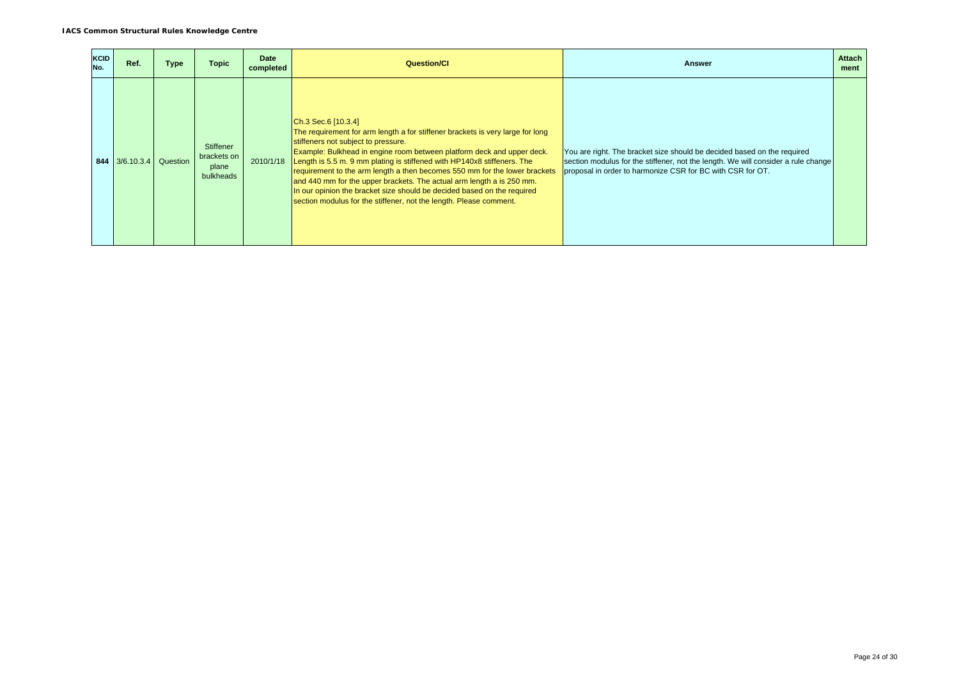| <b>KCID</b><br>No. | Ref.                    | Type | <b>Topic</b>                                          | <b>Date</b><br>completed | <b>Question/CI</b>                                                                                                                                                                                                                                                                                                                                                                                                                                                                                                                                                                                              | <b>Answer</b>                                                                                                                                                                                                              | <b>Attach</b><br>ment |
|--------------------|-------------------------|------|-------------------------------------------------------|--------------------------|-----------------------------------------------------------------------------------------------------------------------------------------------------------------------------------------------------------------------------------------------------------------------------------------------------------------------------------------------------------------------------------------------------------------------------------------------------------------------------------------------------------------------------------------------------------------------------------------------------------------|----------------------------------------------------------------------------------------------------------------------------------------------------------------------------------------------------------------------------|-----------------------|
|                    | 844 3/6.10.3.4 Question |      | <b>Stiffener</b><br>brackets on<br>plane<br>bulkheads | 2010/1/18                | $ Ch.3$ Sec. 6 $[10.3.4]$<br>The requirement for arm length a for stiffener brackets is very large for long<br>stiffeners not subject to pressure.<br>Example: Bulkhead in engine room between platform deck and upper deck.<br>Length is 5.5 m. 9 mm plating is stiffened with HP140x8 stiffeners. The<br>requirement to the arm length a then becomes 550 mm for the lower brackets<br>and 440 mm for the upper brackets. The actual arm length a is 250 mm.<br>In our opinion the bracket size should be decided based on the required<br>section modulus for the stiffener, not the length. Please comment. | You are right. The bracket size should be decided based on the required<br>section modulus for the stiffener, not the length. We will consider a rule change<br>proposal in order to harmonize CSR for BC with CSR for OT. |                       |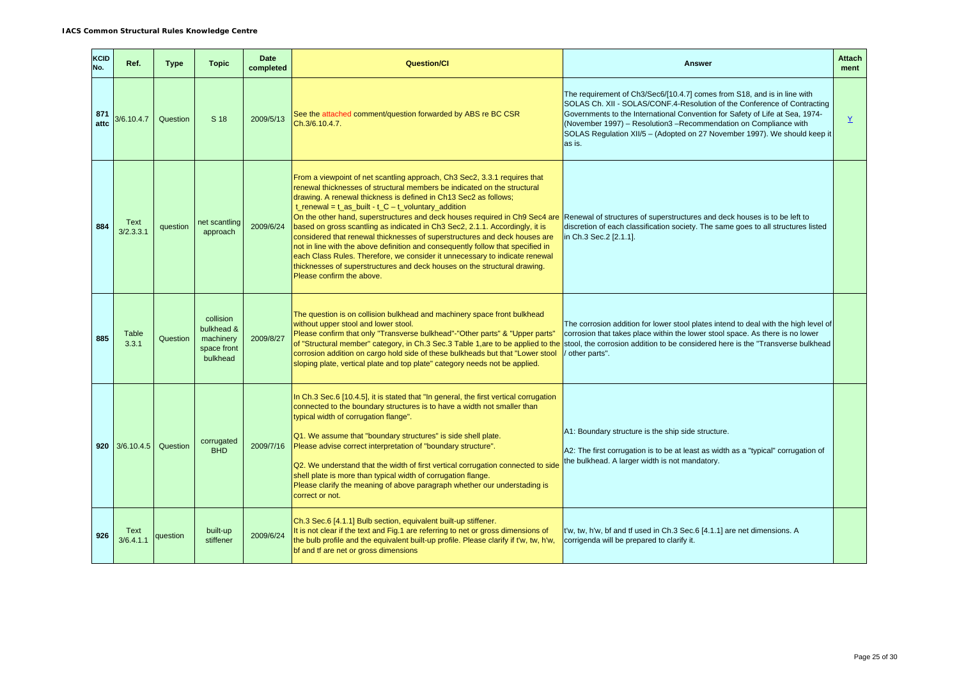| <b>KCID</b><br>No. | Ref.              | <b>Type</b> | <b>Topic</b>                                                    | <b>Date</b><br>completed | <b>Question/Cl</b>                                                                                                                                                                                                                                                                                                                                                                                                                                                                                                                                                                                                                                                                                                                                                                                                    | <b>Answer</b>                                                                                                                                                                                                                                                                                                                                                                                    | <b>Attach</b><br>ment |
|--------------------|-------------------|-------------|-----------------------------------------------------------------|--------------------------|-----------------------------------------------------------------------------------------------------------------------------------------------------------------------------------------------------------------------------------------------------------------------------------------------------------------------------------------------------------------------------------------------------------------------------------------------------------------------------------------------------------------------------------------------------------------------------------------------------------------------------------------------------------------------------------------------------------------------------------------------------------------------------------------------------------------------|--------------------------------------------------------------------------------------------------------------------------------------------------------------------------------------------------------------------------------------------------------------------------------------------------------------------------------------------------------------------------------------------------|-----------------------|
| 871<br>attc        | 3/6.10.4.7        | Question    | S 18                                                            | 2009/5/13                | See the attached comment/question forwarded by ABS re BC CSR<br>Ch.3/6.10.4.7.                                                                                                                                                                                                                                                                                                                                                                                                                                                                                                                                                                                                                                                                                                                                        | The requirement of Ch3/Sec6/[10.4.7] comes from S18, and is in line with<br>SOLAS Ch. XII - SOLAS/CONF.4-Resolution of the Conference of Contracting<br>Governments to the International Convention for Safety of Life at Sea, 1974-<br>(November 1997) - Resolution3 - Recommendation on Compliance with<br>SOLAS Regulation XII/5 - (Adopted on 27 November 1997). We should keep it<br>as is. | $\underline{Y}$       |
| 884                | Text<br>3/2.3.3.1 | question    | net scantling<br>approach                                       | 2009/6/24                | From a viewpoint of net scantling approach, Ch3 Sec2, 3.3.1 requires that<br>renewal thicknesses of structural members be indicated on the structural<br>drawing. A renewal thickness is defined in Ch13 Sec2 as follows;<br>$t$ _renewal = $t$ _as_built - $t$ _C - $t$ _voluntary_addition<br>On the other hand, superstructures and deck houses required in Ch9 Sec4 are<br>based on gross scantling as indicated in Ch3 Sec2, 2.1.1. Accordingly, it is<br>considered that renewal thicknesses of superstructures and deck houses are<br>not in line with the above definition and consequently follow that specified in<br>each Class Rules. Therefore, we consider it unnecessary to indicate renewal<br>thicknesses of superstructures and deck houses on the structural drawing.<br>Please confirm the above. | Renewal of structures of superstructures and deck houses is to be left to<br>discretion of each classification society. The same goes to all structures listed<br>in Ch.3 Sec.2 [2.1.1].                                                                                                                                                                                                         |                       |
| 885                | Table<br>3.3.1    | Question    | collision<br>bulkhead &<br>machinery<br>space front<br>bulkhead | 2009/8/27                | The question is on collision bulkhead and machinery space front bulkhead<br>without upper stool and lower stool.<br>Please confirm that only "Transverse bulkhead"-"Other parts" & "Upper parts"<br>of "Structural member" category, in Ch.3 Sec.3 Table 1, are to be applied to the<br>corrosion addition on cargo hold side of these bulkheads but that "Lower stool<br>sloping plate, vertical plate and top plate" category needs not be applied.                                                                                                                                                                                                                                                                                                                                                                 | The corrosion addition for lower stool plates intend to deal with the high level of<br>corrosion that takes place within the lower stool space. As there is no lower<br>stool, the corrosion addition to be considered here is the "Transverse bulkhead<br>other parts".                                                                                                                         |                       |
|                    | $920$ 3/6.10.4.5  | Question    | corrugated<br><b>BHD</b>                                        | 2009/7/16                | In Ch.3 Sec.6 [10.4.5], it is stated that "In general, the first vertical corrugation<br>connected to the boundary structures is to have a width not smaller than<br>typical width of corrugation flange".<br>Q1. We assume that "boundary structures" is side shell plate.<br>Please advise correct interpretation of "boundary structure".<br>Q2. We understand that the width of first vertical corrugation connected to side<br>shell plate is more than typical width of corrugation flange.<br>Please clarify the meaning of above paragraph whether our understading is<br>correct or not.                                                                                                                                                                                                                     | A1: Boundary structure is the ship side structure.<br>A2: The first corrugation is to be at least as width as a "typical" corrugation of<br>the bulkhead. A larger width is not mandatory.                                                                                                                                                                                                       |                       |
| 926                | Text<br>3/6.4.1.1 | question    | built-up<br>stiffener                                           | 2009/6/24                | Ch.3 Sec.6 [4.1.1] Bulb section, equivalent built-up stiffener.<br>It is not clear if the text and Fig.1 are referring to net or gross dimensions of<br>the bulb profile and the equivalent built-up profile. Please clarify if t'w, tw, h'w,<br>bf and tf are net or gross dimensions                                                                                                                                                                                                                                                                                                                                                                                                                                                                                                                                | t'w, tw, h'w, bf and tf used in Ch.3 Sec.6 [4.1.1] are net dimensions. A<br>corrigenda will be prepared to clarify it.                                                                                                                                                                                                                                                                           |                       |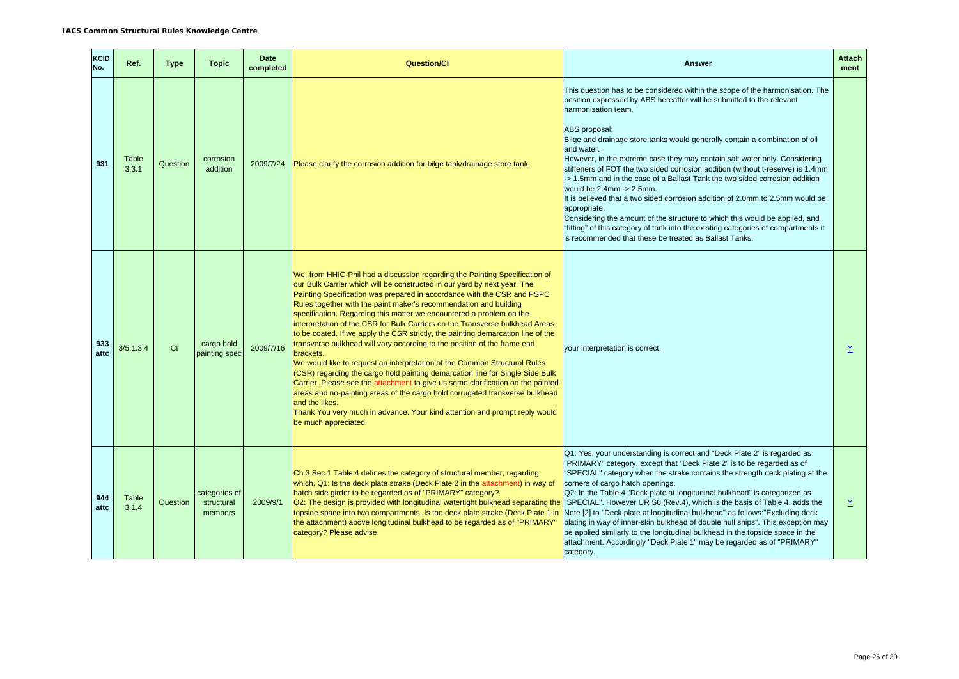| KCID<br>No. | Ref.                  | <b>Type</b> | <b>Topic</b>                           | <b>Date</b><br>completed | <b>Question/Cl</b>                                                                                                                                                                                                                                                                                                                                                                                                                                                                                                                                                                                                                                                                                                                                                                                                                                                                                                                                                                                                                                                                                    | Answer                                                                                                                                                                                                                                                                                                                                                                                                                                                                                                                                                                                                                                                                                                                                                                                                                                                                                                                   | <b>Attach</b><br>ment |
|-------------|-----------------------|-------------|----------------------------------------|--------------------------|-------------------------------------------------------------------------------------------------------------------------------------------------------------------------------------------------------------------------------------------------------------------------------------------------------------------------------------------------------------------------------------------------------------------------------------------------------------------------------------------------------------------------------------------------------------------------------------------------------------------------------------------------------------------------------------------------------------------------------------------------------------------------------------------------------------------------------------------------------------------------------------------------------------------------------------------------------------------------------------------------------------------------------------------------------------------------------------------------------|--------------------------------------------------------------------------------------------------------------------------------------------------------------------------------------------------------------------------------------------------------------------------------------------------------------------------------------------------------------------------------------------------------------------------------------------------------------------------------------------------------------------------------------------------------------------------------------------------------------------------------------------------------------------------------------------------------------------------------------------------------------------------------------------------------------------------------------------------------------------------------------------------------------------------|-----------------------|
| 931         | <b>Table</b><br>3.3.1 | Question    | corrosion<br>addition                  | 2009/7/24                | Please clarify the corrosion addition for bilge tank/drainage store tank.                                                                                                                                                                                                                                                                                                                                                                                                                                                                                                                                                                                                                                                                                                                                                                                                                                                                                                                                                                                                                             | This question has to be considered within the scope of the harmonisation. The<br>position expressed by ABS hereafter will be submitted to the relevant<br>harmonisation team.<br>ABS proposal:<br>Bilge and drainage store tanks would generally contain a combination of oil<br>and water.<br>However, in the extreme case they may contain salt water only. Considering<br>stiffeners of FOT the two sided corrosion addition (without t-reserve) is 1.4mm<br>-> 1.5mm and in the case of a Ballast Tank the two sided corrosion addition<br>would be $2.4$ mm $\rightarrow$ $2.5$ mm.<br>It is believed that a two sided corrosion addition of 2.0mm to 2.5mm would be<br>appropriate.<br>Considering the amount of the structure to which this would be applied, and<br>"fitting" of this category of tank into the existing categories of compartments it<br>is recommended that these be treated as Ballast Tanks. |                       |
| 933<br>attc | 3/5.1.3.4             | CI          | cargo hold<br>painting spec            | 2009/7/16                | We, from HHIC-Phil had a discussion regarding the Painting Specification of<br>our Bulk Carrier which will be constructed in our yard by next year. The<br>Painting Specification was prepared in accordance with the CSR and PSPC<br>Rules together with the paint maker's recommendation and building<br>specification. Regarding this matter we encountered a problem on the<br>interpretation of the CSR for Bulk Carriers on the Transverse bulkhead Areas<br>to be coated. If we apply the CSR strictly, the painting demarcation line of the<br>transverse bulkhead will vary according to the position of the frame end<br>brackets.<br>We would like to request an interpretation of the Common Structural Rules<br>(CSR) regarding the cargo hold painting demarcation line for Single Side Bulk<br>Carrier. Please see the attachment to give us some clarification on the painted<br>areas and no-painting areas of the cargo hold corrugated transverse bulkhead<br>and the likes.<br>Thank You very much in advance. Your kind attention and prompt reply would<br>be much appreciated. | your interpretation is correct.                                                                                                                                                                                                                                                                                                                                                                                                                                                                                                                                                                                                                                                                                                                                                                                                                                                                                          | $\underline{Y}$       |
| 944<br>attc | Table<br>3.1.4        | Question    | categories of<br>structural<br>members | 2009/9/1                 | Ch.3 Sec.1 Table 4 defines the category of structural member, regarding<br>which, Q1: Is the deck plate strake (Deck Plate 2 in the attachment) in way of<br>hatch side girder to be regarded as of "PRIMARY" category?<br>Q2: The design is provided with longitudinal watertight bulkhead separating the<br>topside space into two compartments. Is the deck plate strake (Deck Plate 1 in<br>the attachment) above longitudinal bulkhead to be regarded as of "PRIMARY"<br>category? Please advise.                                                                                                                                                                                                                                                                                                                                                                                                                                                                                                                                                                                                | Q1: Yes, your understanding is correct and "Deck Plate 2" is regarded as<br>"PRIMARY" category, except that "Deck Plate 2" is to be regarded as of<br>"SPECIAL" category when the strake contains the strength deck plating at the<br>corners of cargo hatch openings.<br>Q2: In the Table 4 "Deck plate at longitudinal bulkhead" is categorized as<br>"SPECIAL". However UR S6 (Rev.4), which is the basis of Table 4, adds the<br>Note [2] to "Deck plate at longitudinal bulkhead" as follows: "Excluding deck<br>plating in way of inner-skin bulkhead of double hull ships". This exception may<br>be applied similarly to the longitudinal bulkhead in the topside space in the<br>attachment. Accordingly "Deck Plate 1" may be regarded as of "PRIMARY"<br>category.                                                                                                                                            | Y                     |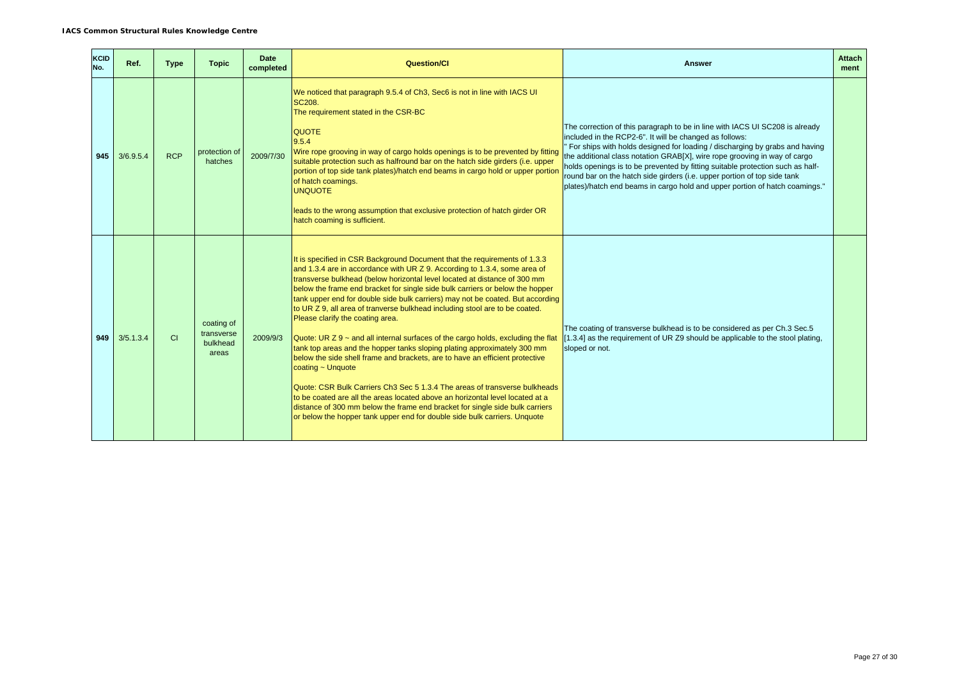| <b>KCID</b><br>No. | Ref.      | <b>Type</b>    | <b>Topic</b>                                  | Date<br>completed | <b>Question/Cl</b>                                                                                                                                                                                                                                                                                                                                                                                                                                                                                                                                                                                                                                                                                                                                                                                                                                                                                                                                                                                                                                                                                                                | Answer                                                                                                                                                                                                                                                                                                                                                                                                                                                                                                                                           | <b>Attach</b><br>ment |
|--------------------|-----------|----------------|-----------------------------------------------|-------------------|-----------------------------------------------------------------------------------------------------------------------------------------------------------------------------------------------------------------------------------------------------------------------------------------------------------------------------------------------------------------------------------------------------------------------------------------------------------------------------------------------------------------------------------------------------------------------------------------------------------------------------------------------------------------------------------------------------------------------------------------------------------------------------------------------------------------------------------------------------------------------------------------------------------------------------------------------------------------------------------------------------------------------------------------------------------------------------------------------------------------------------------|--------------------------------------------------------------------------------------------------------------------------------------------------------------------------------------------------------------------------------------------------------------------------------------------------------------------------------------------------------------------------------------------------------------------------------------------------------------------------------------------------------------------------------------------------|-----------------------|
| 945                | 3/6.9.5.4 | <b>RCP</b>     | protection of<br>hatches                      | 2009/7/30         | We noticed that paragraph 9.5.4 of Ch3, Sec6 is not in line with IACS UI<br><b>SC208.</b><br>The requirement stated in the CSR-BC<br><b>QUOTE</b><br>9.5.4<br>Wire rope grooving in way of cargo holds openings is to be prevented by fitting<br>suitable protection such as halfround bar on the hatch side girders (i.e. upper<br>portion of top side tank plates)/hatch end beams in cargo hold or upper portion<br>of hatch coamings.<br><b>UNQUOTE</b><br>leads to the wrong assumption that exclusive protection of hatch girder OR<br>hatch coaming is sufficient.                                                                                                                                                                                                                                                                                                                                                                                                                                                                                                                                                         | The correction of this paragraph to be in line with IACS UI SC208 is already<br>included in the RCP2-6". It will be changed as follows:<br>For ships with holds designed for loading / discharging by grabs and having<br>the additional class notation GRAB[X], wire rope grooving in way of cargo<br>holds openings is to be prevented by fitting suitable protection such as half-<br>round bar on the hatch side girders (i.e. upper portion of top side tank<br>plates)/hatch end beams in cargo hold and upper portion of hatch coamings." |                       |
| 949                | 3/5.1.3.4 | C <sub>1</sub> | coating of<br>transverse<br>bulkhead<br>areas | 2009/9/3          | It is specified in CSR Background Document that the requirements of 1.3.3<br>and 1.3.4 are in accordance with UR Z 9. According to 1.3.4, some area of<br>transverse bulkhead (below horizontal level located at distance of 300 mm<br>below the frame end bracket for single side bulk carriers or below the hopper<br>tank upper end for double side bulk carriers) may not be coated. But according<br>to UR Z 9, all area of tranverse bulkhead including stool are to be coated.<br>Please clarify the coating area.<br>Quote: UR $Z$ 9 $\sim$ and all internal surfaces of the cargo holds, excluding the flat<br>tank top areas and the hopper tanks sloping plating approximately 300 mm<br>below the side shell frame and brackets, are to have an efficient protective<br>coating ~ Unquote<br>Quote: CSR Bulk Carriers Ch3 Sec 5 1.3.4 The areas of transverse bulkheads<br>to be coated are all the areas located above an horizontal level located at a<br>distance of 300 mm below the frame end bracket for single side bulk carriers<br>or below the hopper tank upper end for double side bulk carriers. Unquote | The coating of transverse bulkhead is to be considered as per Ch.3 Sec.5<br>[1.3.4] as the requirement of UR Z9 should be applicable to the stool plating,<br>sloped or not.                                                                                                                                                                                                                                                                                                                                                                     |                       |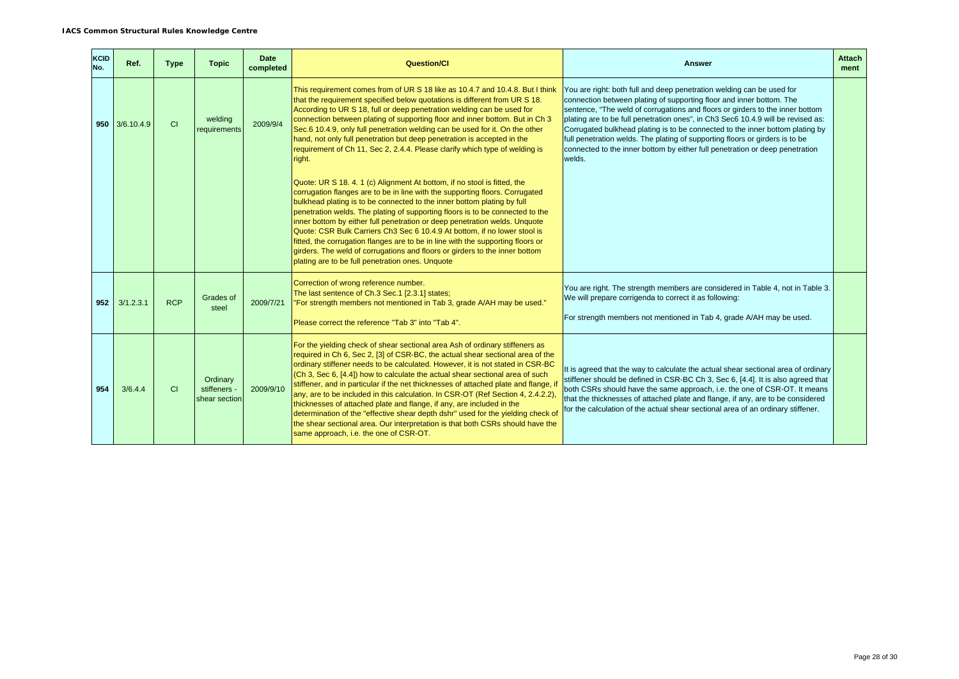| <b>KCID</b><br>No. | Ref.           | <b>Type</b> | <b>Topic</b>                              | Date<br>completed | <b>Question/CI</b>                                                                                                                                                                                                                                                                                                                                                                                                                                                                                                                                                                                                                                                                                                                                                                                     | Answer                                                                                                                                                                                                                                                                                                                                                                                                                                                                                                                                                                        | <b>Attach</b><br>ment |
|--------------------|----------------|-------------|-------------------------------------------|-------------------|--------------------------------------------------------------------------------------------------------------------------------------------------------------------------------------------------------------------------------------------------------------------------------------------------------------------------------------------------------------------------------------------------------------------------------------------------------------------------------------------------------------------------------------------------------------------------------------------------------------------------------------------------------------------------------------------------------------------------------------------------------------------------------------------------------|-------------------------------------------------------------------------------------------------------------------------------------------------------------------------------------------------------------------------------------------------------------------------------------------------------------------------------------------------------------------------------------------------------------------------------------------------------------------------------------------------------------------------------------------------------------------------------|-----------------------|
|                    | 950 3/6.10.4.9 | <b>CI</b>   | welding<br>requirements                   | 2009/9/4          | This requirement comes from of UR S 18 like as 10.4.7 and 10.4.8. But I think<br>that the requirement specified below quotations is different from UR S 18.<br>According to UR S 18, full or deep penetration welding can be used for<br>connection between plating of supporting floor and inner bottom. But in Ch 3<br>Sec.6 10.4.9, only full penetration welding can be used for it. On the other<br>hand, not only full penetration but deep penetration is accepted in the<br>requirement of Ch 11, Sec 2, 2.4.4. Please clarify which type of welding is<br>right.                                                                                                                                                                                                                              | You are right: both full and deep penetration welding can be used for<br>connection between plating of supporting floor and inner bottom. The<br>sentence, "The weld of corrugations and floors or girders to the inner bottom<br>plating are to be full penetration ones", in Ch3 Sec6 10.4.9 will be revised as:<br>Corrugated bulkhead plating is to be connected to the inner bottom plating by<br>full penetration welds. The plating of supporting floors or girders is to be<br>connected to the inner bottom by either full penetration or deep penetration<br>welds. |                       |
|                    |                |             |                                           |                   | Quote: UR S 18, 4, 1 (c) Alignment At bottom, if no stool is fitted, the<br>corrugation flanges are to be in line with the supporting floors. Corrugated<br>bulkhead plating is to be connected to the inner bottom plating by full<br>penetration welds. The plating of supporting floors is to be connected to the<br>inner bottom by either full penetration or deep penetration welds. Unquote<br>Quote: CSR Bulk Carriers Ch3 Sec 6 10.4.9 At bottom, if no lower stool is<br>fitted, the corrugation flanges are to be in line with the supporting floors or<br>girders. The weld of corrugations and floors or girders to the inner bottom<br>plating are to be full penetration ones. Unquote                                                                                                  |                                                                                                                                                                                                                                                                                                                                                                                                                                                                                                                                                                               |                       |
| 952                | 3/1.2.3.1      | <b>RCP</b>  | Grades of<br>steel                        | 2009/7/21         | Correction of wrong reference number.<br>The last sentence of Ch.3 Sec.1 [2.3.1] states;<br>"For strength members not mentioned in Tab 3, grade A/AH may be used."<br>Please correct the reference "Tab 3" into "Tab 4".                                                                                                                                                                                                                                                                                                                                                                                                                                                                                                                                                                               | You are right. The strength members are considered in Table 4, not in Table 3.<br>We will prepare corrigenda to correct it as following:<br>For strength members not mentioned in Tab 4, grade A/AH may be used.                                                                                                                                                                                                                                                                                                                                                              |                       |
| 954                | 3/6.4.4        | CI          | Ordinary<br>stiffeners -<br>shear section | 2009/9/10         | For the yielding check of shear sectional area Ash of ordinary stiffeners as<br>required in Ch 6, Sec 2, [3] of CSR-BC, the actual shear sectional area of the<br>ordinary stiffener needs to be calculated. However, it is not stated in CSR-BC<br>(Ch 3, Sec 6, [4.4]) how to calculate the actual shear sectional area of such<br>stiffener, and in particular if the net thicknesses of attached plate and flange, if<br>any, are to be included in this calculation. In CSR-OT (Ref Section 4, 2.4.2.2),<br>thicknesses of attached plate and flange, if any, are included in the<br>determination of the "effective shear depth dshr" used for the yielding check of<br>the shear sectional area. Our interpretation is that both CSRs should have the<br>same approach, i.e. the one of CSR-OT. | It is agreed that the way to calculate the actual shear sectional area of ordinary<br>stiffener should be defined in CSR-BC Ch 3, Sec 6, [4.4]. It is also agreed that<br>both CSRs should have the same approach, i.e. the one of CSR-OT. It means<br>that the thicknesses of attached plate and flange, if any, are to be considered<br>for the calculation of the actual shear sectional area of an ordinary stiffener.                                                                                                                                                    |                       |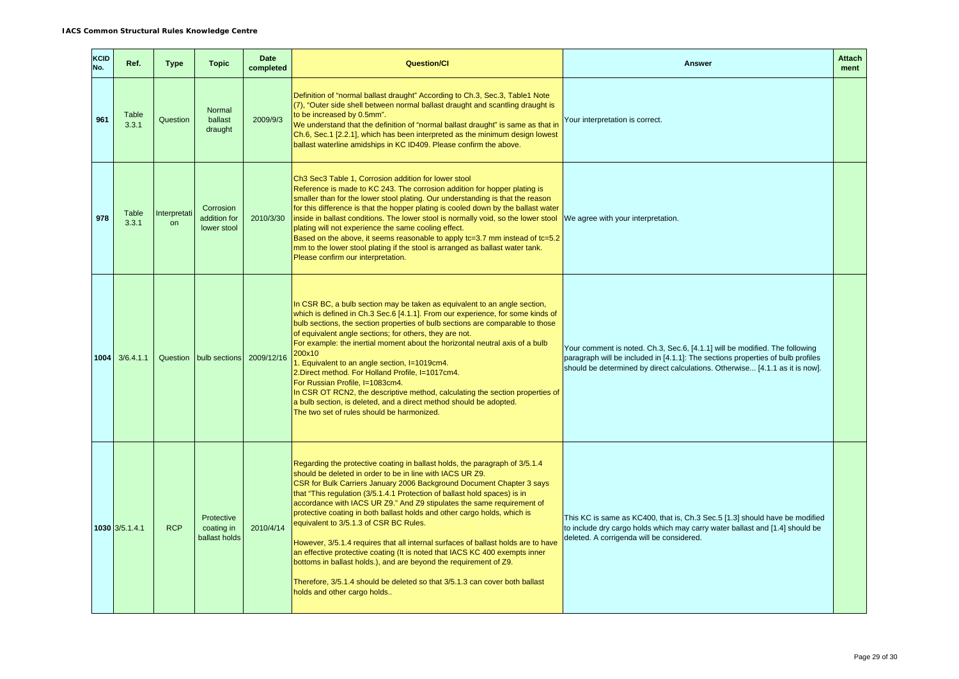| KCID<br>No. | Ref.           | <b>Type</b>        | <b>Topic</b>                              | <b>Date</b><br>completed | <b>Question/Cl</b>                                                                                                                                                                                                                                                                                                                                                                                                                                                                                                                                                                                                                                                                                                                                                                                                                                    | <b>Answer</b>                                                                                                                                                                                                                                  | <b>Attach</b><br>ment |
|-------------|----------------|--------------------|-------------------------------------------|--------------------------|-------------------------------------------------------------------------------------------------------------------------------------------------------------------------------------------------------------------------------------------------------------------------------------------------------------------------------------------------------------------------------------------------------------------------------------------------------------------------------------------------------------------------------------------------------------------------------------------------------------------------------------------------------------------------------------------------------------------------------------------------------------------------------------------------------------------------------------------------------|------------------------------------------------------------------------------------------------------------------------------------------------------------------------------------------------------------------------------------------------|-----------------------|
| 961         | Table<br>3.3.1 | Question           | Normal<br>ballast<br>draught              | 2009/9/3                 | Definition of "normal ballast draught" According to Ch.3, Sec.3, Table1 Note<br>(7), "Outer side shell between normal ballast draught and scantling draught is<br>to be increased by 0.5mm".<br>We understand that the definition of "normal ballast draught" is same as that in<br>Ch.6, Sec.1 [2.2.1], which has been interpreted as the minimum design lowest<br>ballast waterline amidships in KC ID409. Please confirm the above.                                                                                                                                                                                                                                                                                                                                                                                                                | Your interpretation is correct.                                                                                                                                                                                                                |                       |
| 978         | Table<br>3.3.1 | Interpretati<br>on | Corrosion<br>addition for<br>lower stool  | 2010/3/30                | Ch <sub>3</sub> Sec <sub>3</sub> Table 1. Corrosion addition for lower stool<br>Reference is made to KC 243. The corrosion addition for hopper plating is<br>smaller than for the lower stool plating. Our understanding is that the reason<br>for this difference is that the hopper plating is cooled down by the ballast water<br>inside in ballast conditions. The lower stool is normally void, so the lower stool<br>plating will not experience the same cooling effect.<br>Based on the above, it seems reasonable to apply tc=3.7 mm instead of tc=5.2<br>mm to the lower stool plating if the stool is arranged as ballast water tank.<br>Please confirm our interpretation.                                                                                                                                                                | We agree with your interpretation.                                                                                                                                                                                                             |                       |
| 1004        | 3/6.4.1.1      |                    | Question bulb sections 2009/12/16         |                          | In CSR BC, a bulb section may be taken as equivalent to an angle section,<br>which is defined in Ch.3 Sec.6 [4.1.1]. From our experience, for some kinds of<br>bulb sections, the section properties of bulb sections are comparable to those<br>of equivalent angle sections; for others, they are not.<br>For example: the inertial moment about the horizontal neutral axis of a bulb<br>200x10<br>1. Equivalent to an angle section, I=1019cm4.<br>2. Direct method. For Holland Profile, I=1017cm4.<br>For Russian Profile, I=1083cm4.<br>In CSR OT RCN2, the descriptive method, calculating the section properties of<br>a bulb section, is deleted, and a direct method should be adopted.<br>The two set of rules should be harmonized.                                                                                                      | Your comment is noted. Ch.3, Sec.6, [4.1.1] will be modified. The following<br>paragraph will be included in [4.1.1]: The sections properties of bulb profiles<br>should be determined by direct calculations. Otherwise [4.1.1 as it is now]. |                       |
|             | 1030 3/5.1.4.1 | <b>RCP</b>         | Protective<br>coating in<br>ballast holds | 2010/4/14                | Regarding the protective coating in ballast holds, the paragraph of 3/5.1.4<br>should be deleted in order to be in line with IACS UR Z9.<br>CSR for Bulk Carriers January 2006 Background Document Chapter 3 says<br>that "This regulation (3/5.1.4.1 Protection of ballast hold spaces) is in<br>accordance with IACS UR Z9." And Z9 stipulates the same requirement of<br>protective coating in both ballast holds and other cargo holds, which is<br>equivalent to 3/5.1.3 of CSR BC Rules.<br>However, 3/5.1.4 requires that all internal surfaces of ballast holds are to have<br>an effective protective coating (It is noted that IACS KC 400 exempts inner<br>bottoms in ballast holds.), and are beyond the requirement of Z9.<br>Therefore, 3/5.1.4 should be deleted so that 3/5.1.3 can cover both ballast<br>holds and other cargo holds | This KC is same as KC400, that is, Ch.3 Sec.5 [1.3] should have be modified<br>to include dry cargo holds which may carry water ballast and [1.4] should be<br>deleted. A corrigenda will be considered.                                       |                       |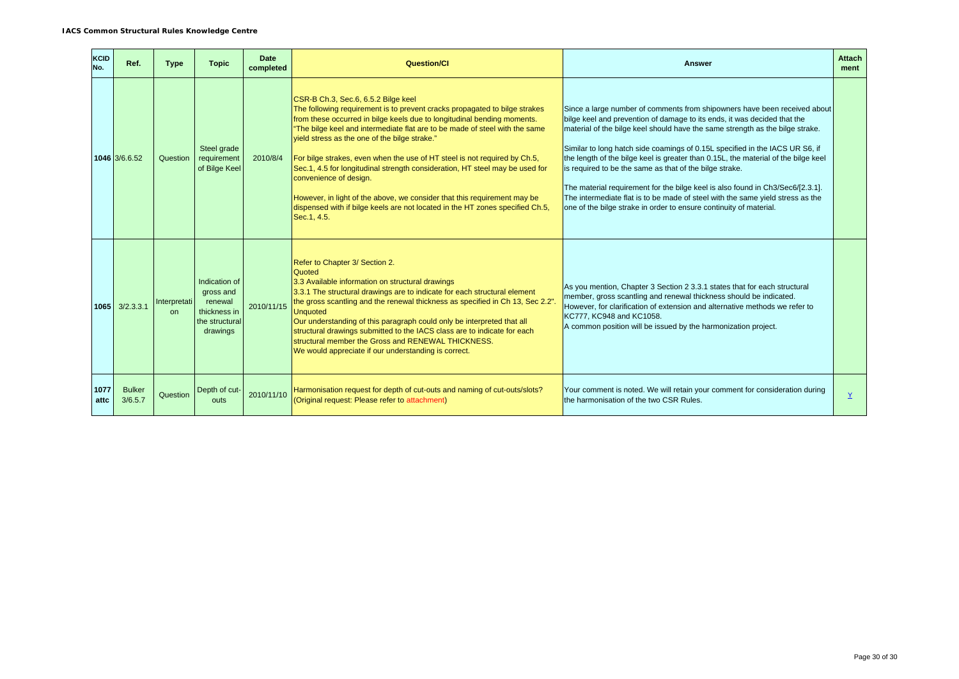| KCID<br>No.  | Ref.                     | <b>Type</b>         | <b>Topic</b>                                                                        | Date<br>completed | <b>Question/Cl</b>                                                                                                                                                                                                                                                                                                                                                                                                                                                                                                                                                                                                                                                                               | <b>Answer</b>                                                                                                                                                                                                                                                                                                                                                                                                                                                                                                                                                                                                                                                                                                     | <b>Attach</b><br>ment |
|--------------|--------------------------|---------------------|-------------------------------------------------------------------------------------|-------------------|--------------------------------------------------------------------------------------------------------------------------------------------------------------------------------------------------------------------------------------------------------------------------------------------------------------------------------------------------------------------------------------------------------------------------------------------------------------------------------------------------------------------------------------------------------------------------------------------------------------------------------------------------------------------------------------------------|-------------------------------------------------------------------------------------------------------------------------------------------------------------------------------------------------------------------------------------------------------------------------------------------------------------------------------------------------------------------------------------------------------------------------------------------------------------------------------------------------------------------------------------------------------------------------------------------------------------------------------------------------------------------------------------------------------------------|-----------------------|
|              | 1046 3/6.6.52            | Question            | Steel grade<br>requirement<br>of Bilge Keel                                         | 2010/8/4          | CSR-B Ch.3, Sec.6, 6.5.2 Bilge keel<br>The following requirement is to prevent cracks propagated to bilge strakes<br>from these occurred in bilge keels due to longitudinal bending moments.<br>"The bilge keel and intermediate flat are to be made of steel with the same<br>yield stress as the one of the bilge strake."<br>For bilge strakes, even when the use of HT steel is not required by Ch.5,<br>Sec.1, 4.5 for longitudinal strength consideration, HT steel may be used for<br>convenience of design.<br>However, in light of the above, we consider that this requirement may be<br>dispensed with if bilge keels are not located in the HT zones specified Ch.5,<br>Sec. 1, 4.5. | Since a large number of comments from shipowners have been received about<br>bilge keel and prevention of damage to its ends, it was decided that the<br>material of the bilge keel should have the same strength as the bilge strake.<br>Similar to long hatch side coamings of 0.15L specified in the IACS UR S6, if<br>the length of the bilge keel is greater than 0.15L, the material of the bilge keel<br>is required to be the same as that of the bilge strake.<br>The material requirement for the bilge keel is also found in Ch3/Sec6/[2.3.1].<br>The intermediate flat is to be made of steel with the same yield stress as the<br>one of the bilge strake in order to ensure continuity of material. |                       |
| 1065         | 3/2.3.3.1                | Interpretati<br>on. | Indication of<br>gross and<br>renewal<br>thickness in<br>the structural<br>drawings | 2010/11/15        | Refer to Chapter 3/ Section 2.<br>Quoted<br>3.3 Available information on structural drawings<br>3.3.1 The structural drawings are to indicate for each structural element<br>the gross scantling and the renewal thickness as specified in Ch 13, Sec 2.2".<br><b>Unquoted</b><br>Our understanding of this paragraph could only be interpreted that all<br>structural drawings submitted to the IACS class are to indicate for each<br>structural member the Gross and RENEWAL THICKNESS.<br>We would appreciate if our understanding is correct.                                                                                                                                               | As you mention, Chapter 3 Section 2 3.3.1 states that for each structural<br>member, gross scantling and renewal thickness should be indicated.<br>However, for clarification of extension and alternative methods we refer to<br>KC777, KC948 and KC1058.<br>A common position will be issued by the harmonization project.                                                                                                                                                                                                                                                                                                                                                                                      |                       |
| 1077<br>attc | <b>Bulker</b><br>3/6.5.7 | Question            | Depth of cut-<br>outs                                                               | 2010/11/10        | Harmonisation request for depth of cut-outs and naming of cut-outs/slots?<br>(Original request: Please refer to attachment)                                                                                                                                                                                                                                                                                                                                                                                                                                                                                                                                                                      | Your comment is noted. We will retain your comment for consideration during<br>the harmonisation of the two CSR Rules.                                                                                                                                                                                                                                                                                                                                                                                                                                                                                                                                                                                            | $\underline{Y}$       |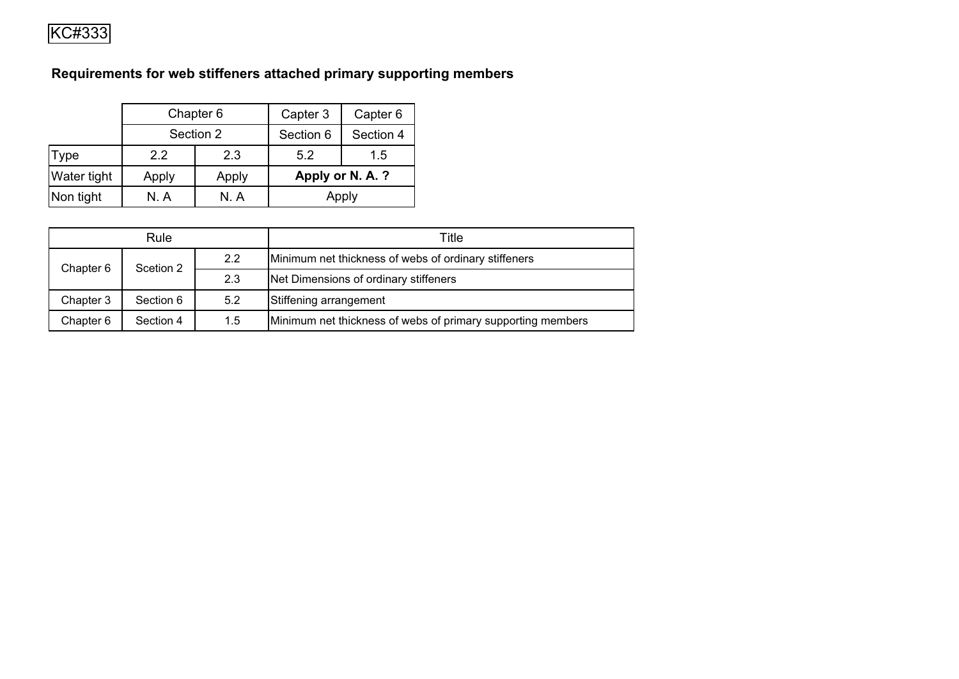# **Requirements for web stiffeners attached primary supporting members**

|             |       | Chapter 6 | Capter 3  | Capter 6         |
|-------------|-------|-----------|-----------|------------------|
|             |       | Section 2 | Section 6 | Section 4        |
| <b>Type</b> | 22    | 2.3       | 5.2       | 1.5              |
| Water tight | Apply | Apply     |           | Apply or N. A. ? |
| Non tight   | N. A  | N A       |           | Apply            |

| Rule      |                                            |         | Title                                                       |
|-----------|--------------------------------------------|---------|-------------------------------------------------------------|
| Chapter 6 | Scetion 2                                  | 2.2     | Minimum net thickness of webs of ordinary stiffeners        |
|           |                                            | 2.3     | Net Dimensions of ordinary stiffeners                       |
| Chapter 3 | 5.2<br>Stiffening arrangement<br>Section 6 |         |                                                             |
| Chapter 6 | Section 4                                  | $1.5\,$ | Minimum net thickness of webs of primary supporting members |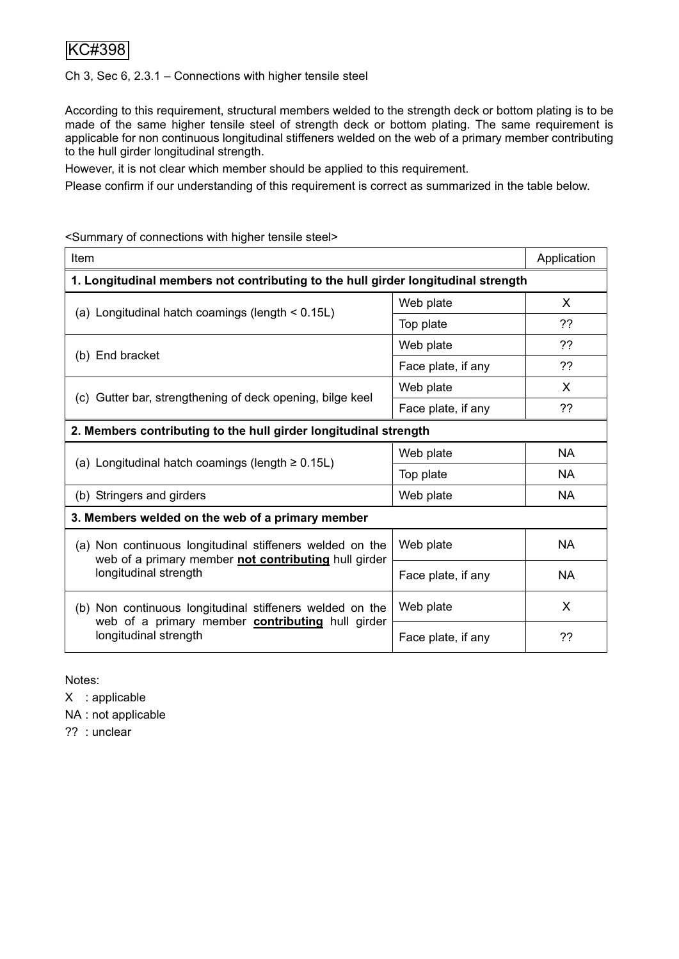Ch 3, Sec 6, 2.3.1 – Connections with higher tensile steel

According to this requirement, structural members welded to the strength deck or bottom plating is to be made of the same higher tensile steel of strength deck or bottom plating. The same requirement is applicable for non continuous longitudinal stiffeners welded on the web of a primary member contributing to the hull girder longitudinal strength.

However, it is not clear which member should be applied to this requirement.

Please confirm if our understanding of this requirement is correct as summarized in the table below.

<Summary of connections with higher tensile steel>

| Item                                                                                                             |                    | Application |
|------------------------------------------------------------------------------------------------------------------|--------------------|-------------|
| 1. Longitudinal members not contributing to the hull girder longitudinal strength                                |                    |             |
|                                                                                                                  | Web plate          | X           |
| (a) Longitudinal hatch coamings (length $< 0.15L$ )                                                              | Top plate          | ??          |
|                                                                                                                  | Web plate          | ??          |
| (b) End bracket                                                                                                  | Face plate, if any | ??          |
|                                                                                                                  | Web plate          | X           |
| (c) Gutter bar, strengthening of deck opening, bilge keel                                                        | Face plate, if any | ??          |
| 2. Members contributing to the hull girder longitudinal strength                                                 |                    |             |
|                                                                                                                  | Web plate          | <b>NA</b>   |
| (a) Longitudinal hatch coamings (length $\geq 0.15$ L)                                                           | Top plate          | <b>NA</b>   |
| (b) Stringers and girders                                                                                        | Web plate          | <b>NA</b>   |
| 3. Members welded on the web of a primary member                                                                 |                    |             |
| (a) Non continuous longitudinal stiffeners welded on the<br>web of a primary member not contributing hull girder | Web plate          | <b>NA</b>   |
| longitudinal strength                                                                                            | Face plate, if any | <b>NA</b>   |
| (b) Non continuous longitudinal stiffeners welded on the<br>web of a primary member contributing hull girder     | Web plate          | X           |
| longitudinal strength                                                                                            | Face plate, if any | ??          |

Notes:

X : applicable

NA : not applicable

?? : unclear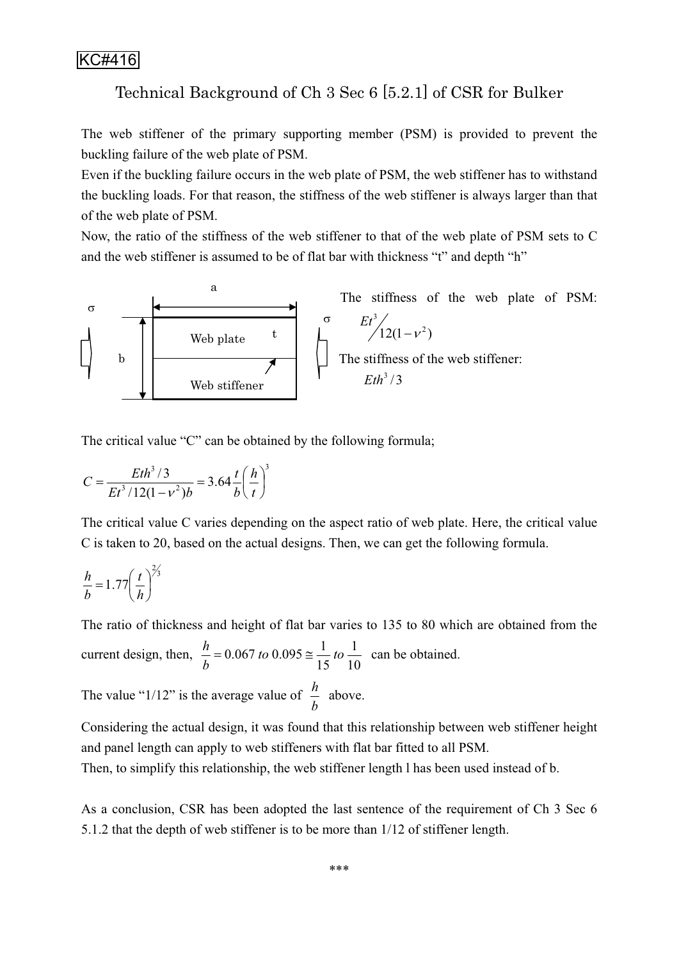## Technical Background of Ch 3 Sec 6 [5.2.1] of CSR for Bulker

The web stiffener of the primary supporting member (PSM) is provided to prevent the buckling failure of the web plate of PSM.

Even if the buckling failure occurs in the web plate of PSM, the web stiffener has to withstand the buckling loads. For that reason, the stiffness of the web stiffener is always larger than that of the web plate of PSM.

Now, the ratio of the stiffness of the web stiffener to that of the web plate of PSM sets to C and the web stiffener is assumed to be of flat bar with thickness "t" and depth "h"



The critical value "C" can be obtained by the following formula;

$$
C = \frac{Eth^3/3}{Et^3/12(1-v^2)b} = 3.64 \frac{t}{b} \left(\frac{h}{t}\right)^3
$$

The critical value C varies depending on the aspect ratio of web plate. Here, the critical value C is taken to 20, based on the actual designs. Then, we can get the following formula.

$$
\frac{h}{b} = 1.77 \left(\frac{t}{h}\right)^{2/3}
$$

The ratio of thickness and height of flat bar varies to 135 to 80 which are obtained from the

current design, then,  $\frac{h}{b} = 0.067$  to  $0.095 \approx \frac{1}{15}$  to  $\frac{1}{10}$ 15  $0.067$  *to*  $0.095 \approx \frac{1}{15}$  *to b*  $\frac{h}{I}$  = 0.067 to 0.095  $\approx \frac{1}{16}$  to  $\frac{1}{10}$  can be obtained.

The value "1/12" is the average value of  $\frac{h}{b}$  above.

Considering the actual design, it was found that this relationship between web stiffener height and panel length can apply to web stiffeners with flat bar fitted to all PSM.

Then, to simplify this relationship, the web stiffener length l has been used instead of b.

As a conclusion, CSR has been adopted the last sentence of the requirement of Ch 3 Sec 6 5.1.2 that the depth of web stiffener is to be more than 1/12 of stiffener length.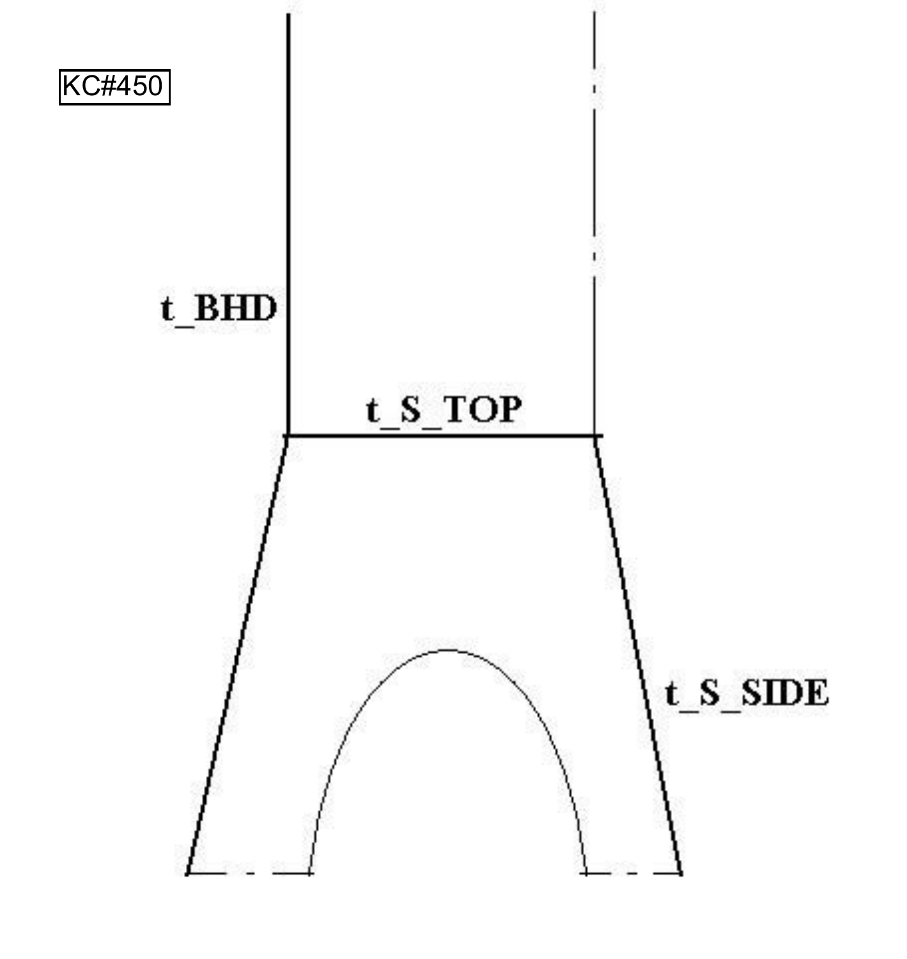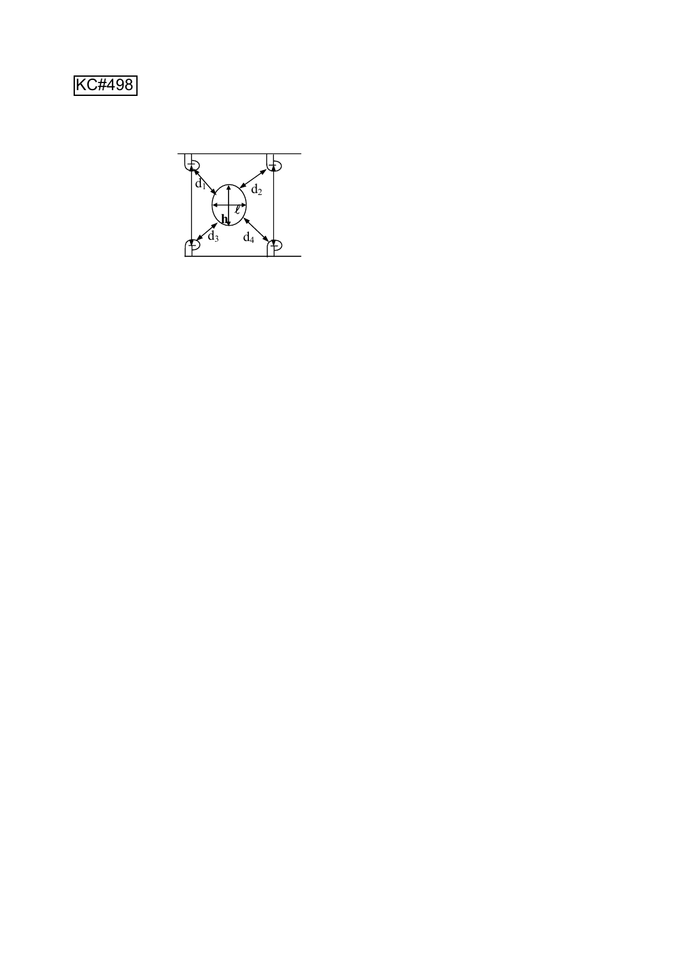KC#498

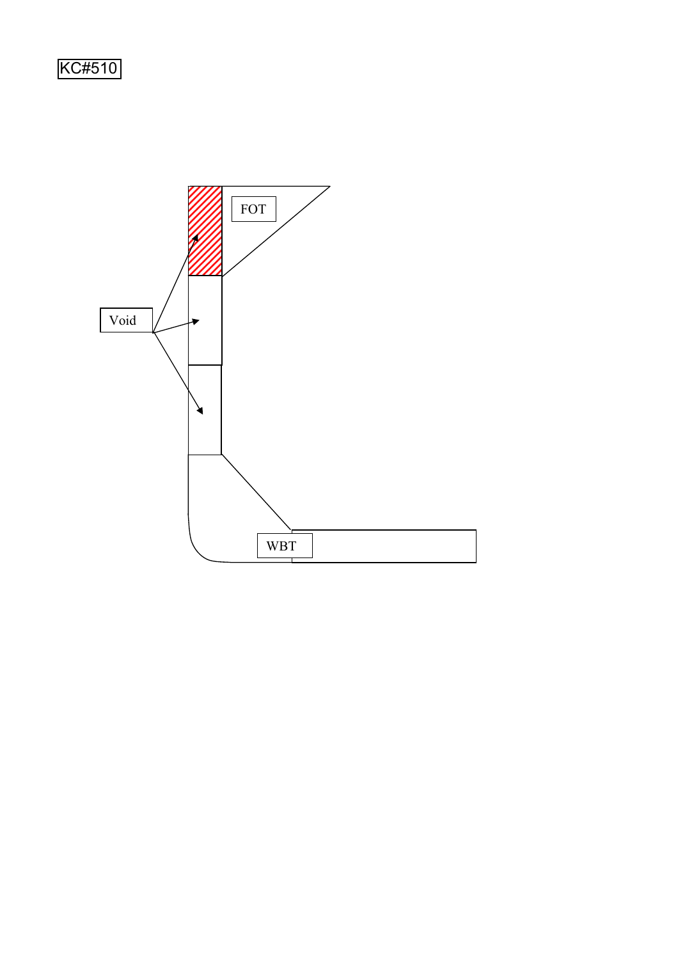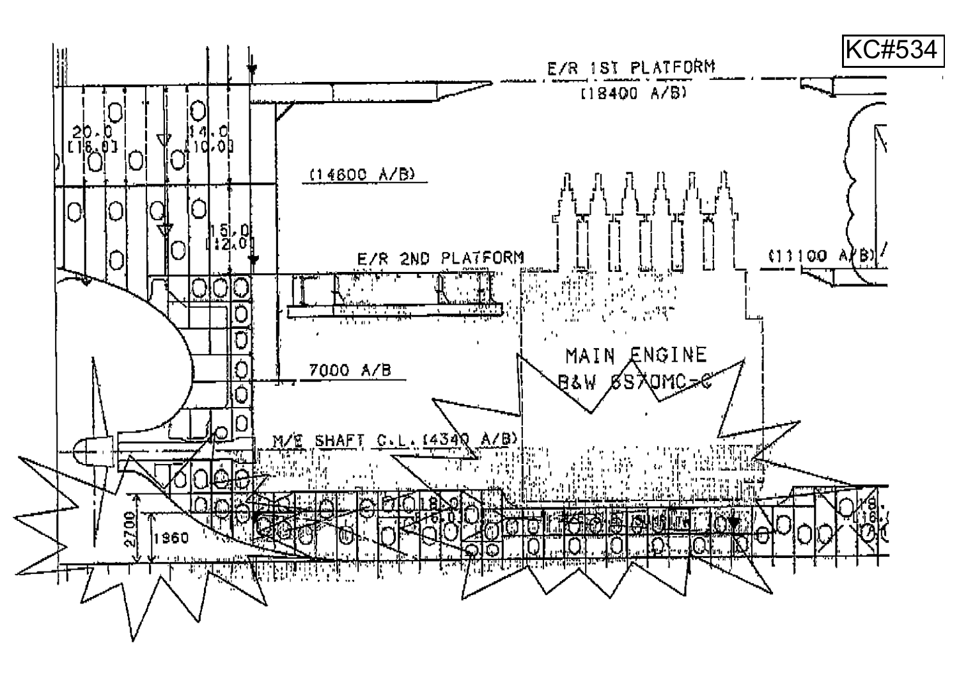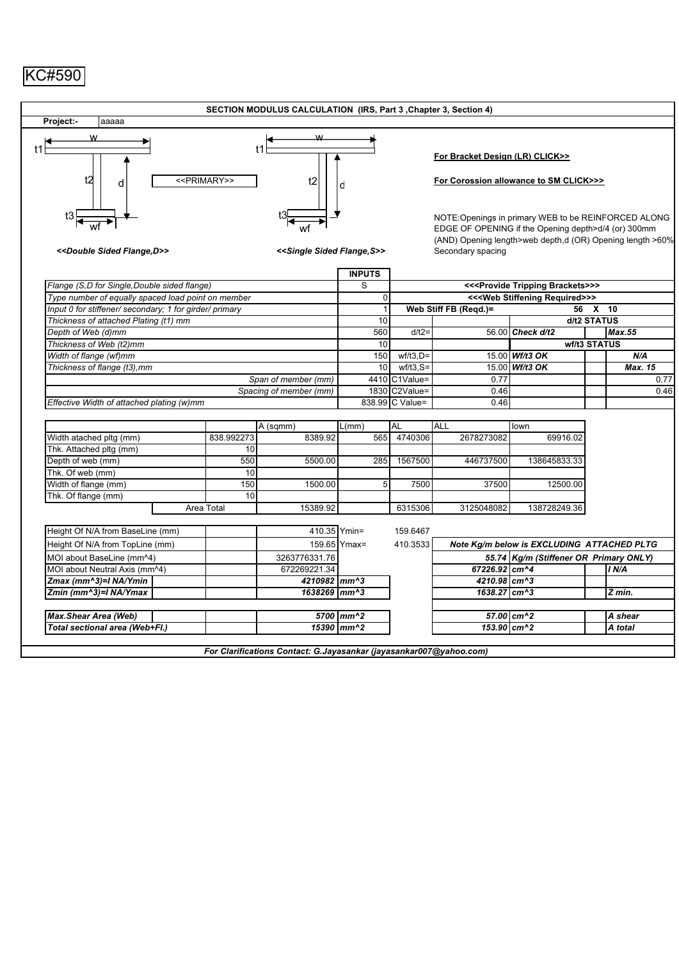|                                                                                  |                           | SECTION MODULUS CALCULATION (IRS, Part 3, Chapter 3, Section 4)    |                    |                 |                                                                                                                                                                                               |                                                        |              |                |
|----------------------------------------------------------------------------------|---------------------------|--------------------------------------------------------------------|--------------------|-----------------|-----------------------------------------------------------------------------------------------------------------------------------------------------------------------------------------------|--------------------------------------------------------|--------------|----------------|
| Project:-<br>aaaaa                                                               |                           |                                                                    |                    |                 |                                                                                                                                                                                               |                                                        |              |                |
| t2<br>d                                                                          | < <primary>&gt;</primary> | t2                                                                 | d                  |                 | For Bracket Design (LR) CLICK>><br>For Corossion allowance to SM CLICK>>>                                                                                                                     |                                                        |              |                |
| $t3\frac{1}{\blacktriangle}$<br>< <double d="" flange,="" sided="">&gt;</double> |                           | < <single flange,="" s="" sided="">&gt;</single>                   |                    |                 | NOTE: Openings in primary WEB to be REINFORCED ALONG<br>EDGE OF OPENING if the Opening depth>d/4 (or) 300mm<br>(AND) Opening length>web depth,d (OR) Opening length >60%<br>Secondary spacing |                                                        |              |                |
| Flange (S,D for Single, Double sided flange)                                     |                           |                                                                    | <b>INPUTS</b><br>S |                 |                                                                                                                                                                                               | << <provide brackets="" tripping="">&gt;&gt;</provide> |              |                |
| Type number of equally spaced load point on member                               |                           |                                                                    | $\mathbf 0$        |                 |                                                                                                                                                                                               | << <web required="" stiffening="">&gt;&gt;</web>       |              |                |
| Input 0 for stiffener/ secondary; 1 for girder/ primary                          |                           |                                                                    | $\mathbf{1}$       |                 | Web Stiff FB (Regd.)=                                                                                                                                                                         |                                                        | 56 X 10      |                |
| Thickness of attached Plating (t1) mm                                            |                           |                                                                    | 10                 |                 |                                                                                                                                                                                               |                                                        | d/t2 STATUS  |                |
| Depth of Web (d)mm                                                               |                           |                                                                    | 560                | $d/t2=$         |                                                                                                                                                                                               | 56.00 Check d/t2                                       |              | Max.55         |
| Thickness of Web (t2)mm                                                          |                           |                                                                    | $\overline{10}$    |                 |                                                                                                                                                                                               |                                                        | wf/t3 STATUS |                |
| Width of flange (wf)mm                                                           |                           |                                                                    | 150                | $wf/t3, D =$    |                                                                                                                                                                                               | 15.00 <i>Wf</i> /t3 OK                                 |              | N/A            |
| Thickness of flange (t3), mm                                                     |                           |                                                                    | 10 <sup>1</sup>    | $wf/t3, S=$     |                                                                                                                                                                                               | 15.00 <i>Wf</i> /t3 OK                                 |              | <b>Max. 15</b> |
|                                                                                  |                           | Span of member (mm)                                                |                    | 4410 C1Value=   | 0.77                                                                                                                                                                                          |                                                        |              | 0.77           |
|                                                                                  |                           | Spacing of member (mm)                                             |                    | 1830 C2Value=   | 0.46                                                                                                                                                                                          |                                                        |              | 0.46           |
| Effective Width of attached plating (w)mm                                        |                           |                                                                    |                    | 838.99 C Value= | 0.46                                                                                                                                                                                          |                                                        |              |                |
|                                                                                  |                           |                                                                    |                    |                 |                                                                                                                                                                                               |                                                        |              |                |
|                                                                                  |                           | A (sqmm)                                                           | L(mm)              | AL              | <b>ALL</b>                                                                                                                                                                                    | lown                                                   |              |                |
| Width atached pltg (mm)                                                          | 838.992273                | 8389.92                                                            | 565                | 4740306         | 2678273082                                                                                                                                                                                    | 69916.02                                               |              |                |
| Thk. Attached pltg (mm)                                                          | 10                        |                                                                    |                    |                 |                                                                                                                                                                                               |                                                        |              |                |
| Depth of web (mm)                                                                | 550                       | 5500.00                                                            | 285                | 1567500         | 446737500                                                                                                                                                                                     | 138645833.33                                           |              |                |
| Thk. Of web (mm)                                                                 | 10                        |                                                                    |                    |                 |                                                                                                                                                                                               |                                                        |              |                |
| Width of flange (mm)                                                             | 150                       | 1500.00                                                            | 5                  | 7500            | 37500                                                                                                                                                                                         | 12500.00                                               |              |                |
| Thk. Of flange (mm)                                                              | 10                        |                                                                    |                    |                 |                                                                                                                                                                                               |                                                        |              |                |
|                                                                                  | Area Total                | 15389.92                                                           |                    | 6315306         | 3125048082                                                                                                                                                                                    | 138728249.36                                           |              |                |
|                                                                                  |                           |                                                                    |                    |                 |                                                                                                                                                                                               |                                                        |              |                |
| Height Of N/A from BaseLine (mm)                                                 |                           | 410.35 Ymin=                                                       |                    | 159.6467        |                                                                                                                                                                                               |                                                        |              |                |
| Height Of N/A from TopLine (mm)                                                  |                           |                                                                    | 159.65 Ymax=       | 410.3533        |                                                                                                                                                                                               | Note Kg/m below is EXCLUDING ATTACHED PLTG             |              |                |
| MOI about BaseLine (mm^4)                                                        |                           | 3263776331.76                                                      |                    |                 |                                                                                                                                                                                               | 55.74 Kg/m (Stiffener OR Primary ONLY)                 |              |                |
| MOI about Neutral Axis (mm^4)                                                    |                           | 672269221.34                                                       |                    |                 | 67226.92 cm^4                                                                                                                                                                                 |                                                        |              | I N/A          |
| Zmax (mm^3)=I NA/Ymin                                                            |                           | 4210982 mm^3                                                       |                    |                 | 4210.98 cm^3                                                                                                                                                                                  |                                                        |              |                |
| Zmin (mm^3)=I NA/Ymax                                                            |                           | 1638269 mm^3                                                       |                    |                 | 1638.27 cm^3                                                                                                                                                                                  |                                                        |              | Z min.         |
|                                                                                  |                           |                                                                    |                    |                 |                                                                                                                                                                                               |                                                        |              |                |
| <b>Max.Shear Area (Web)</b>                                                      |                           |                                                                    | 5700 mm^2          |                 |                                                                                                                                                                                               | 57.00 cm^2                                             |              | A shear        |
| Total sectional area (Web+Fl.)                                                   |                           |                                                                    | 15390 mm^2         |                 | $153.90$ cm^2                                                                                                                                                                                 |                                                        |              | A total        |
|                                                                                  |                           |                                                                    |                    |                 |                                                                                                                                                                                               |                                                        |              |                |
|                                                                                  |                           | For Clarifications Contact: G.Jayasankar (jayasankar007@yahoo.com) |                    |                 |                                                                                                                                                                                               |                                                        |              |                |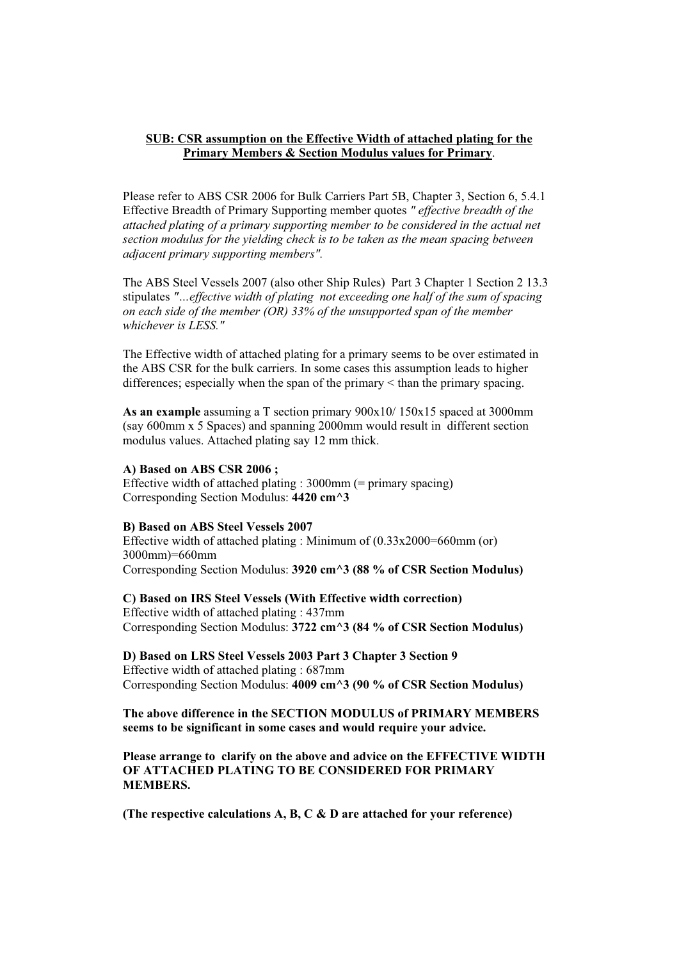#### **SUB: CSR assumption on the Effective Width of attached plating for the Primary Members & Section Modulus values for Primary**.

Please refer to ABS CSR 2006 for Bulk Carriers Part 5B, Chapter 3, Section 6, 5.4.1 Effective Breadth of Primary Supporting member quotes *" effective breadth of the attached plating of a primary supporting member to be considered in the actual net section modulus for the yielding check is to be taken as the mean spacing between adjacent primary supporting members".* 

The ABS Steel Vessels 2007 (also other Ship Rules) Part 3 Chapter 1 Section 2 13.3 stipulates *"…effective width of plating not exceeding one half of the sum of spacing on each side of the member (OR) 33% of the unsupported span of the member whichever is LESS."* 

The Effective width of attached plating for a primary seems to be over estimated in the ABS CSR for the bulk carriers. In some cases this assumption leads to higher differences; especially when the span of the primary < than the primary spacing.

**As an example** assuming a T section primary 900x10/ 150x15 spaced at 3000mm (say 600mm x 5 Spaces) and spanning 2000mm would result in different section modulus values. Attached plating say 12 mm thick.

#### **A) Based on ABS CSR 2006 ;**

Effective width of attached plating : 3000mm (= primary spacing) Corresponding Section Modulus: **4420 cm^3** 

#### **B) Based on ABS Steel Vessels 2007**

Effective width of attached plating : Minimum of (0.33x2000=660mm (or) 3000mm)=660mm Corresponding Section Modulus: **3920 cm^3 (88 % of CSR Section Modulus)** 

## **C) Based on IRS Steel Vessels (With Effective width correction)**

Effective width of attached plating : 437mm Corresponding Section Modulus: **3722 cm^3 (84 % of CSR Section Modulus)** 

**D) Based on LRS Steel Vessels 2003 Part 3 Chapter 3 Section 9**  Effective width of attached plating : 687mm Corresponding Section Modulus: **4009 cm^3 (90 % of CSR Section Modulus)** 

#### **The above difference in the SECTION MODULUS of PRIMARY MEMBERS seems to be significant in some cases and would require your advice.**

**Please arrange to clarify on the above and advice on the EFFECTIVE WIDTH OF ATTACHED PLATING TO BE CONSIDERED FOR PRIMARY MEMBERS.** 

**(The respective calculations A, B, C & D are attached for your reference)**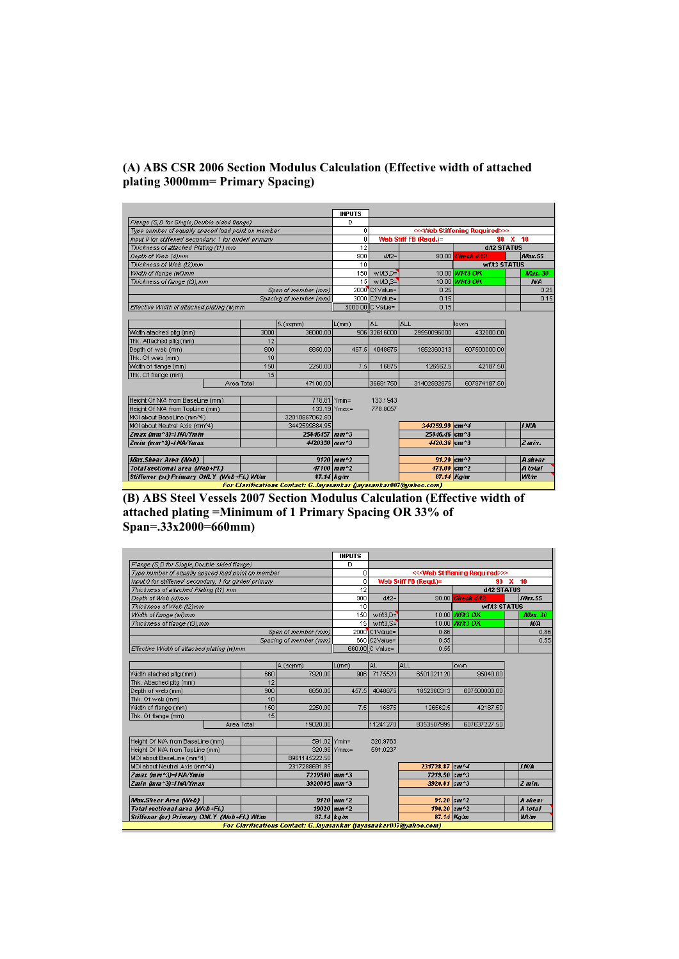## **(A) ABS CSR 2006 Section Modulus Calculation (Effective width of attached plating 3000mm= Primary Spacing)**

|                                                         |            |      |                                                                           | <b>INPUTS</b>                        |                  |                       |                                                  |                |
|---------------------------------------------------------|------------|------|---------------------------------------------------------------------------|--------------------------------------|------------------|-----------------------|--------------------------------------------------|----------------|
| Flange (S,D for Single, Double sided flange)            |            |      |                                                                           | D                                    |                  |                       |                                                  |                |
| Type number of equally spaced load point on member      |            |      |                                                                           | 0                                    |                  |                       | << <web required="" stiffening="">&gt;&gt;</web> |                |
| Input 0 for stiffener/ secondary; 1 for girder/ primary |            |      |                                                                           | 0                                    |                  | Web Stiff FB (Regd.)= |                                                  | $90 \times 10$ |
| Thickness of attached Plating (t1) mm                   |            |      |                                                                           | 12                                   |                  |                       | d/t2 STATUS                                      |                |
| Depth of Web (d)mm                                      |            |      |                                                                           | 900                                  | $dA2=$           |                       | 90.00 Check d/t2                                 | Max.55         |
| Thickness of Web (t2)mm                                 |            |      |                                                                           | 10                                   |                  |                       | wf/t3 STATUS                                     |                |
| Width of flange (wf)mm                                  |            |      |                                                                           | 150                                  | $wfA3.D=$        |                       | 10.00 Wf/t3 OK                                   | Max. 30        |
| Thickness of flange (t3), mm                            |            |      |                                                                           | 15                                   | $wfA3, S=$       |                       | 10.00 Wf/t3 OK                                   | N/A            |
|                                                         |            |      | Span of member (mm)                                                       |                                      | 2000 C1 Value=   | 0.25                  |                                                  | 0.25           |
|                                                         |            |      | Spacing of member (mm)                                                    |                                      | 3000 C2Value=    | 0.15                  |                                                  | 0.15           |
| Effective Width of attached plating (w)mm               |            |      |                                                                           |                                      | 3000.00 C Value= | 0.15                  |                                                  |                |
|                                                         |            |      |                                                                           |                                      |                  |                       |                                                  |                |
|                                                         |            |      | A (sqmm)                                                                  | L(mm)                                | <b>AL</b>        | lall                  | lown                                             |                |
| Width atached pltg (mm)                                 |            | 3000 | 36000.00                                                                  |                                      | 906 32616000     | 29550096000           | 432000.00                                        |                |
| Thk. Attached pitg (mm)                                 |            | 12   |                                                                           |                                      |                  |                       |                                                  |                |
| Depth of web (mm)                                       |            | 900  | 8850.00                                                                   | 457.5                                | 4048875          | 1852360313            | 607500000.00                                     |                |
| Thk. Of web (mm)                                        |            | 10   |                                                                           |                                      |                  |                       |                                                  |                |
| Width of flange (mm)                                    |            | 150  | 2250.00                                                                   | 7.5                                  | 16875            | 126562.5              | 42187.50                                         |                |
| Thk. Of flange (mm)                                     |            | 15   |                                                                           |                                      |                  |                       |                                                  |                |
|                                                         | Area Total |      | 47100.00                                                                  |                                      | 36681750         | 31402582875           | 607974187.50                                     |                |
|                                                         |            |      |                                                                           |                                      |                  |                       |                                                  |                |
| Height Of N/A from BaseLine (mm)                        |            |      | 778.81 Ymin=                                                              |                                      | 133.1943         |                       |                                                  |                |
| Height Of N/A from TopLine (mm)                         |            |      |                                                                           | $133.19$ Ymax=                       | 778.8057         |                       |                                                  |                |
| MOI about BaseLine (mm^4)                               |            |      | 32010557062.50                                                            |                                      |                  |                       |                                                  |                |
| MOI about Neutral Axis (mm^4)                           |            |      | 3442599884.95                                                             |                                      |                  | 344259.99 cm^4        |                                                  | <b>INA</b>     |
| Zmax (mm^3)=INA/Ymin                                    |            |      | 25846457 mm^3                                                             |                                      |                  | 25846.46 cm^3         |                                                  |                |
| Zmin (mm^3)=INA/Ymax                                    |            |      | 4420358 mm^3                                                              |                                      |                  | 4420.36 cm^3          |                                                  | Z min.         |
| <b>Max.Shear Area (Web)</b>                             |            |      |                                                                           | $9120$ mm <sup><math>12</math></sup> |                  |                       | $91.20$ cm <sup><math>12</math></sup>            | <b>A</b> shear |
| Total sectional area (Web+Fl.)                          |            |      |                                                                           | 47100 mm^2                           |                  | 471.00 cm^2           |                                                  | A total        |
| Stiffener (or) Primary ONLY (Web+FI.) Wt/m              |            |      |                                                                           | $87.14$ $k$ a/m                      |                  |                       | $87.14$ Kg/m                                     | <b>Wt/m</b>    |
|                                                         |            |      | <b>For Clarifications Contact: G. Invasankar Gavasankar007@vahoo.com)</b> |                                      |                  |                       |                                                  |                |

**(B) ABS Steel Vessels 2007 Section Modulus Calculation (Effective width of attached plating =Minimum of 1 Primary Spacing OR 33% of Span=.33x2000=660mm)** 

| Flange (S,D for Single, Double sided flange)<br>Type number of equally spaced load point on member<br>Input 0 for stiffener/ secondary; 1 for girder/ primary<br>Thickness of attached Plating (t1) mm<br>Depth of Web (d)mm<br>Thickness of Web (t2)mm<br>Width of flange (wf)mm<br>Thickness of flange (t3), mm<br>Span of member (mm)<br>Spacing of member (mm)<br>Effective Width of attached plating (w)mm<br>A (sqmm)<br>7920.00<br>660<br>Width atached pltg (mm) | D<br>0<br>0<br>12<br>900<br>10<br>150<br>15<br>L(mm)<br>906 | $dA2=$<br>$wtA3,D=$<br>$wfA3.S=$<br>2000 C1 Value=<br>660 C2Value=<br>660.00 C Value=<br>IAL. | Web Stiff FB (Regd.)=<br>0.86<br>0.55<br>0.55<br>ALL | << <web required="" stiffening="">&gt;&gt;<br/>90<br/>d/t2 STATUS<br/>90.00 Check d/t2<br/><b>wf/t3 STATUS</b><br/>10.00 <i>Wf/t3 OK</i><br/>10.00 Wf/t3 OK</web> | ×<br>10<br>Max.55<br><b>Max. 30</b><br>N/A |
|--------------------------------------------------------------------------------------------------------------------------------------------------------------------------------------------------------------------------------------------------------------------------------------------------------------------------------------------------------------------------------------------------------------------------------------------------------------------------|-------------------------------------------------------------|-----------------------------------------------------------------------------------------------|------------------------------------------------------|-------------------------------------------------------------------------------------------------------------------------------------------------------------------|--------------------------------------------|
|                                                                                                                                                                                                                                                                                                                                                                                                                                                                          |                                                             |                                                                                               |                                                      |                                                                                                                                                                   |                                            |
|                                                                                                                                                                                                                                                                                                                                                                                                                                                                          |                                                             |                                                                                               |                                                      |                                                                                                                                                                   |                                            |
|                                                                                                                                                                                                                                                                                                                                                                                                                                                                          |                                                             |                                                                                               |                                                      |                                                                                                                                                                   |                                            |
|                                                                                                                                                                                                                                                                                                                                                                                                                                                                          |                                                             |                                                                                               |                                                      |                                                                                                                                                                   |                                            |
|                                                                                                                                                                                                                                                                                                                                                                                                                                                                          |                                                             |                                                                                               |                                                      |                                                                                                                                                                   |                                            |
|                                                                                                                                                                                                                                                                                                                                                                                                                                                                          |                                                             |                                                                                               |                                                      |                                                                                                                                                                   |                                            |
|                                                                                                                                                                                                                                                                                                                                                                                                                                                                          |                                                             |                                                                                               |                                                      |                                                                                                                                                                   |                                            |
|                                                                                                                                                                                                                                                                                                                                                                                                                                                                          |                                                             |                                                                                               |                                                      |                                                                                                                                                                   |                                            |
|                                                                                                                                                                                                                                                                                                                                                                                                                                                                          |                                                             |                                                                                               |                                                      |                                                                                                                                                                   |                                            |
|                                                                                                                                                                                                                                                                                                                                                                                                                                                                          |                                                             |                                                                                               |                                                      |                                                                                                                                                                   |                                            |
|                                                                                                                                                                                                                                                                                                                                                                                                                                                                          |                                                             |                                                                                               |                                                      |                                                                                                                                                                   |                                            |
|                                                                                                                                                                                                                                                                                                                                                                                                                                                                          |                                                             |                                                                                               |                                                      |                                                                                                                                                                   |                                            |
|                                                                                                                                                                                                                                                                                                                                                                                                                                                                          |                                                             |                                                                                               |                                                      | lown                                                                                                                                                              |                                            |
|                                                                                                                                                                                                                                                                                                                                                                                                                                                                          |                                                             | 7175520                                                                                       | 6501021120                                           | 95040.00                                                                                                                                                          |                                            |
| 12<br>Thk. Attached pltg (mm)                                                                                                                                                                                                                                                                                                                                                                                                                                            |                                                             |                                                                                               |                                                      |                                                                                                                                                                   |                                            |
| 900<br>8850.00<br>Depth of web (mm)                                                                                                                                                                                                                                                                                                                                                                                                                                      | 457.5                                                       | 4048875                                                                                       | 1852360313                                           | 607500000.00                                                                                                                                                      |                                            |
| 10<br>Thk. Of web (mm)                                                                                                                                                                                                                                                                                                                                                                                                                                                   |                                                             |                                                                                               |                                                      |                                                                                                                                                                   |                                            |
| 150<br>Width of flange (mm)<br>2250.00                                                                                                                                                                                                                                                                                                                                                                                                                                   | 7.5                                                         | 16875                                                                                         | 126562.5                                             | 42187.50                                                                                                                                                          |                                            |
| 15<br>Thk. Of flange (mm)                                                                                                                                                                                                                                                                                                                                                                                                                                                |                                                             |                                                                                               |                                                      |                                                                                                                                                                   |                                            |
| Area Total<br>19020.00                                                                                                                                                                                                                                                                                                                                                                                                                                                   |                                                             | 11241270                                                                                      | 8353507995                                           | 607637227.50                                                                                                                                                      |                                            |
|                                                                                                                                                                                                                                                                                                                                                                                                                                                                          |                                                             |                                                                                               |                                                      |                                                                                                                                                                   |                                            |
| Height Of N/A from BaseLine (mm)<br>591.02 Ymin=                                                                                                                                                                                                                                                                                                                                                                                                                         |                                                             | 320.9763                                                                                      |                                                      |                                                                                                                                                                   |                                            |
| 320.98 Ymax=<br>Height Of N/A from TopLine (mm)                                                                                                                                                                                                                                                                                                                                                                                                                          |                                                             | 591.0237                                                                                      |                                                      |                                                                                                                                                                   |                                            |
| MOI about BaseLine (mm^4)<br>8961145222.50                                                                                                                                                                                                                                                                                                                                                                                                                               |                                                             |                                                                                               |                                                      |                                                                                                                                                                   |                                            |
| MOI about Neutral Axis (mm^4)<br>2317288691.85                                                                                                                                                                                                                                                                                                                                                                                                                           |                                                             |                                                                                               | 231728.87 cm^4                                       |                                                                                                                                                                   | li N/A                                     |
| Zmax (mm^3)=INA/Ymin<br>7219500 mm^3                                                                                                                                                                                                                                                                                                                                                                                                                                     |                                                             |                                                                                               | 7219.50 cm^3                                         |                                                                                                                                                                   |                                            |
| Zmin (mm^3)=JNA/Ymax<br>3920805 mm^3                                                                                                                                                                                                                                                                                                                                                                                                                                     |                                                             |                                                                                               | 3920.81 cm^3                                         |                                                                                                                                                                   | Z min.                                     |
|                                                                                                                                                                                                                                                                                                                                                                                                                                                                          |                                                             |                                                                                               |                                                      |                                                                                                                                                                   |                                            |
| <b>Max.Shear Area (Web)</b><br>$9120$ $mm^2$                                                                                                                                                                                                                                                                                                                                                                                                                             |                                                             |                                                                                               | 91.20 $cm^{2}$                                       |                                                                                                                                                                   | A shear                                    |
| 19020 mm^2<br>Total sectional area (Web+Fl.)                                                                                                                                                                                                                                                                                                                                                                                                                             |                                                             |                                                                                               | 190.20 cm^2                                          |                                                                                                                                                                   | A total                                    |
| Stiffener (or) Primary ONLY (Web+FI.) Wt/m<br>$87.14$ $kg/m$<br>For Clarifications Contact: G.Javasankar Gavasankar007@vahoo.com)                                                                                                                                                                                                                                                                                                                                        |                                                             |                                                                                               |                                                      | 87.14 Kg/m                                                                                                                                                        | <b>Wt/m</b>                                |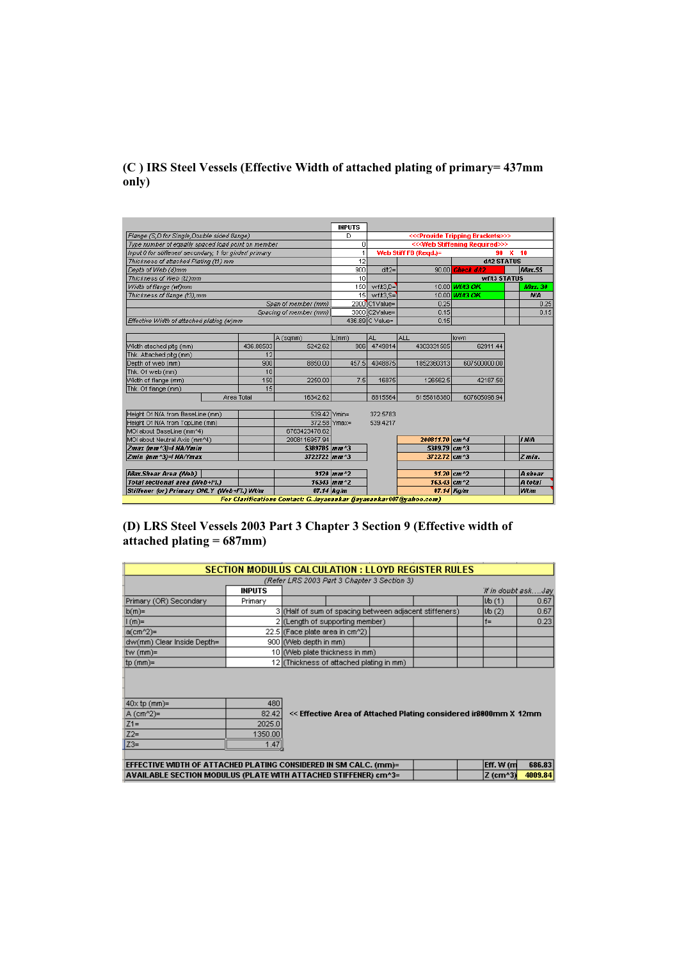## **(C ) IRS Steel Vessels (Effective Width of attached plating of primary= 437mm only)**

|                                                    |                                                         |                                                                                      | <b>INPUTS</b>                                          |                 |                                         |                          |                |
|----------------------------------------------------|---------------------------------------------------------|--------------------------------------------------------------------------------------|--------------------------------------------------------|-----------------|-----------------------------------------|--------------------------|----------------|
| Flange (S.D for Single, Double sided flange)       | D                                                       |                                                                                      | << <provide brackets="" tripping="">&gt;&gt;</provide> |                 |                                         |                          |                |
| Type number of equally spaced load point on member | n                                                       |                                                                                      | << <web required="" stiffening="">&gt;&gt;</web>       |                 |                                         |                          |                |
|                                                    | Input 0 for stiffener/ secondary; 1 for girder/ primary |                                                                                      |                                                        |                 | Web Stiff FB (Reqd.)=<br>$90 \times 10$ |                          |                |
| Thickness of attached Plating (t1) mm              |                                                         |                                                                                      | 12                                                     |                 |                                         | <b>d/t2 STATUS</b>       |                |
| Depth of Web (d)mm                                 |                                                         |                                                                                      | 900                                                    | $dA2=$          |                                         | 90.00 Check d/t2         | <i>Max.55</i>  |
| Thickness of Web (t2)mm                            |                                                         |                                                                                      | 10                                                     |                 |                                         | <b>wf/t3 STATUS</b>      |                |
| Width of flange (wf)mm                             |                                                         |                                                                                      | 150                                                    | $wfA3,D=$       |                                         | 10.00 Wf/t3 OK           | Max. 30        |
| Thickness of flange (t3), mm                       |                                                         |                                                                                      | 15 <sub>l</sub>                                        | $wfA3.S=$       |                                         | 10.00 <i>Wf/t3 OK</i>    | N/A            |
|                                                    |                                                         | Span of member (mm)                                                                  |                                                        | 2000 C1 Value=  | 0.25                                    |                          | 0.25           |
|                                                    |                                                         | Spacing of member (mm)                                                               |                                                        | 3000 C2Value=   | 0.15                                    |                          | 0.15           |
| Effective Width of attached plating (w)mm          |                                                         |                                                                                      |                                                        | 436.89 C Value= | 0.15                                    |                          |                |
|                                                    |                                                         |                                                                                      |                                                        |                 |                                         |                          |                |
|                                                    |                                                         | A (sqmm)                                                                             | L(mm)                                                  | AL              | lall                                    | lown                     |                |
| Width atached pltg (mm)                            | 436.88503                                               | 5242.62                                                                              | 1808                                                   | 4749814         | 4303331505                              | 62911.44                 |                |
| Thk. Attached pltg (mm)                            | 12                                                      |                                                                                      |                                                        |                 |                                         |                          |                |
| Depth of web (mm)                                  | 900                                                     | 8850.00                                                                              | 457.5                                                  | 4048875         | 1852360313                              | 607500000.00             |                |
| Thk. Of web (mm)                                   | 10                                                      |                                                                                      |                                                        |                 |                                         |                          |                |
| Width of flange (mm)                               | 150                                                     | 2250.00                                                                              | 7.5                                                    | 16875           | 126562.5                                | 42187.50                 |                |
| Thk. Of flange (mm)                                | 15                                                      |                                                                                      |                                                        |                 |                                         |                          |                |
|                                                    | Area Total                                              | 16342.62                                                                             |                                                        | 8815564         | 6155818380                              | 607605098.94             |                |
| Height Of N/A from BaseLine (mm)                   |                                                         | 539.42 Ymin=                                                                         |                                                        | 372.5783        |                                         |                          |                |
| Height Of N/A from TopLine (mm)                    |                                                         |                                                                                      | 372.58 Ymax=                                           | 539.4217        |                                         |                          |                |
| MOI about BaseLine (mm^4)                          |                                                         | 6763423478.62                                                                        |                                                        |                 |                                         |                          |                |
| MOI about Neutral Axis (mm^4)                      |                                                         | 2008116957.94                                                                        |                                                        |                 | 200811.70 cm^4                          |                          | <b>J N/A</b>   |
| Zmax (mm^3)=INA/Ymin                               |                                                         | 5389785 mm^3                                                                         |                                                        |                 | 5389.79 cm^3                            |                          |                |
| Zmin (mm^3)=INA/Ymax                               |                                                         | 3722722 mm^3                                                                         |                                                        |                 | 3722.72 cm^3                            |                          | Z min.         |
|                                                    |                                                         |                                                                                      |                                                        |                 |                                         |                          |                |
| <b>Max.Shear Area (Web)</b>                        |                                                         |                                                                                      | $9120$ $mm^2$                                          |                 |                                         | $91.20$ cm <sup>^2</sup> | <b>A</b> shear |
| Total sectional area (Web+Fl.)                     |                                                         |                                                                                      | $16343$ $mm^2$                                         |                 | $163.43$ cm <sup><math>2</math></sup>   |                          | A total        |
| Stiffener (or) Primary ONLY (Web+Fl.) Wt/m         |                                                         | $87.14$ $kg/m$<br>For Clarifications Contact: G. Javasankar Gavasankar007@vahoo.com) |                                                        |                 |                                         | 87.14 Kg/m               | Wt/m           |

## **(D) LRS Steel Vessels 2003 Part 3 Chapter 3 Section 9 (Effective width of attached plating = 687mm)**

|                                                                                         |               | SECTION MODULUS CALCULATION : LLOYD REGISTER RULES                |  |                    |         |
|-----------------------------------------------------------------------------------------|---------------|-------------------------------------------------------------------|--|--------------------|---------|
|                                                                                         |               | (Refer LRS 2003 Part 3 Chapter 3 Section 3)                       |  |                    |         |
|                                                                                         | <b>INPUTS</b> |                                                                   |  | If in doubt askJay |         |
| Primary (OR) Secondary                                                                  | Primary       |                                                                   |  | I/b(1)             | 0.67    |
| $b(m)=$                                                                                 |               | 3 (Half of sum of spacing between adjacent stiffeners)            |  | $\mathsf{lib}(2)$  | 0.67    |
| $1(m)=$                                                                                 |               | 2 (Length of supporting member)                                   |  | $f =$              | 0.23    |
| a(cm^2)=                                                                                |               | 22.5 (Face plate area in cm^2)                                    |  |                    |         |
| dw(mm) Clear Inside Depth=                                                              |               | 900 ((Web depth in mm)                                            |  |                    |         |
| tw (mm)=                                                                                |               | 10 (Web plate thickness in mm)                                    |  |                    |         |
| $tp(mm)$ =                                                                              |               | 12 (Thickness of attached plating in mm)                          |  |                    |         |
| $40x$ tp (mm)=                                                                          | 480           |                                                                   |  |                    |         |
| A (cm^2)=                                                                               | 82.42         | << Effective Area of Attached Plating considered in 8000mm X 12mm |  |                    |         |
| $Z1 =$                                                                                  | 2025.0        |                                                                   |  |                    |         |
| $Z2=$                                                                                   | 1350.00       |                                                                   |  |                    |         |
| $ Z3=$                                                                                  | 1.47          |                                                                   |  |                    |         |
| 686.83<br>Eff. W (m<br>EFFECTIVE WIDTH OF ATTACHED PLATING CONSIDERED IN SM CALC. (mm)= |               |                                                                   |  |                    |         |
|                                                                                         |               | AVAILABLE SECTION MODULUS (PLATE WITH ATTACHED STIFFENER) cm^3=   |  | <b>Z</b> (cm^3)    | 4009.84 |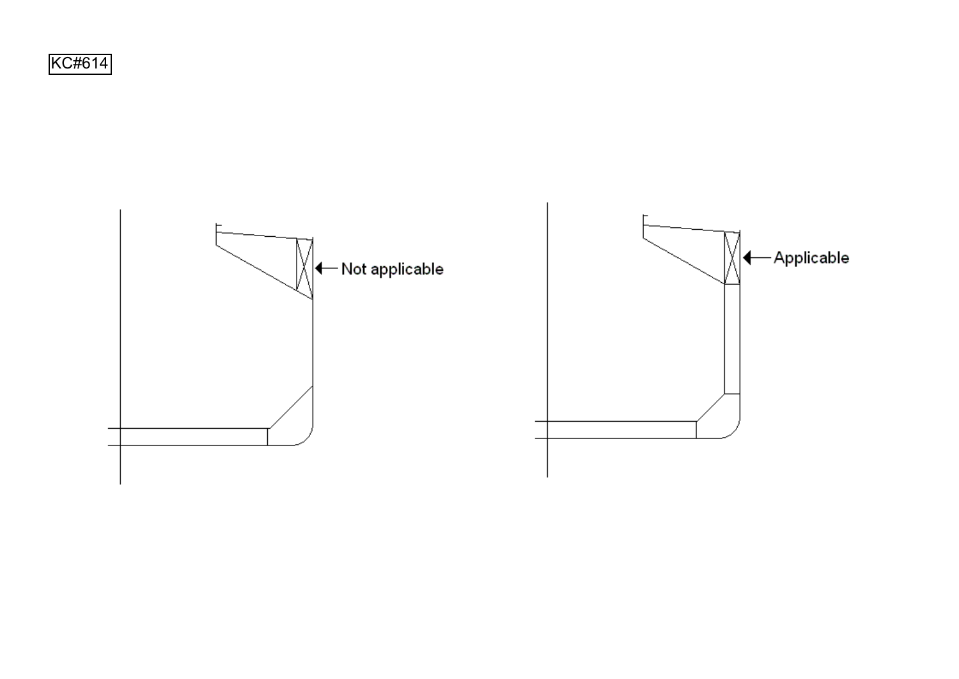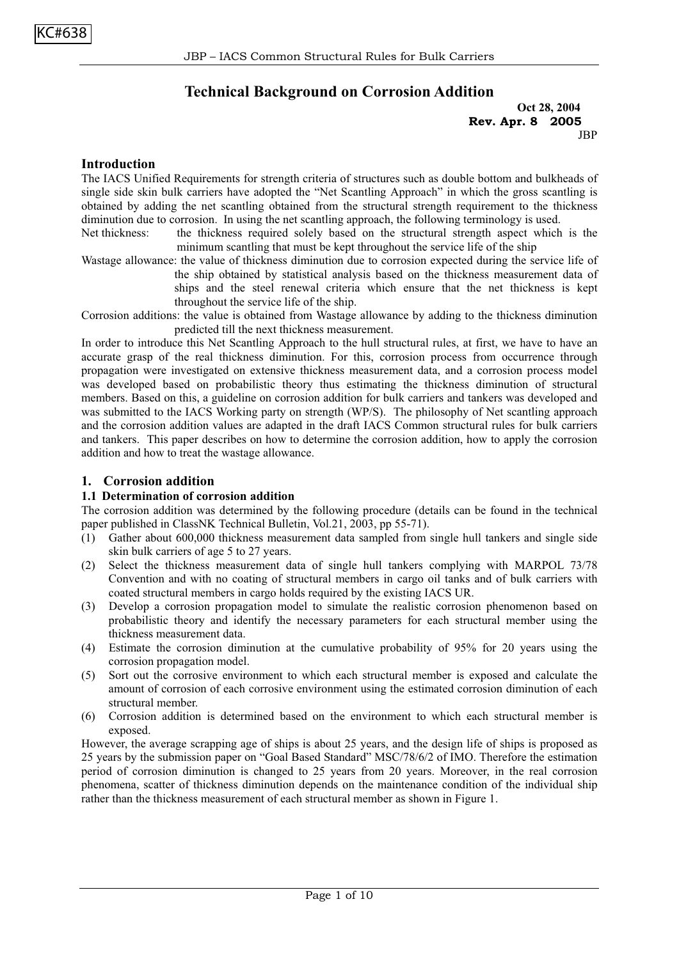## **Technical Background on Corrosion Addition**

**Oct 28, 2004 Rev. Apr. 8 2005 JBP** 

## **Introduction**

The IACS Unified Requirements for strength criteria of structures such as double bottom and bulkheads of single side skin bulk carriers have adopted the "Net Scantling Approach" in which the gross scantling is obtained by adding the net scantling obtained from the structural strength requirement to the thickness diminution due to corrosion. In using the net scantling approach, the following terminology is used.

Net thickness: the thickness required solely based on the structural strength aspect which is the minimum scantling that must be kept throughout the service life of the ship

Wastage allowance: the value of thickness diminution due to corrosion expected during the service life of

the ship obtained by statistical analysis based on the thickness measurement data of ships and the steel renewal criteria which ensure that the net thickness is kept throughout the service life of the ship.

Corrosion additions: the value is obtained from Wastage allowance by adding to the thickness diminution predicted till the next thickness measurement.

In order to introduce this Net Scantling Approach to the hull structural rules, at first, we have to have an accurate grasp of the real thickness diminution. For this, corrosion process from occurrence through propagation were investigated on extensive thickness measurement data, and a corrosion process model was developed based on probabilistic theory thus estimating the thickness diminution of structural members. Based on this, a guideline on corrosion addition for bulk carriers and tankers was developed and was submitted to the IACS Working party on strength (WP/S). The philosophy of Net scantling approach and the corrosion addition values are adapted in the draft IACS Common structural rules for bulk carriers and tankers. This paper describes on how to determine the corrosion addition, how to apply the corrosion addition and how to treat the wastage allowance.

## **1. Corrosion addition**

#### **1.1 Determination of corrosion addition**

The corrosion addition was determined by the following procedure (details can be found in the technical paper published in ClassNK Technical Bulletin, Vol.21, 2003, pp 55-71).

- (1) Gather about 600,000 thickness measurement data sampled from single hull tankers and single side skin bulk carriers of age 5 to 27 years.
- (2) Select the thickness measurement data of single hull tankers complying with MARPOL 73/78 Convention and with no coating of structural members in cargo oil tanks and of bulk carriers with coated structural members in cargo holds required by the existing IACS UR.
- (3) Develop a corrosion propagation model to simulate the realistic corrosion phenomenon based on probabilistic theory and identify the necessary parameters for each structural member using the thickness measurement data.
- (4) Estimate the corrosion diminution at the cumulative probability of 95% for 20 years using the corrosion propagation model.
- (5) Sort out the corrosive environment to which each structural member is exposed and calculate the amount of corrosion of each corrosive environment using the estimated corrosion diminution of each structural member.
- (6) Corrosion addition is determined based on the environment to which each structural member is exposed.

However, the average scrapping age of ships is about 25 years, and the design life of ships is proposed as 25 years by the submission paper on "Goal Based Standard" MSC/78/6/2 of IMO. Therefore the estimation period of corrosion diminution is changed to 25 years from 20 years. Moreover, in the real corrosion phenomena, scatter of thickness diminution depends on the maintenance condition of the individual ship rather than the thickness measurement of each structural member as shown in Figure 1.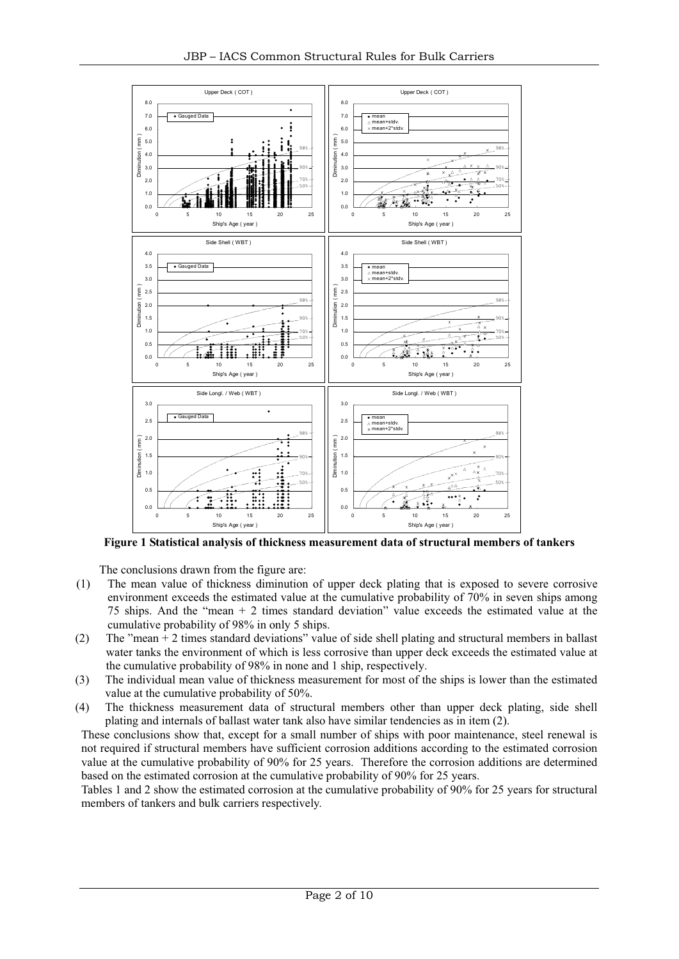

**Figure 1 Statistical analysis of thickness measurement data of structural members of tankers**

The conclusions drawn from the figure are:

- (1) The mean value of thickness diminution of upper deck plating that is exposed to severe corrosive environment exceeds the estimated value at the cumulative probability of 70% in seven ships among 75 ships. And the "mean + 2 times standard deviation" value exceeds the estimated value at the cumulative probability of 98% in only 5 ships.
- (2) The "mean + 2 times standard deviations" value of side shell plating and structural members in ballast water tanks the environment of which is less corrosive than upper deck exceeds the estimated value at the cumulative probability of 98% in none and 1 ship, respectively.
- (3) The individual mean value of thickness measurement for most of the ships is lower than the estimated value at the cumulative probability of 50%.
- (4) The thickness measurement data of structural members other than upper deck plating, side shell plating and internals of ballast water tank also have similar tendencies as in item (2).

These conclusions show that, except for a small number of ships with poor maintenance, steel renewal is not required if structural members have sufficient corrosion additions according to the estimated corrosion value at the cumulative probability of 90% for 25 years. Therefore the corrosion additions are determined based on the estimated corrosion at the cumulative probability of 90% for 25 years.

Tables 1 and 2 show the estimated corrosion at the cumulative probability of 90% for 25 years for structural members of tankers and bulk carriers respectively.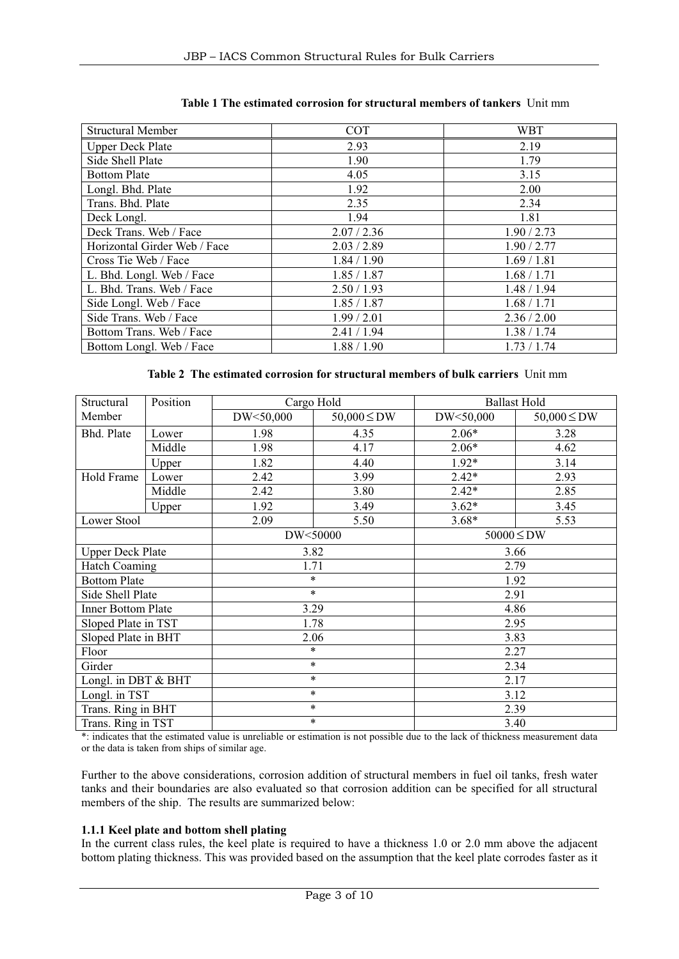| <b>Structural Member</b>     | <b>COT</b>  | <b>WBT</b>  |
|------------------------------|-------------|-------------|
| <b>Upper Deck Plate</b>      | 2.93        | 2.19        |
| Side Shell Plate             | 1.90        | 1.79        |
| <b>Bottom Plate</b>          | 4.05        | 3.15        |
| Longl. Bhd. Plate            | 1.92        | 2.00        |
| Trans. Bhd. Plate            | 2.35        | 2.34        |
| Deck Longl.                  | 1.94        | 1.81        |
| Deck Trans. Web / Face       | 2.07 / 2.36 | 1.90 / 2.73 |
| Horizontal Girder Web / Face | 2.03 / 2.89 | 1.90 / 2.77 |
| Cross Tie Web / Face         | 1.84 / 1.90 | 1.69/1.81   |
| L. Bhd. Longl. Web / Face    | 1.85 / 1.87 | 1.68 / 1.71 |
| L. Bhd. Trans. Web / Face    | 2.50/1.93   | 1.48 / 1.94 |
| Side Longl. Web / Face       | 1.85 / 1.87 | 1.68 / 1.71 |
| Side Trans. Web / Face       | 1.99/2.01   | 2.36 / 2.00 |
| Bottom Trans. Web / Face     | 2.41 / 1.94 | 1.38 / 1.74 |
| Bottom Longl. Web / Face     | 1.88 / 1.90 | 1.73 / 1.74 |

## **Table 1 The estimated corrosion for structural members of tankers** Unit mm

## **Table 2 The estimated corrosion for structural members of bulk carriers** Unit mm

| Structural                | Position |           | Cargo Hold       |                 | <b>Ballast Hold</b> |  |
|---------------------------|----------|-----------|------------------|-----------------|---------------------|--|
| Member                    |          | DW<50,000 | $50,000 \leq DW$ | DW<50,000       | $50,000 \leq DW$    |  |
| Bhd. Plate                | Lower    | 1.98      | 4.35             | $2.06*$         | 3.28                |  |
|                           | Middle   | 1.98      | 4.17             | $2.06*$         | 4.62                |  |
|                           | Upper    | 1.82      | 4.40             | $1.92*$         | 3.14                |  |
| Hold Frame                | Lower    | 2.42      | 3.99             | $2.42*$         | 2.93                |  |
|                           | Middle   | 2.42      | 3.80             | $2.42*$         | 2.85                |  |
|                           | Upper    | 1.92      | 3.49             | $3.62*$         | 3.45                |  |
| Lower Stool               |          | 2.09      | 5.50             | $3.68*$         | 5.53                |  |
|                           |          | DW<50000  |                  | $50000 \leq DW$ |                     |  |
| <b>Upper Deck Plate</b>   |          | 3.82      |                  | 3.66            |                     |  |
| <b>Hatch Coaming</b>      |          |           | 1.71             |                 | 2.79                |  |
| <b>Bottom Plate</b>       |          |           | $\ast$           |                 | 1.92                |  |
| Side Shell Plate          |          |           | $\ast$           |                 | 2.91                |  |
| <b>Inner Bottom Plate</b> |          | 3.29      |                  |                 | 4.86                |  |
| Sloped Plate in TST       |          |           | 1.78             | 2.95            |                     |  |
| Sloped Plate in BHT       |          |           | 2.06             | 3.83            |                     |  |
| Floor                     |          |           | *                | 2.27            |                     |  |
| Girder                    |          |           | $\ast$           | 2.34            |                     |  |
| Longl. in DBT & BHT       |          |           | $\ast$           | 2.17            |                     |  |
| Longl. in TST             |          |           | *                | 3.12            |                     |  |
| Trans. Ring in BHT        |          |           | $\ast$           | 2.39            |                     |  |
| Trans. Ring in TST        |          | $\ast$    |                  | 3.40            |                     |  |

\*: indicates that the estimated value is unreliable or estimation is not possible due to the lack of thickness measurement data or the data is taken from ships of similar age.

Further to the above considerations, corrosion addition of structural members in fuel oil tanks, fresh water tanks and their boundaries are also evaluated so that corrosion addition can be specified for all structural members of the ship. The results are summarized below:

#### **1.1.1 Keel plate and bottom shell plating**

In the current class rules, the keel plate is required to have a thickness 1.0 or 2.0 mm above the adjacent bottom plating thickness. This was provided based on the assumption that the keel plate corrodes faster as it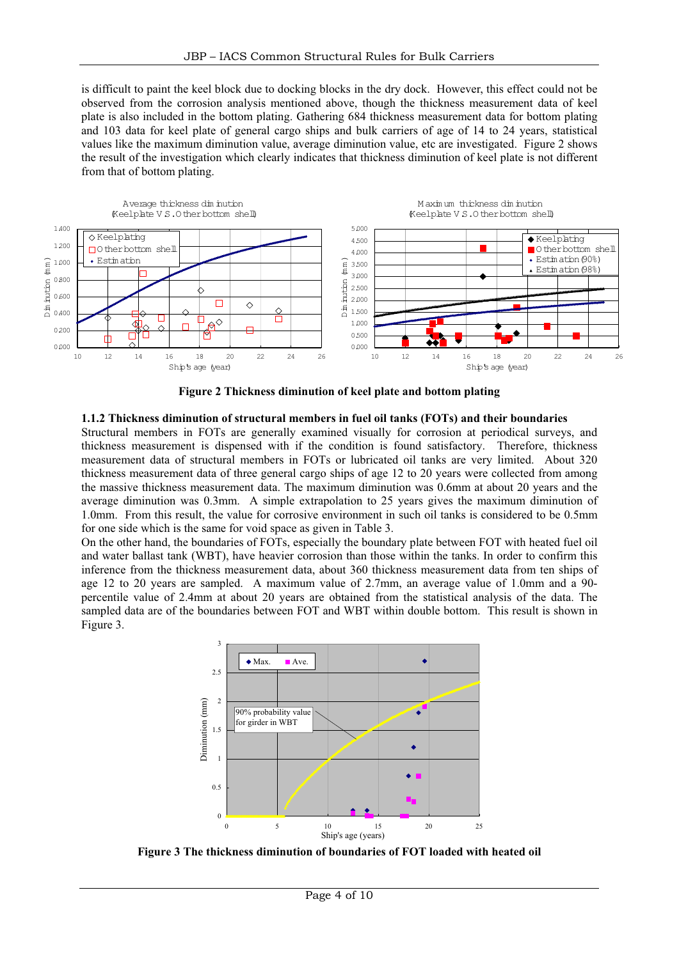is difficult to paint the keel block due to docking blocks in the dry dock. However, this effect could not be observed from the corrosion analysis mentioned above, though the thickness measurement data of keel plate is also included in the bottom plating. Gathering 684 thickness measurement data for bottom plating and 103 data for keel plate of general cargo ships and bulk carriers of age of 14 to 24 years, statistical values like the maximum diminution value, average diminution value, etc are investigated. Figure 2 shows the result of the investigation which clearly indicates that thickness diminution of keel plate is not different from that of bottom plating.



**Figure 2 Thickness diminution of keel plate and bottom plating**

#### **1.1.2 Thickness diminution of structural members in fuel oil tanks (FOTs) and their boundaries**

Structural members in FOTs are generally examined visually for corrosion at periodical surveys, and thickness measurement is dispensed with if the condition is found satisfactory. Therefore, thickness measurement data of structural members in FOTs or lubricated oil tanks are very limited. About 320 thickness measurement data of three general cargo ships of age 12 to 20 years were collected from among the massive thickness measurement data. The maximum diminution was 0.6mm at about 20 years and the average diminution was 0.3mm. A simple extrapolation to 25 years gives the maximum diminution of 1.0mm. From this result, the value for corrosive environment in such oil tanks is considered to be 0.5mm for one side which is the same for void space as given in Table 3.

On the other hand, the boundaries of FOTs, especially the boundary plate between FOT with heated fuel oil and water ballast tank (WBT), have heavier corrosion than those within the tanks. In order to confirm this inference from the thickness measurement data, about 360 thickness measurement data from ten ships of age 12 to 20 years are sampled. A maximum value of 2.7mm, an average value of 1.0mm and a 90 percentile value of 2.4mm at about 20 years are obtained from the statistical analysis of the data. The sampled data are of the boundaries between FOT and WBT within double bottom. This result is shown in Figure 3.



**Figure 3 The thickness diminution of boundaries of FOT loaded with heated oil**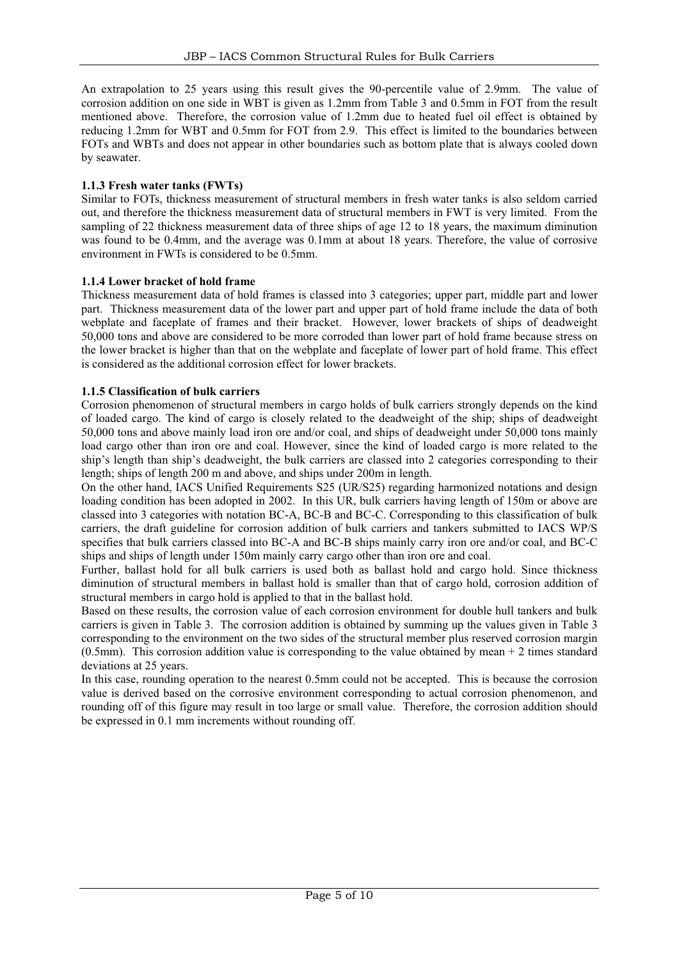An extrapolation to 25 years using this result gives the 90-percentile value of 2.9mm. The value of corrosion addition on one side in WBT is given as 1.2mm from Table 3 and 0.5mm in FOT from the result mentioned above. Therefore, the corrosion value of 1.2mm due to heated fuel oil effect is obtained by reducing 1.2mm for WBT and 0.5mm for FOT from 2.9. This effect is limited to the boundaries between FOTs and WBTs and does not appear in other boundaries such as bottom plate that is always cooled down by seawater.

#### **1.1.3 Fresh water tanks (FWTs)**

Similar to FOTs, thickness measurement of structural members in fresh water tanks is also seldom carried out, and therefore the thickness measurement data of structural members in FWT is very limited. From the sampling of 22 thickness measurement data of three ships of age 12 to 18 years, the maximum diminution was found to be 0.4mm, and the average was 0.1mm at about 18 years. Therefore, the value of corrosive environment in FWTs is considered to be 0.5mm.

#### **1.1.4 Lower bracket of hold frame**

Thickness measurement data of hold frames is classed into 3 categories; upper part, middle part and lower part. Thickness measurement data of the lower part and upper part of hold frame include the data of both webplate and faceplate of frames and their bracket. However, lower brackets of ships of deadweight 50,000 tons and above are considered to be more corroded than lower part of hold frame because stress on the lower bracket is higher than that on the webplate and faceplate of lower part of hold frame. This effect is considered as the additional corrosion effect for lower brackets.

## **1.1.5 Classification of bulk carriers**

Corrosion phenomenon of structural members in cargo holds of bulk carriers strongly depends on the kind of loaded cargo. The kind of cargo is closely related to the deadweight of the ship; ships of deadweight 50,000 tons and above mainly load iron ore and/or coal, and ships of deadweight under 50,000 tons mainly load cargo other than iron ore and coal. However, since the kind of loaded cargo is more related to the ship's length than ship's deadweight, the bulk carriers are classed into 2 categories corresponding to their length; ships of length 200 m and above, and ships under 200m in length.

On the other hand, IACS Unified Requirements S25 (UR/S25) regarding harmonized notations and design loading condition has been adopted in 2002. In this UR, bulk carriers having length of 150m or above are classed into 3 categories with notation BC-A, BC-B and BC-C. Corresponding to this classification of bulk carriers, the draft guideline for corrosion addition of bulk carriers and tankers submitted to IACS WP/S specifies that bulk carriers classed into BC-A and BC-B ships mainly carry iron ore and/or coal, and BC-C ships and ships of length under 150m mainly carry cargo other than iron ore and coal.

Further, ballast hold for all bulk carriers is used both as ballast hold and cargo hold. Since thickness diminution of structural members in ballast hold is smaller than that of cargo hold, corrosion addition of structural members in cargo hold is applied to that in the ballast hold.

Based on these results, the corrosion value of each corrosion environment for double hull tankers and bulk carriers is given in Table 3. The corrosion addition is obtained by summing up the values given in Table 3 corresponding to the environment on the two sides of the structural member plus reserved corrosion margin (0.5mm). This corrosion addition value is corresponding to the value obtained by mean + 2 times standard deviations at 25 years.

In this case, rounding operation to the nearest 0.5mm could not be accepted. This is because the corrosion value is derived based on the corrosive environment corresponding to actual corrosion phenomenon, and rounding off of this figure may result in too large or small value. Therefore, the corrosion addition should be expressed in 0.1 mm increments without rounding off.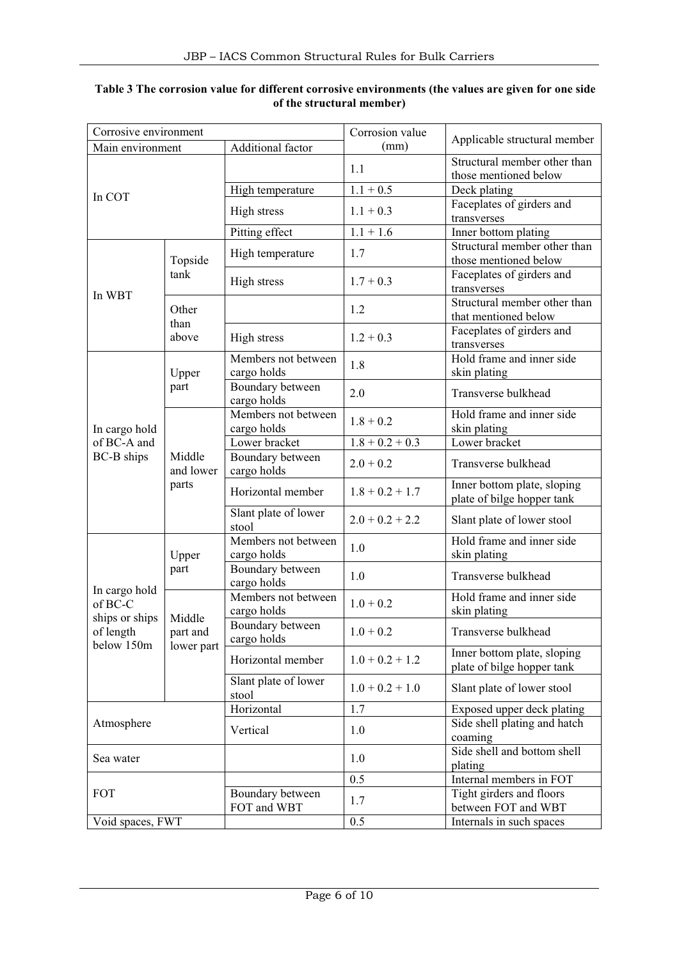| Corrosive environment     |                              |                                    | Corrosion value   | Applicable structural member                              |  |
|---------------------------|------------------------------|------------------------------------|-------------------|-----------------------------------------------------------|--|
| Main environment          |                              | Additional factor                  | (mm)              |                                                           |  |
|                           |                              |                                    | 1.1               | Structural member other than<br>those mentioned below     |  |
| In COT                    |                              | High temperature                   | $1.1 + 0.5$       | Deck plating                                              |  |
|                           |                              | High stress                        | $1.1 + 0.3$       | Faceplates of girders and<br>transverses                  |  |
|                           |                              | Pitting effect                     | $1.1 + 1.6$       | Inner bottom plating                                      |  |
|                           | Topside                      | High temperature                   | 1.7               | Structural member other than<br>those mentioned below     |  |
| In WBT                    | tank                         | High stress                        | $1.7 + 0.3$       | Faceplates of girders and<br>transverses                  |  |
|                           | Other<br>than                |                                    | 1.2               | Structural member other than<br>that mentioned below      |  |
|                           | above                        | High stress                        | $1.2 + 0.3$       | Faceplates of girders and<br>transverses                  |  |
|                           | Upper                        | Members not between<br>cargo holds | 1.8               | Hold frame and inner side<br>skin plating                 |  |
|                           | part                         | Boundary between<br>cargo holds    | 2.0               | Transverse bulkhead                                       |  |
| In cargo hold             | Middle<br>and lower<br>parts | Members not between<br>cargo holds | $1.8 + 0.2$       | Hold frame and inner side<br>skin plating                 |  |
| of BC-A and               |                              | Lower bracket                      | $1.8 + 0.2 + 0.3$ | Lower bracket                                             |  |
| <b>BC-B</b> ships         |                              | Boundary between<br>cargo holds    | $2.0 + 0.2$       | Transverse bulkhead                                       |  |
|                           |                              | Horizontal member                  | $1.8 + 0.2 + 1.7$ | Inner bottom plate, sloping<br>plate of bilge hopper tank |  |
|                           |                              | Slant plate of lower<br>stool      | $2.0 + 0.2 + 2.2$ | Slant plate of lower stool                                |  |
| Upper                     |                              | Members not between<br>cargo holds | 1.0               | Hold frame and inner side<br>skin plating                 |  |
| In cargo hold             | part                         | Boundary between<br>cargo holds    | 1.0               | Transverse bulkhead                                       |  |
| of BC-C<br>ships or ships | Middle                       | Members not between<br>cargo holds | $1.0 + 0.2$       | Hold frame and inner side<br>skin plating                 |  |
| of length<br>below 150m   | part and<br>lower part       | Boundary between<br>cargo holds    | $1.0 + 0.2$       | Transverse bulkhead                                       |  |
|                           |                              | Horizontal member                  | $1.0 + 0.2 + 1.2$ | Inner bottom plate, sloping<br>plate of bilge hopper tank |  |
|                           |                              | Slant plate of lower<br>stool      | $1.0 + 0.2 + 1.0$ | Slant plate of lower stool                                |  |
| Atmosphere                |                              | Horizontal                         | 1.7               | Exposed upper deck plating                                |  |
|                           |                              | Vertical                           | 1.0               | Side shell plating and hatch<br>coaming                   |  |
| Sea water                 |                              |                                    | 1.0               | Side shell and bottom shell<br>plating                    |  |
|                           |                              |                                    | 0.5               | Internal members in FOT                                   |  |
| <b>FOT</b>                |                              | Boundary between<br>FOT and WBT    | 1.7               | Tight girders and floors<br>between FOT and WBT           |  |
| Void spaces, FWT          |                              |                                    | 0.5               | Internals in such spaces                                  |  |

## **Table 3 The corrosion value for different corrosive environments (the values are given for one side of the structural member)**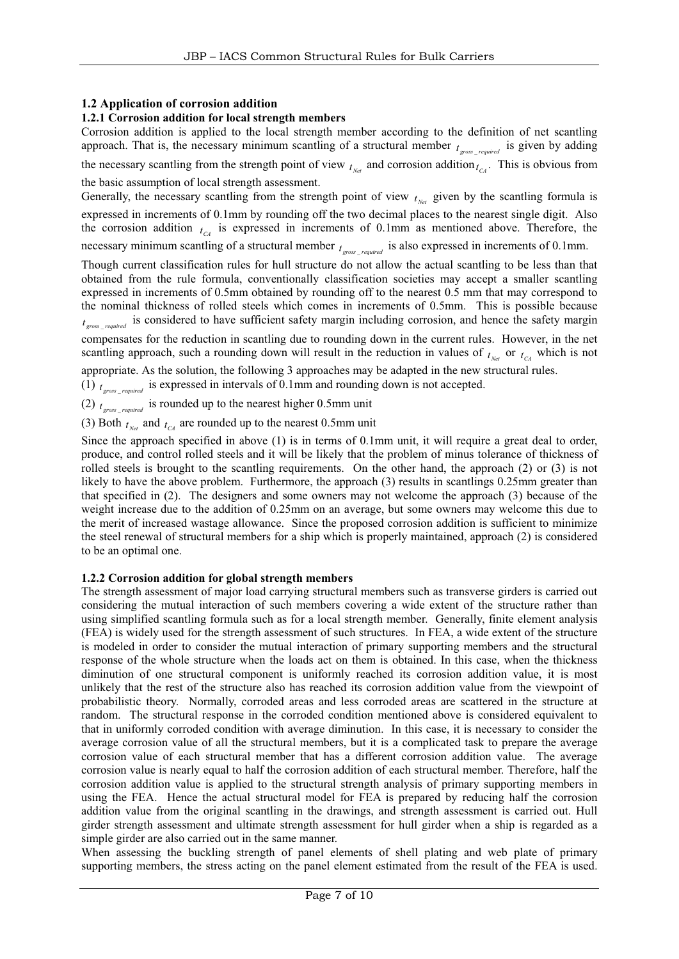## **1.2 Application of corrosion addition**

## **1.2.1 Corrosion addition for local strength members**

Corrosion addition is applied to the local strength member according to the definition of net scantling approach. That is, the necessary minimum scantling of a structural member  $t_{cross}$  *required* is given by adding the necessary scantling from the strength point of view  $t_{N_{\text{ref}}}$  and corrosion addition $t_{C_A}$ . This is obvious from the basic assumption of local strength assessment.

Generally, the necessary scantling from the strength point of view  $t_{N_{e'}}$  given by the scantling formula is expressed in increments of 0.1mm by rounding off the two decimal places to the nearest single digit. Also the corrosion addition  $t_{C4}$  is expressed in increments of 0.1mm as mentioned above. Therefore, the necessary minimum scantling of a structural member  $t_{\text{gross\_required}}$  is also expressed in increments of 0.1mm.

Though current classification rules for hull structure do not allow the actual scantling to be less than that obtained from the rule formula, conventionally classification societies may accept a smaller scantling expressed in increments of 0.5mm obtained by rounding off to the nearest 0.5 mm that may correspond to the nominal thickness of rolled steels which comes in increments of 0.5mm. This is possible because  $t_{\text{gross\_required}}$  is considered to have sufficient safety margin including corrosion, and hence the safety margin

compensates for the reduction in scantling due to rounding down in the current rules. However, in the net scantling approach, such a rounding down will result in the reduction in values of  $t_{net}$  or  $t_{C\text{A}}$  which is not

appropriate. As the solution, the following 3 approaches may be adapted in the new structural rules.

(1)  $t_{\text{cross}}$  is expressed in intervals of 0.1mm and rounding down is not accepted.

(2)  $t_{\text{gross required}}$  is rounded up to the nearest higher 0.5mm unit

(3) Both  $t_{\text{net}}$  and  $t_{\text{net}}$  are rounded up to the nearest 0.5mm unit

Since the approach specified in above (1) is in terms of 0.1mm unit, it will require a great deal to order, produce, and control rolled steels and it will be likely that the problem of minus tolerance of thickness of rolled steels is brought to the scantling requirements. On the other hand, the approach (2) or (3) is not likely to have the above problem. Furthermore, the approach (3) results in scantlings 0.25mm greater than that specified in (2). The designers and some owners may not welcome the approach (3) because of the weight increase due to the addition of 0.25mm on an average, but some owners may welcome this due to the merit of increased wastage allowance. Since the proposed corrosion addition is sufficient to minimize the steel renewal of structural members for a ship which is properly maintained, approach (2) is considered to be an optimal one.

#### **1.2.2 Corrosion addition for global strength members**

The strength assessment of major load carrying structural members such as transverse girders is carried out considering the mutual interaction of such members covering a wide extent of the structure rather than using simplified scantling formula such as for a local strength member. Generally, finite element analysis (FEA) is widely used for the strength assessment of such structures. In FEA, a wide extent of the structure is modeled in order to consider the mutual interaction of primary supporting members and the structural response of the whole structure when the loads act on them is obtained. In this case, when the thickness diminution of one structural component is uniformly reached its corrosion addition value, it is most unlikely that the rest of the structure also has reached its corrosion addition value from the viewpoint of probabilistic theory. Normally, corroded areas and less corroded areas are scattered in the structure at random. The structural response in the corroded condition mentioned above is considered equivalent to that in uniformly corroded condition with average diminution. In this case, it is necessary to consider the average corrosion value of all the structural members, but it is a complicated task to prepare the average corrosion value of each structural member that has a different corrosion addition value. The average corrosion value is nearly equal to half the corrosion addition of each structural member. Therefore, half the corrosion addition value is applied to the structural strength analysis of primary supporting members in using the FEA. Hence the actual structural model for FEA is prepared by reducing half the corrosion addition value from the original scantling in the drawings, and strength assessment is carried out. Hull girder strength assessment and ultimate strength assessment for hull girder when a ship is regarded as a simple girder are also carried out in the same manner.

When assessing the buckling strength of panel elements of shell plating and web plate of primary supporting members, the stress acting on the panel element estimated from the result of the FEA is used.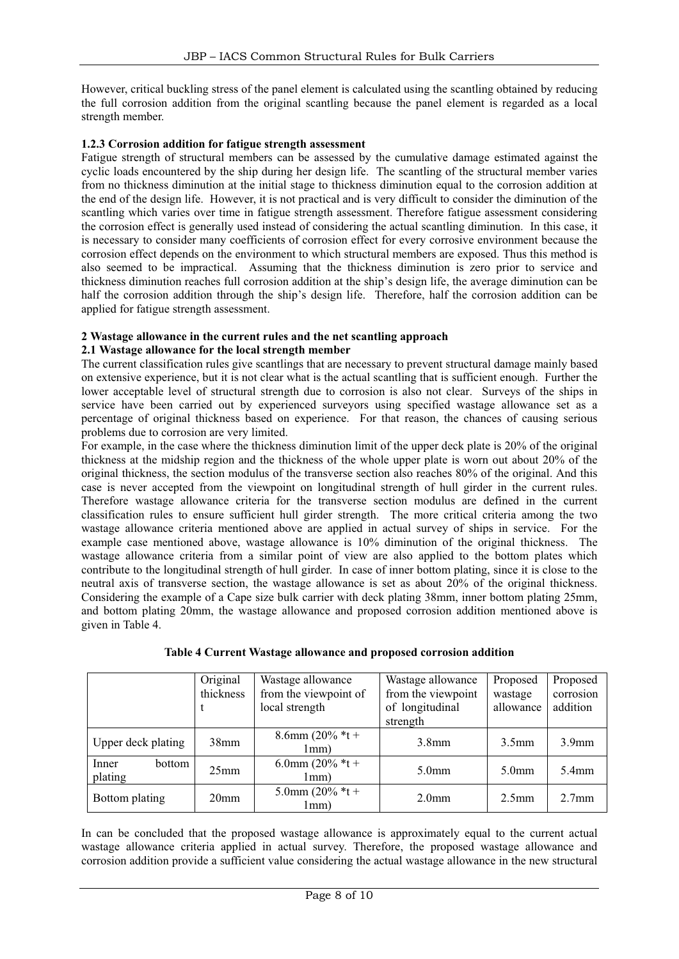However, critical buckling stress of the panel element is calculated using the scantling obtained by reducing the full corrosion addition from the original scantling because the panel element is regarded as a local strength member.

#### **1.2.3 Corrosion addition for fatigue strength assessment**

Fatigue strength of structural members can be assessed by the cumulative damage estimated against the cyclic loads encountered by the ship during her design life. The scantling of the structural member varies from no thickness diminution at the initial stage to thickness diminution equal to the corrosion addition at the end of the design life. However, it is not practical and is very difficult to consider the diminution of the scantling which varies over time in fatigue strength assessment. Therefore fatigue assessment considering the corrosion effect is generally used instead of considering the actual scantling diminution. In this case, it is necessary to consider many coefficients of corrosion effect for every corrosive environment because the corrosion effect depends on the environment to which structural members are exposed. Thus this method is also seemed to be impractical. Assuming that the thickness diminution is zero prior to service and thickness diminution reaches full corrosion addition at the ship's design life, the average diminution can be half the corrosion addition through the ship's design life. Therefore, half the corrosion addition can be applied for fatigue strength assessment.

## **2 Wastage allowance in the current rules and the net scantling approach**

## **2.1 Wastage allowance for the local strength member**

The current classification rules give scantlings that are necessary to prevent structural damage mainly based on extensive experience, but it is not clear what is the actual scantling that is sufficient enough. Further the lower acceptable level of structural strength due to corrosion is also not clear. Surveys of the ships in service have been carried out by experienced surveyors using specified wastage allowance set as a percentage of original thickness based on experience. For that reason, the chances of causing serious problems due to corrosion are very limited.

For example, in the case where the thickness diminution limit of the upper deck plate is 20% of the original thickness at the midship region and the thickness of the whole upper plate is worn out about 20% of the original thickness, the section modulus of the transverse section also reaches 80% of the original. And this case is never accepted from the viewpoint on longitudinal strength of hull girder in the current rules. Therefore wastage allowance criteria for the transverse section modulus are defined in the current classification rules to ensure sufficient hull girder strength. The more critical criteria among the two wastage allowance criteria mentioned above are applied in actual survey of ships in service. For the example case mentioned above, wastage allowance is 10% diminution of the original thickness. The wastage allowance criteria from a similar point of view are also applied to the bottom plates which contribute to the longitudinal strength of hull girder. In case of inner bottom plating, since it is close to the neutral axis of transverse section, the wastage allowance is set as about 20% of the original thickness. Considering the example of a Cape size bulk carrier with deck plating 38mm, inner bottom plating 25mm, and bottom plating 20mm, the wastage allowance and proposed corrosion addition mentioned above is given in Table 4.

|                            | Original<br>thickness              | Wastage allowance<br>from the viewpoint of<br>local strength | Wastage allowance<br>from the viewpoint<br>of longitudinal<br>strength | Proposed<br>wastage<br>allowance | Proposed<br>corrosion<br>addition |
|----------------------------|------------------------------------|--------------------------------------------------------------|------------------------------------------------------------------------|----------------------------------|-----------------------------------|
| Upper deck plating         | 8.6mm $(20\% *t +$<br>38mm<br>1mm) |                                                              | 3.8 <sub>mm</sub>                                                      | $3.5$ mm                         | 3.9 <sub>mm</sub>                 |
| Inner<br>bottom<br>plating | 25 <sub>mm</sub>                   | 6.0mm $(20\% *t +$<br>1mm)                                   | 5.0 <sub>mm</sub>                                                      | 5.0 <sub>mm</sub>                | $5.4$ mm                          |
| Bottom plating             | 20 <sub>mm</sub>                   | 5.0mm (20% $*t+$<br>1mm)                                     | 2.0 <sub>mm</sub>                                                      | 2.5 <sub>mm</sub>                | 2.7 <sub>mm</sub>                 |

**Table 4 Current Wastage allowance and proposed corrosion addition**

In can be concluded that the proposed wastage allowance is approximately equal to the current actual wastage allowance criteria applied in actual survey. Therefore, the proposed wastage allowance and corrosion addition provide a sufficient value considering the actual wastage allowance in the new structural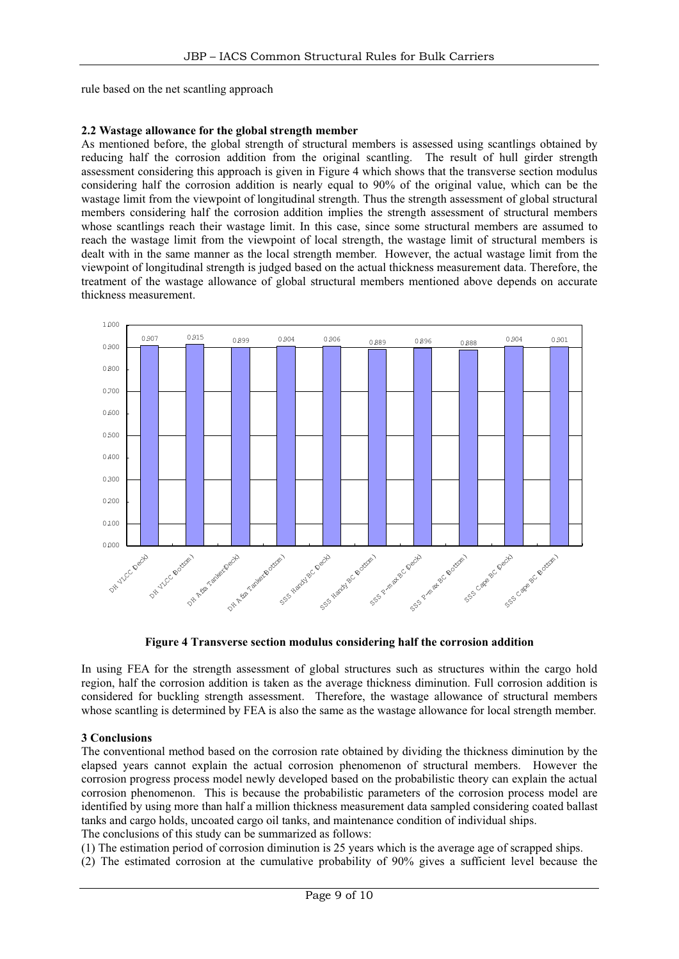rule based on the net scantling approach

#### **2.2 Wastage allowance for the global strength member**

As mentioned before, the global strength of structural members is assessed using scantlings obtained by reducing half the corrosion addition from the original scantling. The result of hull girder strength assessment considering this approach is given in Figure 4 which shows that the transverse section modulus considering half the corrosion addition is nearly equal to 90% of the original value, which can be the wastage limit from the viewpoint of longitudinal strength. Thus the strength assessment of global structural members considering half the corrosion addition implies the strength assessment of structural members whose scantlings reach their wastage limit. In this case, since some structural members are assumed to reach the wastage limit from the viewpoint of local strength, the wastage limit of structural members is dealt with in the same manner as the local strength member. However, the actual wastage limit from the viewpoint of longitudinal strength is judged based on the actual thickness measurement data. Therefore, the treatment of the wastage allowance of global structural members mentioned above depends on accurate thickness measurement.



**Figure 4 Transverse section modulus considering half the corrosion addition**

In using FEA for the strength assessment of global structures such as structures within the cargo hold region, half the corrosion addition is taken as the average thickness diminution. Full corrosion addition is considered for buckling strength assessment. Therefore, the wastage allowance of structural members whose scantling is determined by FEA is also the same as the wastage allowance for local strength member.

#### **3 Conclusions**

The conventional method based on the corrosion rate obtained by dividing the thickness diminution by the elapsed years cannot explain the actual corrosion phenomenon of structural members. However the corrosion progress process model newly developed based on the probabilistic theory can explain the actual corrosion phenomenon. This is because the probabilistic parameters of the corrosion process model are identified by using more than half a million thickness measurement data sampled considering coated ballast tanks and cargo holds, uncoated cargo oil tanks, and maintenance condition of individual ships. The conclusions of this study can be summarized as follows:

(1) The estimation period of corrosion diminution is 25 years which is the average age of scrapped ships.

(2) The estimated corrosion at the cumulative probability of 90% gives a sufficient level because the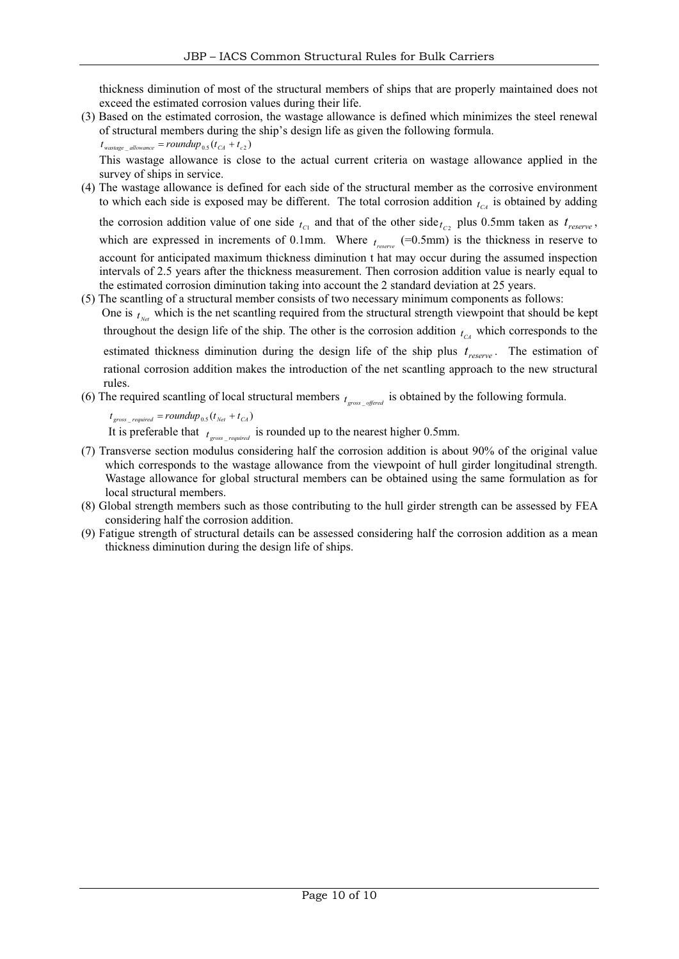thickness diminution of most of the structural members of ships that are properly maintained does not exceed the estimated corrosion values during their life.

(3) Based on the estimated corrosion, the wastage allowance is defined which minimizes the steel renewal of structural members during the ship's design life as given the following formula.

 $t_{wast a} = roundup_{0.5} (t_{CA} + t_{c2})$ 

This wastage allowance is close to the actual current criteria on wastage allowance applied in the survey of ships in service.

(4) The wastage allowance is defined for each side of the structural member as the corrosive environment to which each side is exposed may be different. The total corrosion addition  $t_{C4}$  is obtained by adding

the corrosion addition value of one side  $t_{c1}$  and that of the other side  $t_{c2}$  plus 0.5mm taken as  $t_{reserve}$ , which are expressed in increments of 0.1mm. Where  $t_{reserve}$  (=0.5mm) is the thickness in reserve to account for anticipated maximum thickness diminution t hat may occur during the assumed inspection intervals of 2.5 years after the thickness measurement. Then corrosion addition value is nearly equal to the estimated corrosion diminution taking into account the 2 standard deviation at 25 years.

(5) The scantling of a structural member consists of two necessary minimum components as follows: One is  $t_{\text{N}_{\text{eff}}}$  which is the net scantling required from the structural strength viewpoint that should be kept throughout the design life of the ship. The other is the corrosion addition  $t_{c4}$  which corresponds to the estimated thickness diminution during the design life of the ship plus  $t_{reserve}$ . The estimation of rational corrosion addition makes the introduction of the net scantling approach to the new structural rules.

(6) The required scantling of local structural members  $t_{\text{cross}}$  *offered* is obtained by the following formula.

 $t_{\text{gross} \rightarrow \text{required}} = \text{roundup}_{0.5} (t_{\text{Net}} + t_{\text{CA}})$ 

It is preferable that  $f_{\text{cross}}$  *required* is rounded up to the nearest higher 0.5mm.

- (7) Transverse section modulus considering half the corrosion addition is about 90% of the original value which corresponds to the wastage allowance from the viewpoint of hull girder longitudinal strength. Wastage allowance for global structural members can be obtained using the same formulation as for local structural members.
- (8) Global strength members such as those contributing to the hull girder strength can be assessed by FEA considering half the corrosion addition.
- (9) Fatigue strength of structural details can be assessed considering half the corrosion addition as a mean thickness diminution during the design life of ships.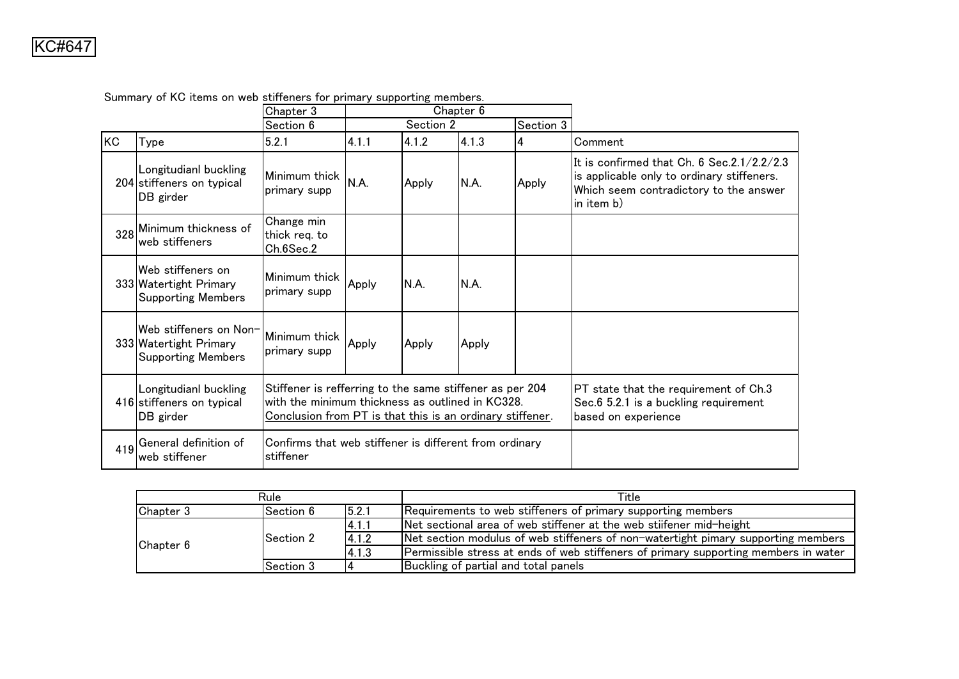|     |                                                                               | Chapter 3                                                           | Chapter 6                                                                                                                                                                 |           |       |           |                                                                                                                                                  |
|-----|-------------------------------------------------------------------------------|---------------------------------------------------------------------|---------------------------------------------------------------------------------------------------------------------------------------------------------------------------|-----------|-------|-----------|--------------------------------------------------------------------------------------------------------------------------------------------------|
|     |                                                                               | Section 6                                                           |                                                                                                                                                                           | Section 2 |       | Section 3 |                                                                                                                                                  |
| KC  | Type                                                                          | 5.2.1                                                               | 4.1.1                                                                                                                                                                     | 4.1.2     | 4.1.3 | 4         | Comment                                                                                                                                          |
|     | Longitudianl buckling<br>204 stiffeners on typical<br>DB girder               | Minimum thick<br>primary supp                                       | N.A.                                                                                                                                                                      | Apply     | N.A.  | Apply     | It is confirmed that Ch. 6 Sec.2.1/2.2/2.3<br>is applicable only to ordinary stiffeners.<br>Which seem contradictory to the answer<br>in item b) |
|     | 328 Minimum thickness of<br>web stiffeners                                    | Change min<br>thick reg. to<br>Ch.6Sec.2                            |                                                                                                                                                                           |           |       |           |                                                                                                                                                  |
|     | Web stiffeners on<br>333 Watertight Primary<br><b>Supporting Members</b>      | Minimum thick<br>primary supp                                       | Apply                                                                                                                                                                     | N.A.      | N.A.  |           |                                                                                                                                                  |
|     | Web stiffeners on Non-<br>333 Watertight Primary<br><b>Supporting Members</b> | Minimum thick<br>primary supp                                       | Apply                                                                                                                                                                     | Apply     | Apply |           |                                                                                                                                                  |
|     | Longitudianl buckling<br>416 stiffeners on typical<br>DB girder               |                                                                     | Stiffener is refferring to the same stiffener as per 204<br>with the minimum thickness as outlined in KC328.<br>Conclusion from PT is that this is an ordinary stiffener. |           |       |           | PT state that the requirement of Ch.3<br>Sec.6 5.2.1 is a buckling requirement<br>based on experience                                            |
| 419 | General definition of<br>lweb stiffener                                       | Confirms that web stiffener is different from ordinary<br>stiffener |                                                                                                                                                                           |           |       |           |                                                                                                                                                  |

5

Summary of KC items on web stiffeners for primary supporting members.

|           | Rule       |        | Title                                                                               |
|-----------|------------|--------|-------------------------------------------------------------------------------------|
| Chapter 3 | Section 6  | 15.2.1 | Requirements to web stiffeners of primary supporting members                        |
| Chapter 6 |            | 14.1.1 | Net sectional area of web stiffener at the web stijfener mid-height                 |
|           | lSection 2 | 4.1.2  | Net section modulus of web stiffeners of non-watertight pimary supporting members   |
|           |            | 14.1.3 | Permissible stress at ends of web stiffeners of primary supporting members in water |
|           | Section 3  |        | Buckling of partial and total panels                                                |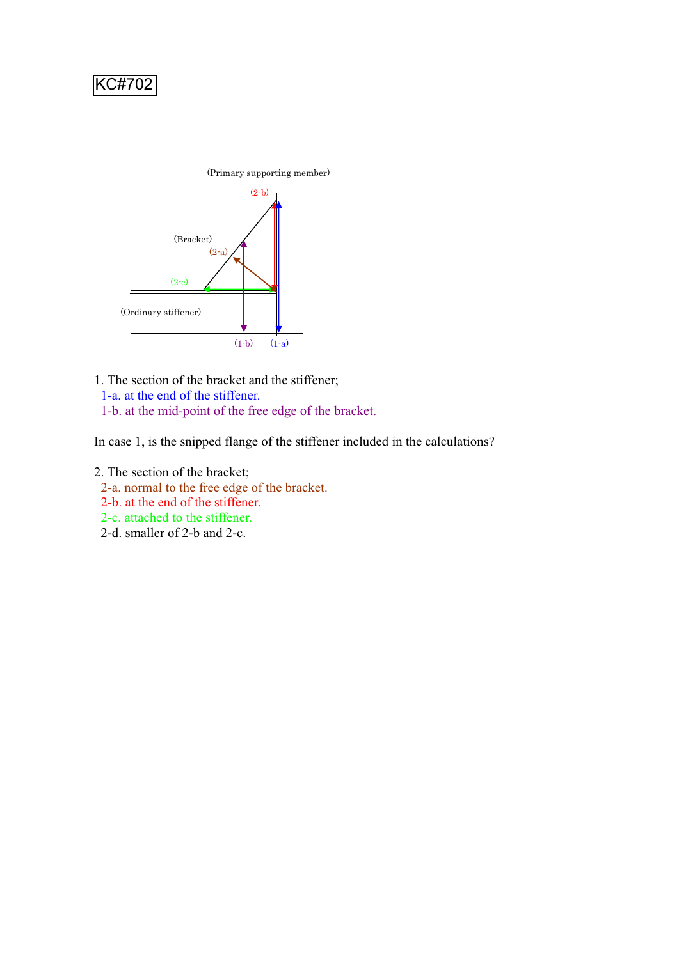

1. The section of the bracket and the stiffener; 1-a. at the end of the stiffener. 1-b. at the mid-point of the free edge of the bracket.

In case 1, is the snipped flange of the stiffener included in the calculations?

- 2. The section of the bracket;
	- 2-a. normal to the free edge of the bracket.
	- 2-b. at the end of the stiffener.
	- 2-c. attached to the stiffener.
	- 2-d. smaller of 2-b and 2-c.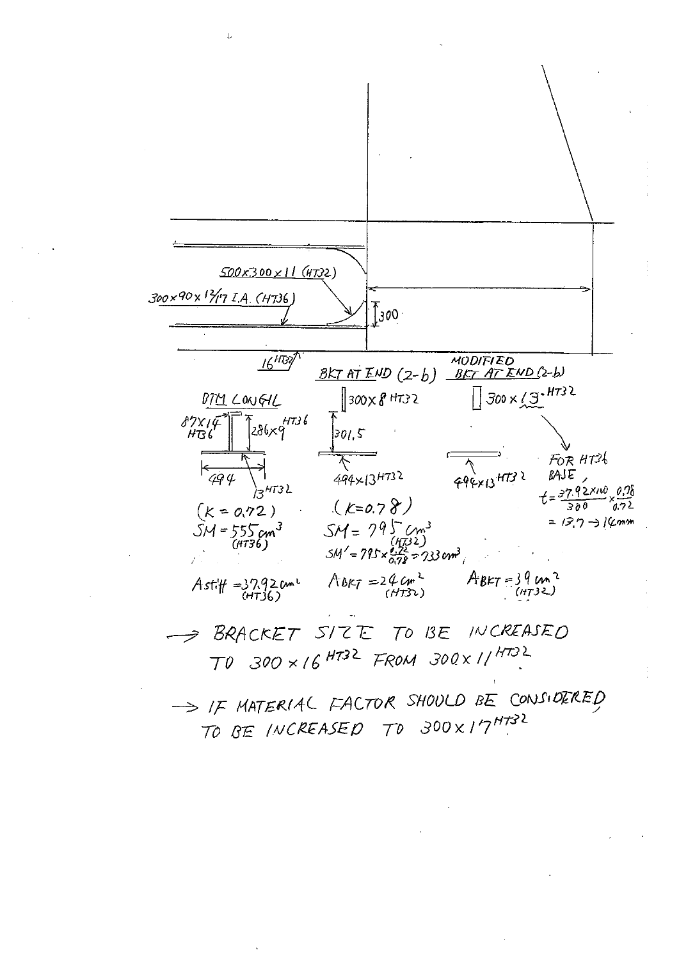

TO BE INCREASED TO 300X17HT32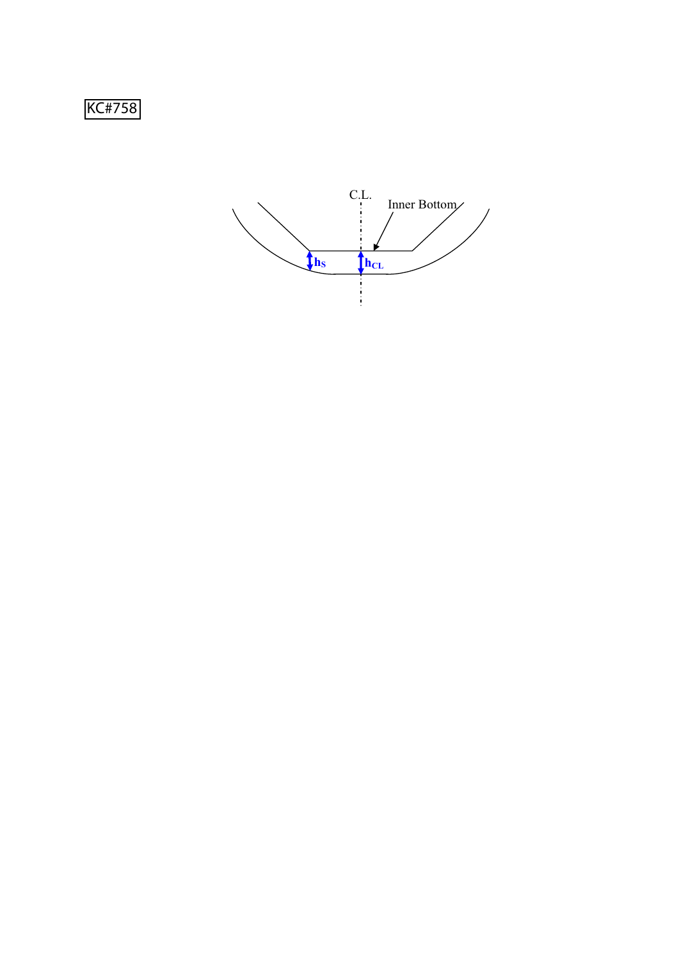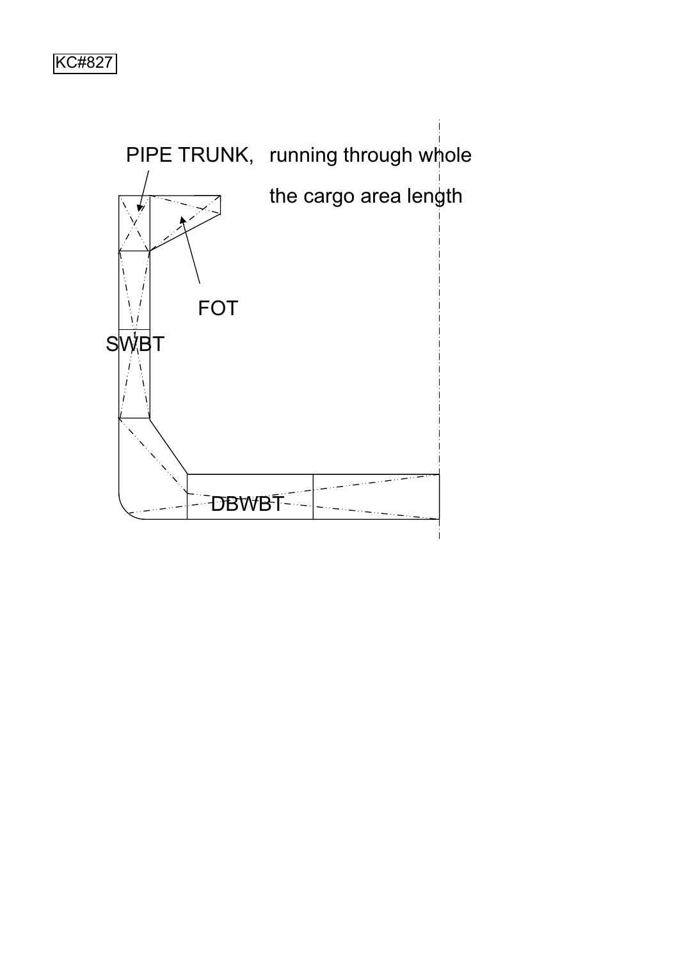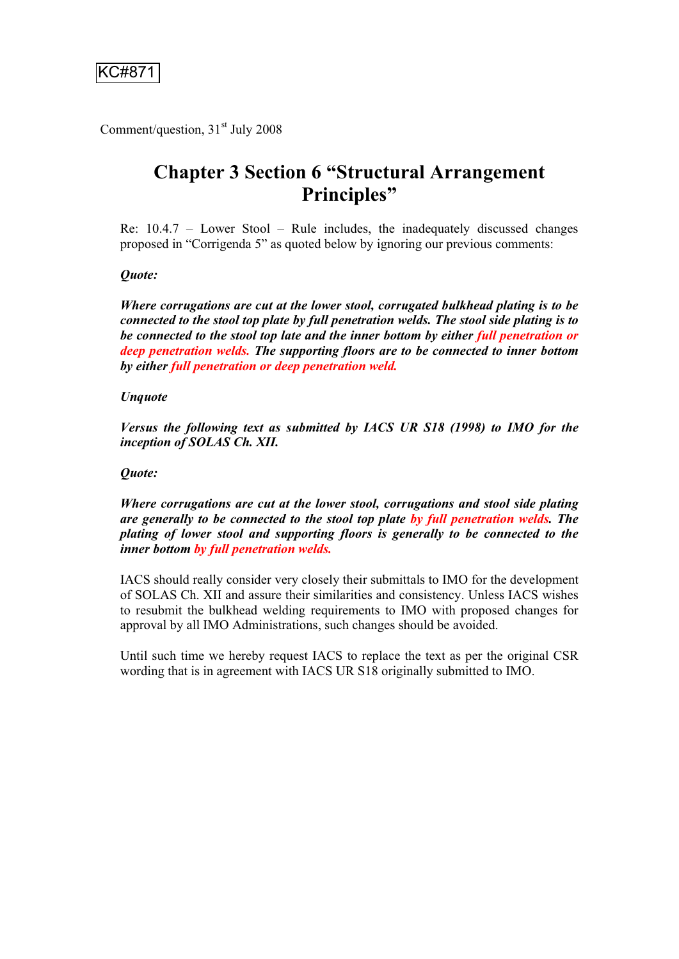Comment/question,  $31<sup>st</sup>$  July 2008

# **Chapter 3 Section 6 "Structural Arrangement Principles"**

Re: 10.4.7 – Lower Stool – Rule includes, the inadequately discussed changes proposed in "Corrigenda 5" as quoted below by ignoring our previous comments:

## *Quote:*

*Where corrugations are cut at the lower stool, corrugated bulkhead plating is to be connected to the stool top plate by full penetration welds. The stool side plating is to be connected to the stool top late and the inner bottom by either full penetration or deep penetration welds. The supporting floors are to be connected to inner bottom by either full penetration or deep penetration weld.* 

## *Unquote*

*Versus the following text as submitted by IACS UR S18 (1998) to IMO for the inception of SOLAS Ch. XII.* 

## *Quote:*

*Where corrugations are cut at the lower stool, corrugations and stool side plating are generally to be connected to the stool top plate by full penetration welds. The plating of lower stool and supporting floors is generally to be connected to the inner bottom by full penetration welds.* 

IACS should really consider very closely their submittals to IMO for the development of SOLAS Ch. XII and assure their similarities and consistency. Unless IACS wishes to resubmit the bulkhead welding requirements to IMO with proposed changes for approval by all IMO Administrations, such changes should be avoided.

Until such time we hereby request IACS to replace the text as per the original CSR wording that is in agreement with IACS UR S18 originally submitted to IMO.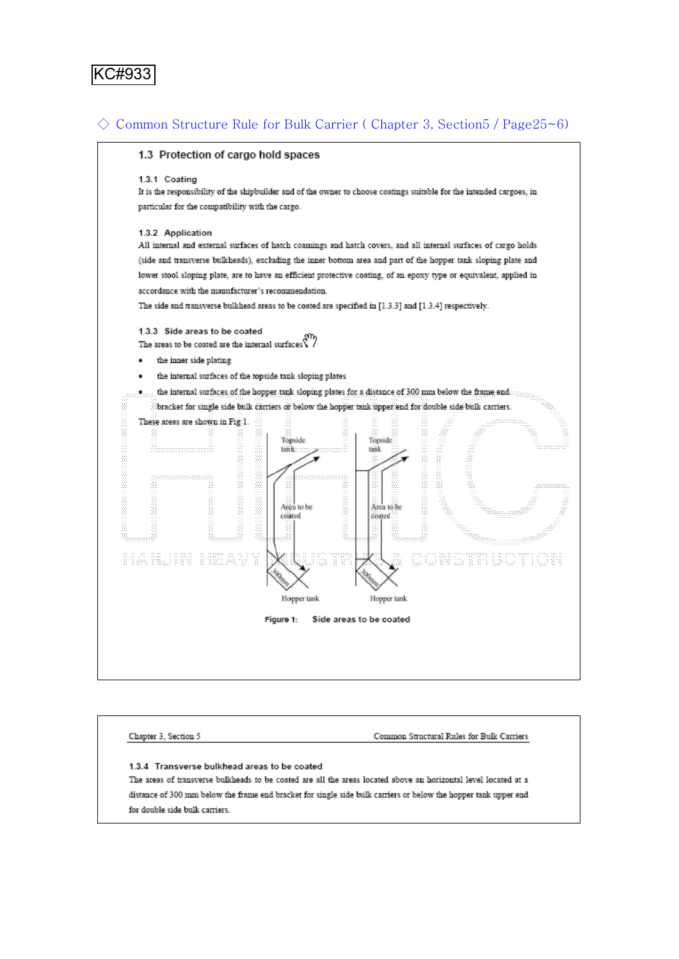

## $\Diamond$  Common Structure Rule for Bulk Carrier (Chapter 3, Section 5 / Page  $25\neg$  6)



Chapter 3, Section 5 Common Structural Rules for Bulk Carriers 1.3.4 Transverse bulkhead areas to be coated The areas of transverse bulkheads to be coated are all the areas located above an horizontal level located at a distance of 300 mm below the frame end bracket for single side bulk carriers or below the hopper tank upper end for double side bulk carriers.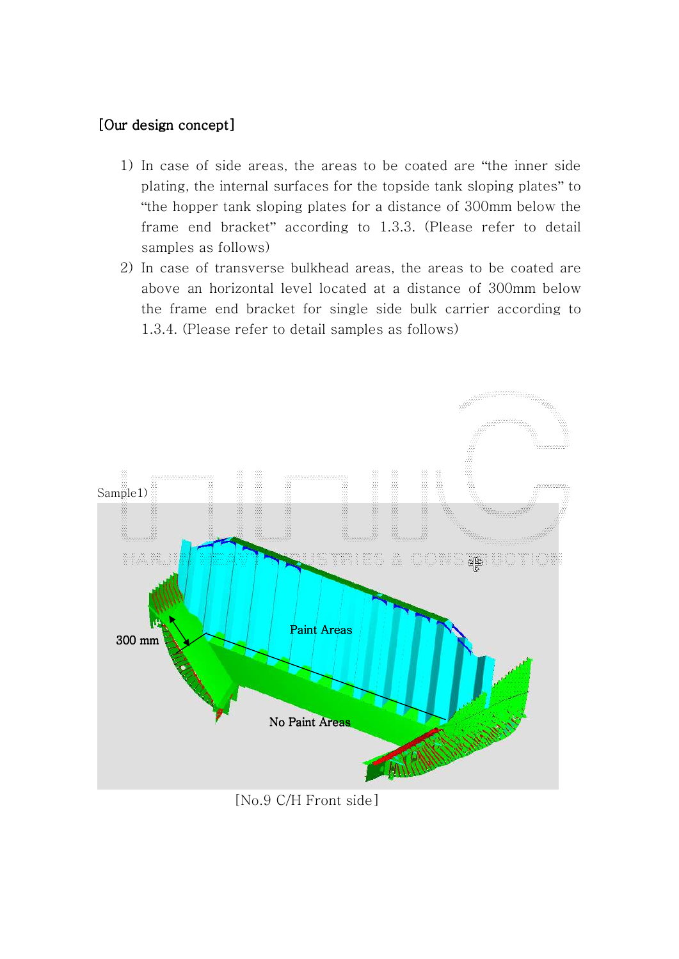## [Our design concept]

- 1) In case of side areas, the areas to be coated are "the inner side plating, the internal surfaces for the topside tank sloping plates" to "the hopper tank sloping plates for a distance of 300mm below the frame end bracket" according to 1.3.3. (Please refer to detail samples as follows)
- 2) In case of transverse bulkhead areas, the areas to be coated are above an horizontal level located at a distance of 300mm below the frame end bracket for single side bulk carrier according to 1.3.4. (Please refer to detail samples as follows)



 $[No.9 C/H$  Front side]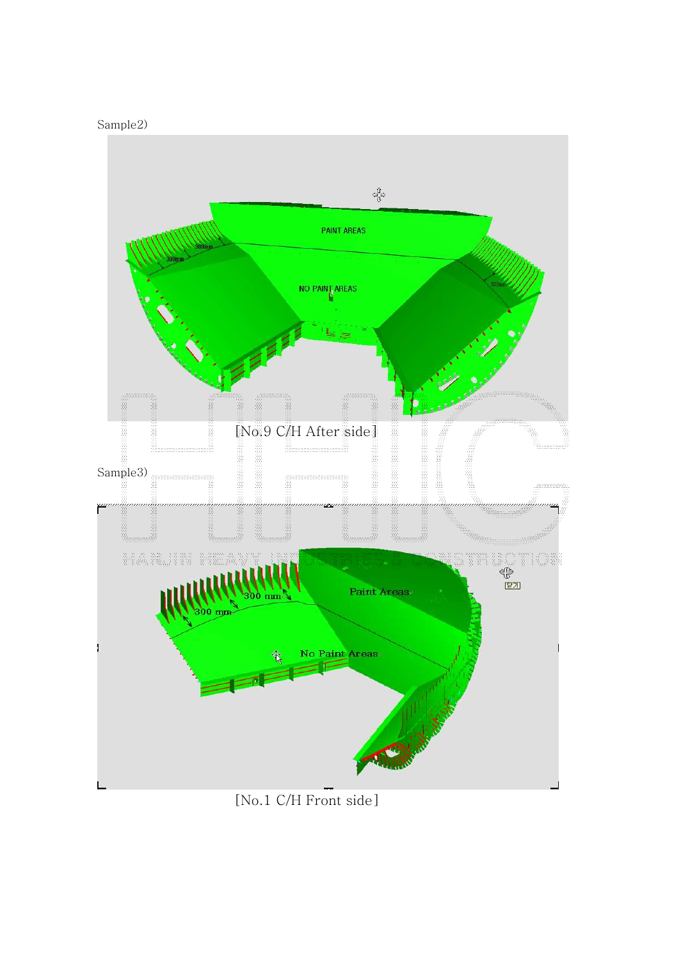



[No.1 C/H Front side]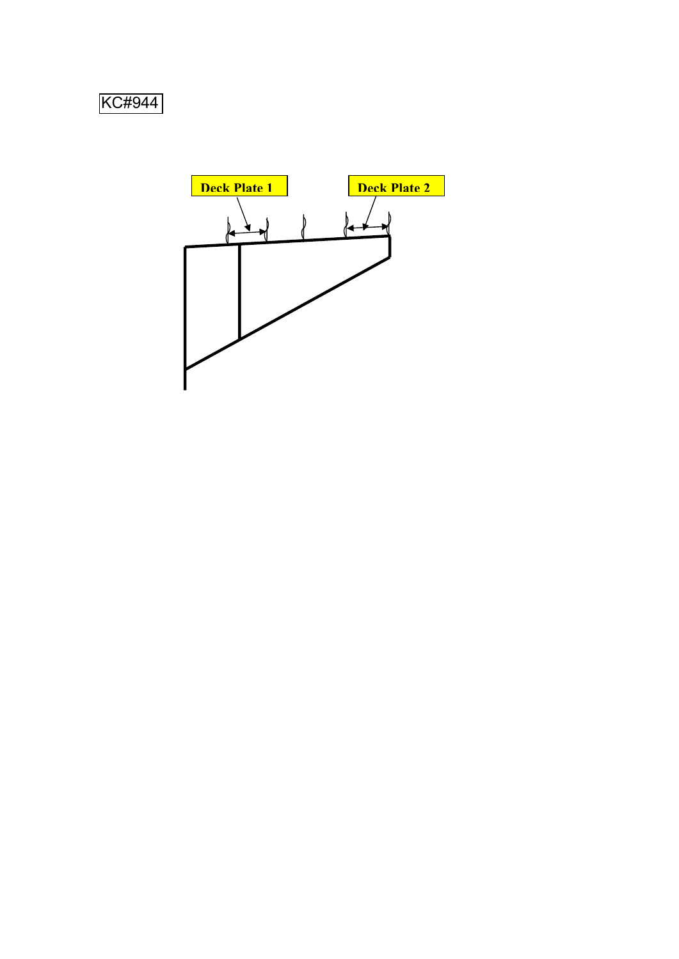